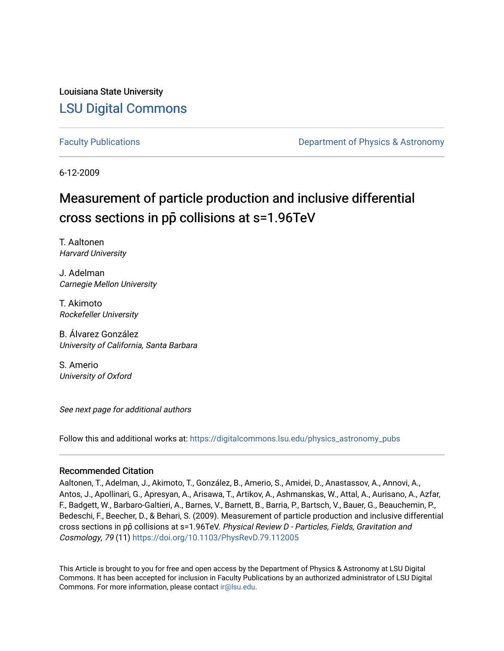Louisiana State University [LSU Digital Commons](https://digitalcommons.lsu.edu/)

[Faculty Publications](https://digitalcommons.lsu.edu/physics_astronomy_pubs) **Example 2** Constant Department of Physics & Astronomy

6-12-2009

# Measurement of particle production and inclusive differential cross sections in pp**̄** collisions at s=1.96TeV

T. Aaltonen Harvard University

J. Adelman Carnegie Mellon University

T. Akimoto Rockefeller University

B. Álvarez González University of California, Santa Barbara

S. Amerio University of Oxford

See next page for additional authors

Follow this and additional works at: [https://digitalcommons.lsu.edu/physics\\_astronomy\\_pubs](https://digitalcommons.lsu.edu/physics_astronomy_pubs?utm_source=digitalcommons.lsu.edu%2Fphysics_astronomy_pubs%2F2451&utm_medium=PDF&utm_campaign=PDFCoverPages) 

#### Recommended Citation

Aaltonen, T., Adelman, J., Akimoto, T., González, B., Amerio, S., Amidei, D., Anastassov, A., Annovi, A., Antos, J., Apollinari, G., Apresyan, A., Arisawa, T., Artikov, A., Ashmanskas, W., Attal, A., Aurisano, A., Azfar, F., Badgett, W., Barbaro-Galtieri, A., Barnes, V., Barnett, B., Barria, P., Bartsch, V., Bauer, G., Beauchemin, P., Bedeschi, F., Beecher, D., & Behari, S. (2009). Measurement of particle production and inclusive differential cross sections in pp̄ collisions at s=1.96TeV. Physical Review D - Particles, Fields, Gravitation and Cosmology, 79 (11)<https://doi.org/10.1103/PhysRevD.79.112005>

This Article is brought to you for free and open access by the Department of Physics & Astronomy at LSU Digital Commons. It has been accepted for inclusion in Faculty Publications by an authorized administrator of LSU Digital Commons. For more information, please contact [ir@lsu.edu](mailto:ir@lsu.edu).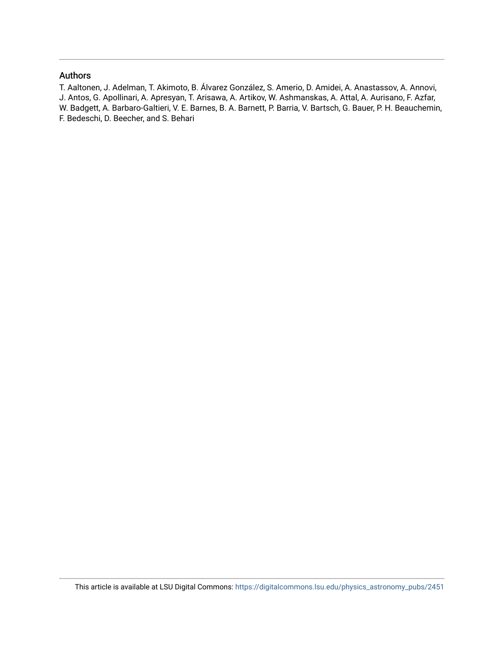#### Authors

T. Aaltonen, J. Adelman, T. Akimoto, B. Álvarez González, S. Amerio, D. Amidei, A. Anastassov, A. Annovi, J. Antos, G. Apollinari, A. Apresyan, T. Arisawa, A. Artikov, W. Ashmanskas, A. Attal, A. Aurisano, F. Azfar, W. Badgett, A. Barbaro-Galtieri, V. E. Barnes, B. A. Barnett, P. Barria, V. Bartsch, G. Bauer, P. H. Beauchemin, F. Bedeschi, D. Beecher, and S. Behari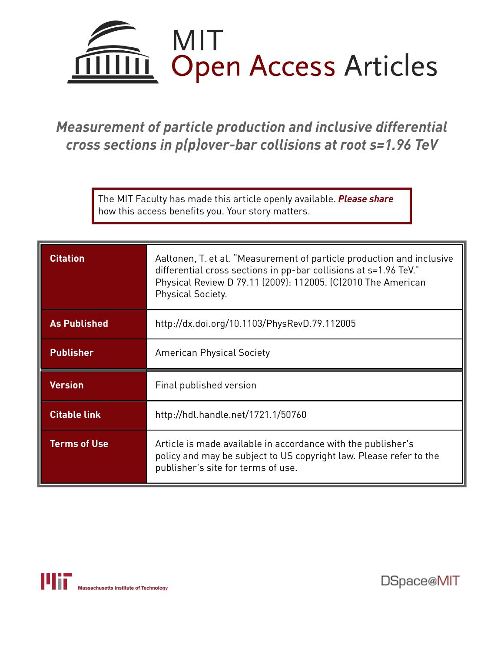

*Measurement of particle production and inclusive differential cross sections in p(p)over-bar collisions at root s=1.96 TeV*

> The MIT Faculty has made this article openly available. *[Please](https://libraries.mit.edu/forms/dspace-oa-articles.html) share* how this access benefits you. Your story matters.

| <b>Citation</b>     | Aaltonen, T. et al. "Measurement of particle production and inclusive<br>differential cross sections in pp-bar collisions at s=1.96 TeV."<br>Physical Review D 79.11 (2009): 112005. (C)2010 The American<br>Physical Society. |  |  |  |  |  |
|---------------------|--------------------------------------------------------------------------------------------------------------------------------------------------------------------------------------------------------------------------------|--|--|--|--|--|
| <b>As Published</b> | http://dx.doi.org/10.1103/PhysRevD.79.112005                                                                                                                                                                                   |  |  |  |  |  |
| <b>Publisher</b>    | <b>American Physical Society</b>                                                                                                                                                                                               |  |  |  |  |  |
| <b>Version</b>      | Final published version                                                                                                                                                                                                        |  |  |  |  |  |
| <b>Citable link</b> | http://hdl.handle.net/1721.1/50760                                                                                                                                                                                             |  |  |  |  |  |
| <b>Terms of Use</b> | Article is made available in accordance with the publisher's<br>policy and may be subject to US copyright law. Please refer to the<br>publisher's site for terms of use.                                                       |  |  |  |  |  |



DSpace@MIT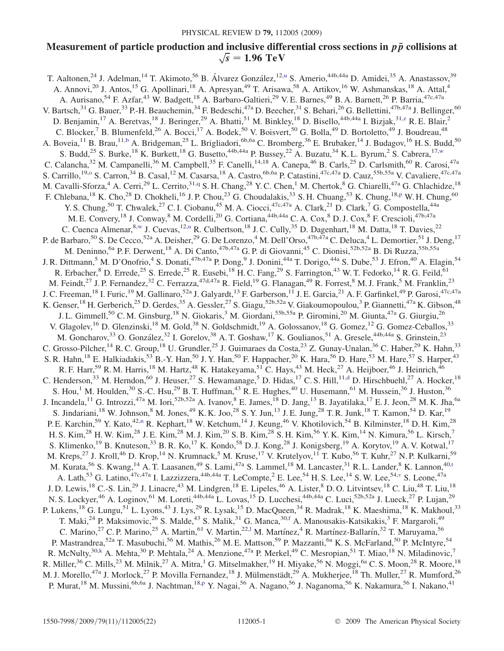## Measurement of particle production and inclusive differential cross sections in  $p\bar{p}$  collisions at  $\sqrt{s}$  = 1.96 TeV

<span id="page-3-11"></span><span id="page-3-10"></span><span id="page-3-9"></span><span id="page-3-8"></span><span id="page-3-7"></span><span id="page-3-6"></span><span id="page-3-5"></span><span id="page-3-4"></span><span id="page-3-3"></span><span id="page-3-2"></span><span id="page-3-1"></span><span id="page-3-0"></span>T. Aaltonen,<s[u](#page-5-0)p>24</sup> J. Adelman,<sup>14</sup> T. Akimoto,<sup>56</sup> B. Álvarez González,<sup>12,u</sup> S. Amerio,<sup>44b,44a</sup> D. Amidei,<sup>35</sup> A. Anastassov,<sup>39</sup> A. Annovi,<sup>20</sup> J. Antos,<sup>15</sup> G. Apollinari,<sup>18</sup> A. Apresyan,<sup>49</sup> T. Arisawa,<sup>58</sup> A. Artikov,<sup>16</sup> W. Ashmanskas,<sup>18</sup> A. Attal,<sup>4</sup> A. Aurisano,<sup>54</sup> F. Azfar,<sup>43</sup> W. Badgett,<sup>18</sup> A. Barbaro-Galtieri,<sup>29</sup> V. E. Barnes,<sup>49</sup> B. A. Barnett,<sup>26</sup> P. Barria,<sup>47c,47a</sup> V. Bartsch, $^{31}$  G. Bauer, $^{33}$  P.-H. Beauchemin, $^{34}$  F. Bedeschi, $^{47a}$  D. Beecher, $^{31}$  S. Behari, $^{26}$  G. Bellettini, $^{47b,47a}$  J. Bellinger, $^{60}$ D. Benjamin,<sup>17</sup> A. Beretvas,<sup>18</sup> J. Beringer,<sup>29</sup> A. Bhatti,<sup>51</sup> M. Binkley,<sup>18</sup> D. Bisello,<sup>44b,44a</sup> I. Bizjak,<sup>31[,z](#page-5-1)</sup> R. E. Blair,<sup>2</sup> C. Blocker,  $\overline{7}$  B. Blumenfeld,  $2^6$  A. Bocci,  $17$  A. Bodek,  $50$  V. Boisvert,  $50$  G. Bolla,  $49$  D. Bortoletto,  $49$  J. Boudreau,  $48$ A. Boveia,<sup>11</sup> B. Brau,<sup>11,[b](#page-5-2)</sup> A. Bridgeman,<sup>25</sup> L. Brigliadori,<sup>6b,6a</sup> C. Bromberg,<sup>36</sup> E. Brubaker,<sup>14</sup> J. Budagov,<sup>16</sup> H. S. Budd,<sup>50</sup> S. Budd,<sup>25</sup> S. Burke,<sup>18</sup> K. Burkett,<sup>18</sup> G. Busetto,<sup>44b,44a</sup> P. Bussey,<sup>22</sup> A. Buzatu,<sup>34</sup> K. L. Byrum,<sup>2</sup> S. Cabrera,<sup>17,[w](#page-5-3)</sup> C. Calancha,<sup>32</sup> M. Campanelli,<sup>36</sup> M. Campbell,<sup>35</sup> F. Canelli,<sup>14,18</sup> A. Canepa,<sup>46</sup> B. Carls,<sup>25</sup> D. Carlsmith,<sup>60</sup> R. Carosi,<sup>47a</sup> S. Carrillo,<sup>19[,o](#page-5-4)</sup> S. Carron,<sup>34</sup> B. Casal,<sup>12</sup> M. Casarsa,<sup>18</sup> A. Castro,<sup>6b,6a</sup> P. Catastini,<sup>47c,47a</sup> D. Cauz,<sup>55b,55a</sup> V. Cavaliere,<sup>47c,47a</sup> M. Cavalli-Sforza,<sup>4</sup> A. Cerri,<sup>29</sup> L. Cerrito,<sup>31[,q](#page-5-5)</sup> S. H. Chang,<sup>28</sup> Y. C. Chen,<sup>1</sup> M. Chertok,<sup>8</sup> G. Chiarelli,<sup>47a</sup> G. Chlachidze,<sup>18</sup> F. Chlebana, <su[p](#page-5-6)>18</sup> K. Cho, <sup>28</sup> D. Chokheli, <sup>16</sup> J. P. Chou, <sup>23</sup> G. Choudalakis, <sup>33</sup> S. H. Chuang, <sup>53</sup> K. Chung, <sup>18,p</sup> W. H. Chung, <sup>60</sup> Y. S. Chung,<sup>50</sup> T. Chwalek,<sup>27</sup> C. I. Ciobanu,<sup>45</sup> M. A. Ciocci,<sup>47c,47a</sup> A. Clark,<sup>21</sup> D. Clark,<sup>7</sup> G. Compostella,<sup>44a</sup> M. E. Convery,<sup>18</sup> J. Conway,<sup>8</sup> M. Cordelli,<sup>20</sup> G. Cortiana,<sup>44b,44a</sup> C. A. Cox,<sup>8</sup> D. J. Cox,<sup>8</sup> F. Crescioli,<sup>47b,47a</sup> C. Cuenca Almenar,<sup>8[,w](#page-5-3)</sup> J. Cuevas,<sup>12[,u](#page-5-0)</sup> R. Culbertson,<sup>18</sup> J. C. Cully,<sup>35</sup> D. Dagenhart,<sup>18</sup> M. Datta,<sup>18</sup> T. Davies,<sup>22</sup> P. de Barbaro,<sup>50</sup> S. De Cecco,<sup>52a</sup> A. Deisher,<sup>29</sup> G. De Lorenzo,<sup>4</sup> M. Dell'Orso,<sup>47b,47a</sup> C. Deluca,<sup>4</sup> L. Demortier,<sup>51</sup> J. Deng,<sup>17</sup> M. Deninno, <sup>6a</sup> P. F. Derwent, <sup>18</sup> A. Di Canto, <sup>47b, 47a</sup> G. P. di Giovanni, <sup>45</sup> C. Dionisi, <sup>52b, 52a</sup> B. Di Ruzza, <sup>55b, 55a</sup> J. R. Dittmann,<sup>5</sup> M. D'Onofrio,<sup>4</sup> S. Donati,<sup>47b,47a</sup> P. Dong,<sup>9</sup> J. Donini,<sup>44a</sup> T. Dorigo,<sup>44a</sup> S. Dube,<sup>53</sup> J. Efron,<sup>40</sup> A. Elagin,<sup>54</sup> R. Erbacher,  $8$  D. Errede,  $25$  S. Errede,  $25$  R. Eusebi,  $^{18}$  H. C. Fang,  $^{29}$  S. Farrington,  $^{43}$  W. T. Fedorko,  $^{14}$  R. G. Feild,  $^{61}$ M. Feindt,<sup>27</sup> J. P. Fernandez,<sup>32</sup> C. Ferrazza,<sup>47d,47a</sup> R. Field,<sup>19</sup> G. Flanagan,<sup>49</sup> R. Forrest,<sup>8</sup> M. J. Frank,<sup>5</sup> M. Franklin,<sup>23</sup> J. C. Freeman, <sup>18</sup> I. Furic, <sup>19</sup> M. Gallinaro, <sup>52a</sup> J. Galyardt, <sup>13</sup> F. Garberson, <sup>11</sup> J. E. Garcia, <sup>21</sup> A. F. Garfinkel, <sup>49</sup> P. Garosi, <sup>47c, 47a</sup> K. Genser,<sup>18</sup> H. Gerberich,<sup>25</sup> D. Gerdes,<sup>35</sup> A. Gessler,<sup>27</sup> S. Giagu,<sup>52b,52a</sup> V. Giakoumopoulou,<sup>3</sup> P. Giannetti,<sup>47a</sup> K. Gibson,<sup>48</sup> J. L. Gimmell,<sup>50</sup> C. M. Ginsburg,<sup>18</sup> N. Giokaris,<sup>3</sup> M. Giordani,<sup>55b,55a</sup> P. Giromini,<sup>20</sup> M. Giunta,<sup>47a</sup> G. Giurgiu,<sup>26</sup> V. Glagolev,<sup>16</sup> D. Glenzinski,<sup>18</sup> M. Gold,<sup>38</sup> N. Goldschmidt,<sup>19</sup> A. Golossanov,<sup>18</sup> G. Gomez,<sup>12</sup> G. Gomez-Ceballos,<sup>33</sup> M. Goncharov,<sup>33</sup> O. González,<sup>32</sup> I. Gorelov,<sup>38</sup> A. T. Goshaw,<sup>17</sup> K. Goulianos,<sup>51</sup> A. Gresele,<sup>44b,44a</sup> S. Grinstein,<sup>23</sup> C. Grosso-Pilcher,<sup>14</sup> R. C. Group,<sup>18</sup> U. Grundler,<sup>25</sup> J. Guimaraes da Costa,<sup>23</sup> Z. Gunay-Unalan,<sup>36</sup> C. Haber,<sup>29</sup> K. Hahn,<sup>33</sup> S. R. Hahn,<sup>18</sup> E. Halkiadakis,<sup>53</sup> B.-Y. Han,<sup>50</sup> J. Y. Han,<sup>50</sup> F. Happacher,<sup>20</sup> K. Hara,<sup>56</sup> D. Hare,<sup>53</sup> M. Hare,<sup>57</sup> S. Harper,<sup>43</sup> R. F. Harr,<sup>59</sup> R. M. Harris,<sup>18</sup> M. Hartz,<sup>48</sup> K. Hatakeyama,<sup>51</sup> C. Hays,<sup>43</sup> M. Heck,<sup>27</sup> A. Heijboer,<sup>46</sup> J. Heinrich,<sup>46</sup> C. Henderson,<sup>33</sup> M. Herndon,<sup>60</sup> J. Heuser,<sup>27</sup> S. Hewamanage,<sup>5</sup> D. Hidas,<sup>17</sup> C. S. Hill,<sup>11[,d](#page-5-7)</sup> D. Hirschbuehl,<sup>27</sup> A. Hocker,<sup>18</sup> S. Hou,<sup>1</sup> M. Houlden,<sup>30</sup> S.-C. Hsu,<sup>29</sup> B. T. Huffman,<sup>43</sup> R. E. Hughes,<sup>40</sup> U. Husemann,<sup>61</sup> M. Hussein,<sup>36</sup> J. Huston,<sup>36</sup> J. Incandela,<sup>11</sup> G. Introzzi,<sup>47a</sup> M. Iori,<sup>52b,52a</sup> A. Ivanov,<sup>8</sup> E. James,<sup>18</sup> D. Jang,<sup>13</sup> B. Jayatilaka,<sup>17</sup> E. J. Jeon,<sup>28</sup> M. K. Jha,<sup>6a</sup> S. Jindariani,<sup>18</sup> W. Johnson,<sup>8</sup> M. Jones,<sup>49</sup> K. K. Joo,<sup>28</sup> S. Y. Jun,<sup>13</sup> J. E. Jung,<sup>28</sup> T. R. Junk,<sup>18</sup> T. Kamon,<sup>54</sup> D. Kar,<sup>19</sup> P. E. Karchi[n](#page-5-8),<sup>59</sup> Y. Kato,<sup>42,n</sup> R. Kephart,<sup>18</sup> W. Ketchum,<sup>14</sup> J. Keung,<sup>46</sup> V. Khotilovich,<sup>54</sup> B. Kilminster,<sup>18</sup> D. H. Kim,<sup>28</sup> H. S. Kim,<sup>28</sup> H. W. Kim,<sup>28</sup> J. E. Kim,<sup>28</sup> M. J. Kim,<sup>20</sup> S. B. Kim,<sup>28</sup> S. H. Kim,<sup>56</sup> Y. K. Kim,<sup>14</sup> N. Kimura,<sup>56</sup> L. Kirsch,<sup>7</sup> S. Klimenko,<sup>19</sup> B. Knuteson,<sup>33</sup> B. R. Ko,<sup>17</sup> K. Kondo,<sup>58</sup> D. J. Kong,<sup>28</sup> J. Konigsberg,<sup>19</sup> A. Korytov,<sup>19</sup> A. V. Kotwal,<sup>17</sup> M. Kreps,<sup>27</sup> J. Kroll,<sup>46</sup> D. Krop,<sup>14</sup> N. Krumnack,<sup>5</sup> M. Kruse,<sup>17</sup> V. Krutelyov,<sup>11</sup> T. Kubo,<sup>56</sup> T. Kuhr,<sup>27</sup> N. P. Kulkarni,<sup>59</sup> M. Kura[t](#page-5-9)a,<sup>56</sup> S. Kwang,<sup>14</sup> A. T. Laasanen,<sup>49</sup> S. Lami,<sup>47a</sup> S. Lammel,<sup>18</sup> M. Lancaster,<sup>31</sup> R. L. Lander,<sup>8</sup> K. Lannon,<sup>40,t</sup> A. Lath,<sup>53</sup> G. Latino,<sup>47c,47a</sup> I. Lazzizzera,<sup>44b,44a</sup> T. LeCompte,<sup>2</sup> E. Lee,<sup>54</sup> H. S. Lee,<sup>14</sup> S. W. Lee,<sup>54,[v](#page-5-10)</sup> S. Leone,<sup>47a</sup> J. D. Lewis,<sup>18</sup> C.-S. Lin,<sup>29</sup> J. Linacre,<sup>43</sup> M. Lindgren,<sup>18</sup> E. Lipeles,<sup>46</sup> A. Lister,<sup>8</sup> D. O. Litvintsev,<sup>18</sup> C. Liu,<sup>48</sup> T. Liu,<sup>18</sup> N. S. Lockyer,<sup>46</sup> A. Loginov,<sup>61</sup> M. Loreti,<sup>44b,44a</sup> L. Lovas,<sup>15</sup> D. Lucchesi,<sup>44b,44a</sup> C. Luci,<sup>52b,52a</sup> J. Lueck,<sup>27</sup> P. Lujan,<sup>29</sup> P. Lukens,<sup>18</sup> G. Lungu,<sup>51</sup> L. Lyons,<sup>43</sup> J. Lys,<sup>29</sup> R. Lysak,<sup>15</sup> D. MacQueen,<sup>34</sup> R. Madrak,<sup>18</sup> K. Maeshima,<sup>18</sup> K. Makhoul,<sup>33</sup> T. Maki,<sup>24</sup> P. Maksimovic,<sup>26</sup> S. Malde,<sup>43</sup> S. Malik,<sup>31</sup> G. Manca,<sup>30,[f](#page-5-11)</sup> A. Manousakis-Katsikakis,<sup>3</sup> F. Margaroli,<sup>49</sup> C. Marino,<sup>27</sup> C. P. Marino,<sup>25</sup> A. Martin,<sup>61</sup> V. Martin,<sup>22,1</sup> M. Martínez,<sup>4</sup> R. Martínez-Ballarín,<sup>32</sup> T. Maruyama,<sup>56</sup> P. Mastrandrea,<sup>52a</sup> T. Masubuchi,<sup>56</sup> M. Mathis,<sup>26</sup> M. E. Mattson,<sup>59</sup> P. Mazzanti,<sup>6a</sup> K. S. McFarland,<sup>50</sup> P. McIntyre,<sup>54</sup> R. McNulty,<sup>30,k</sup> A. Mehta,<sup>30</sup> P. Mehtala,<sup>24</sup> A. Menzione,<sup>47a</sup> P. Merkel,<sup>49</sup> C. Mesropian,<sup>51</sup> T. Miao,<sup>18</sup> N. Miladinovic,<sup>7</sup> R. Miller,<sup>36</sup> C. Mills,<sup>23</sup> M. Milnik,<sup>27</sup> A. Mitra,<sup>1</sup> G. Mitselmakher,<sup>19</sup> H. Miyake,<sup>56</sup> N. Moggi,<sup>6a</sup> C. S. Moon,<sup>28</sup> R. Moore,<sup>18</sup> M. J. Morello,<sup>47a</sup> J. Morlock,<sup>27</sup> P. Movilla Fernandez,<sup>18</sup> J. Mülmenstädt,<sup>29</sup> A. Mukherjee,<sup>18</sup> Th. Muller,<sup>27</sup> R. Mumford,<sup>26</sup> P. Murat,<sup>18</sup> M. Mussini,<sup>6b,6a</sup> J. Nachtman,<sup>18[,p](#page-5-6)</sup> Y. Nagai,<sup>56</sup> A. Nagano,<sup>56</sup> J. Naganoma,<sup>56</sup> K. Nakamura,<sup>56</sup> I. Nakano,<sup>41</sup>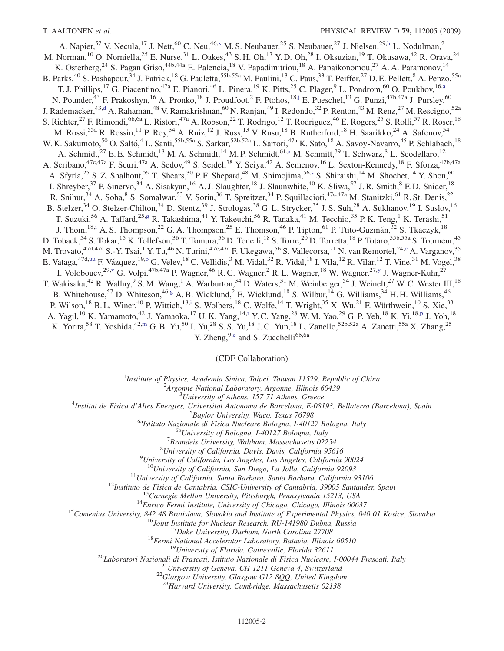<span id="page-4-9"></span><span id="page-4-7"></span><span id="page-4-4"></span><span id="page-4-2"></span>A. Napier,<sup>57</sup> V. Necula,<sup>17</sup> J. Nett,<sup>60</sup> C. Neu,<sup>46[,x](#page-5-13)</sup> M. S. Neubauer,<sup>25</sup> S. Neubauer,<sup>27</sup> J. Nielsen,<sup>29,[h](#page-5-14)</sup> L. Nodulman,<sup>2</sup> M. Norman,<sup>10</sup> O. Norniella,<sup>25</sup> E. Nurse,<sup>31</sup> L. Oakes,<sup>43</sup> S. H. Oh,<sup>17</sup> Y. D. Oh,<sup>28</sup> I. Oksuzian,<sup>19</sup> T. Okusawa,<sup>42</sup> R. Orava,<sup>24</sup> K. Osterberg,<sup>24</sup> S. Pagan Griso,<sup>44b,44a</sup> E. Palencia,<sup>18</sup> V. Papadimitriou,<sup>18</sup> A. Papaikonomou,<sup>27</sup> A. A. Paramonov,<sup>14</sup> B. Parks,<sup>40</sup> S. Pashapour,<sup>34</sup> J. Patrick,<sup>18</sup> G. Pauletta,<sup>55b,55a</sup> M. Paulini,<sup>13</sup> C. Paus,<sup>33</sup> T. Peiffer,<sup>27</sup> D. E. Pellett,<sup>8</sup> A. Penzo,<sup>55a</sup> T. J. Phillips,<sup>17</sup> G. Piacentino,<sup>47a</sup> E. Pianori,<sup>46</sup> L. Pinera,<sup>19</sup> K. Pitts,<sup>25</sup> C. Plager,<sup>9</sup> L. Pondrom,<sup>60</sup> O. Poukhov,<sup>16[,a](#page-5-15)</sup> N. Pounder,<sup>43</sup> F. Prakoshyn,<sup>16</sup> A. Pronko,<sup>18</sup> J. Proudfoot,<sup>2</sup> F. Ptohos,<sup>18[,j](#page-5-16)</sup> E. Pueschel,<sup>13</sup> G. Punzi,<sup>47b,47a</sup> J. Pursley,<sup>60</sup> J. Rademacker,<sup>43[,d](#page-5-7)</sup> A. Rahaman,<sup>48</sup> V. Ramakrishnan,<sup>60</sup> N. Ranjan,<sup>49</sup> I. Redondo,<sup>32</sup> P. Renton,<sup>43</sup> M. Renz,<sup>27</sup> M. Rescigno,<sup>52a</sup> S. Richter,<sup>27</sup> F. Rimondi,<sup>6b,6a</sup> L. Ristori,<sup>47a</sup> A. Robson,<sup>22</sup> T. Rodrigo,<sup>12</sup> T. Rodriguez,<sup>46</sup> E. Rogers,<sup>25</sup> S. Rolli,<sup>57</sup> R. Roser,<sup>18</sup> M. Rossi,<sup>55a</sup> R. Rossin,<sup>11</sup> P. Roy,<sup>34</sup> A. Ruiz,<sup>12</sup> J. Russ,<sup>13</sup> V. Rusu,<sup>18</sup> B. Rutherford,<sup>18</sup> H. Saarikko,<sup>24</sup> A. Safonov,<sup>54</sup> W. K. Sakumoto,<sup>50</sup> O. Saltó,<sup>4</sup> L. Santi,<sup>55b,55a</sup> S. Sarkar,<sup>52b,52a</sup> L. Sartori,<sup>47a</sup> K. Sato,<sup>18</sup> A. Savoy-Navarro,<sup>45</sup> P. Schlabach,<sup>18</sup> A. Schmidt,<sup>27</sup> E. E. Schmidt,<sup>18</sup> M. A. Schmidt,<sup>14</sup> M. P. Schmidt,<sup>61,[a](#page-5-15)</sup> M. Schmitt,<sup>39</sup> T. Schwarz,<sup>8</sup> L. Scodellaro,<sup>12</sup> A. Scribano,<sup>47c,47a</sup> F. Scuri,<sup>47a</sup> A. Sedov,<sup>49</sup> S. Seidel,<sup>38</sup> Y. Seiya,<sup>42</sup> A. Semenov,<sup>16</sup> L. Sexton-Kennedy,<sup>18</sup> F. Sforza,<sup>47b,47a</sup> A. Sfyrla,<sup>25</sup> S. Z. Shalhout,<sup>59</sup> T. Shears,<sup>30</sup> P. F. Shepard,<sup>48</sup> M. Shimojima,<sup>56[,s](#page-5-17)</sup> S. Shiraishi,<sup>14</sup> M. Shochet,<sup>14</sup> Y. Shon,<sup>60</sup> I. Shreyber,<sup>37</sup> P. Sinervo,<sup>34</sup> A. Sisakyan,<sup>16</sup> A. J. Slaughter,<sup>18</sup> J. Slaunwhite,<sup>40</sup> K. Sliwa,<sup>57</sup> J. R. Smith,<sup>8</sup> F. D. Snider,<sup>18</sup> R. Snihur,<sup>34</sup> A. Soha,<sup>8</sup> S. Somalwar,<sup>53</sup> V. Sorin,<sup>36</sup> T. Spreitzer,<sup>34</sup> P. Squillacioti,<sup>47c,47a</sup> M. Stanitzki,<sup>61</sup> R. St. Denis,<sup>22</sup> B. Stelzer,<sup>34</sup> O. Stelzer-Chilton,<sup>34</sup> D. Stentz,<sup>39</sup> J. Strologas,<sup>38</sup> G. L. Strycker,<sup>35</sup> J. S. Suh,<sup>28</sup> A. Sukhanov,<sup>19</sup> I. Suslov,<sup>16</sup> T. Suzuki,<sup>56</sup> A. Taffard,<sup>25,[g](#page-5-18)</sup> R. Takashima,<sup>41</sup> Y. Takeuchi,<sup>56</sup> R. Tanaka,<sup>41</sup> M. Tecchio,<sup>35</sup> P. K. Teng,<sup>1</sup> K. Terashi,<sup>51</sup> J. Thom,<sup>18,[i](#page-5-19)</sup> A. S. Thompson,<sup>22</sup> G. A. Thompson,<sup>25</sup> E. Thomson,<sup>46</sup> P. Tipton,<sup>61</sup> P. Ttito-Guzmán,<sup>32</sup> S. Tkaczyk,<sup>18</sup> D. Toback,<sup>54</sup> S. Tokar,<sup>15</sup> K. Tollefson,<sup>36</sup> T. Tomura,<sup>56</sup> D. Tonelli,<sup>18</sup> S. Torre,<sup>20</sup> D. Torretta,<sup>18</sup> P. Totaro,<sup>55b,55a</sup> S. Tourneur,<sup>45</sup> M. Trovato, <sup>47d,47a</sup> S.-Y. Tsai,<sup>1</sup> Y. Tu,<sup>46</sup> N. Turini,<sup>47c,47a</sup> F. Ukegawa,<sup>56</sup> S. Vallecorsa,<sup>21</sup> N. van Remortel,<sup>24[,c](#page-5-20)</sup> A. Varganov,<sup>35</sup> E. Vataga,<sup>47d,uu</sup> F. Vázquez,<sup>19,0</sup> G. Velev,<sup>18</sup> C. Vellidis,<sup>3</sup> M. Vidal,<sup>32</sup> R. Vidal,<sup>18</sup> I. Vila,<sup>12</sup> R. Vilar,<sup>12</sup> T. Vine,<sup>31</sup> M. V[o](#page-5-4)gel,<sup>38</sup> I. Volobouev,<sup>29[,v](#page-5-10)</sup> G. Volpi,<sup>47b,47a</sup> P. Wagner,<sup>46</sup> R. G. Wagner,<sup>2</sup> R. L. Wagner,<sup>18</sup> W. Wagner,<sup>27,[y](#page-5-21)</sup> J. Wagner-Kuhr,<sup>27</sup> T. Wakisaka,<sup>42</sup> R. Wallny,<sup>9</sup> S. M. Wang,<sup>1</sup> A. Warburton,<sup>34</sup> D. Waters,<sup>31</sup> M. Weinberger,<sup>54</sup> J. Weinelt,<sup>27</sup> W. C. Wester III,<sup>18</sup> B. Whitehouse,<sup>57</sup> D. Whiteson,<sup>46[,g](#page-5-18)</sup> A. B. Wicklund,<sup>2</sup> E. Wicklund,<sup>18</sup> S. Wilbur,<sup>14</sup> G. Williams,<sup>34</sup> H. H. Williams,<sup>46</sup> P. Wilson,<sup>18</sup> B. L. Winer,<sup>40</sup> P. Wittich,<sup>18[,i](#page-5-19)</sup> S. Wolbers,<sup>18</sup> C. Wolfe,<sup>14</sup> T. Wright,<sup>35</sup> X. Wu,<sup>21</sup> F. Würthwein,<sup>10</sup> S. Xie,<sup>33</sup> A. Yagil,<sup>10</sup> K. Yamamoto,<sup>42</sup> J. Yamaoka,<sup>17</sup> U.K. Yang,<sup>14[,r](#page-5-22)</sup> Y.C. Yang,<sup>28</sup> W.M. Yao,<sup>29</sup> G.P. Yeh,<sup>18</sup> K. Yi,<sup>18[,p](#page-5-6)</sup> J. Yoh,<sup>18</sup> K. Yorita,<sup>58</sup> T. Yoshida,<sup>42,[m](#page-5-23)</sup> G. B. Yu,<sup>50</sup> I. Yu,<sup>28</sup> S. S. Yu,<sup>18</sup> J. C. Yun,<sup>18</sup> L. Zanello,<sup>52b,52a</sup> A. Zanetti,<sup>55a</sup> X. Zhang,<sup>25</sup>

Y. Zh[e](#page-5-24)ng,<sup>9,e</sup> and S. Zucchelli<sup>6b,6a</sup>

#### (CDF Collaboration)

<sup>1</sup>Institute of Physics, Academia Sinica, Taipei, Taiwan 11529, Republic of China<br><sup>2</sup>Arganne National Laboratory Arganne Illinois 60430

 $A$ rgonne National Laboratory, Argonne, Illinois 60439<br> $B$ University of Athens, 157 71 Athens, Greece

<span id="page-4-10"></span><span id="page-4-8"></span><span id="page-4-6"></span><span id="page-4-5"></span><span id="page-4-3"></span><span id="page-4-1"></span><span id="page-4-0"></span><sup>3</sup>University of Athens, 157 71 Athens, Greece<sup>4</sup>

Institut de Fisica d'Altes Energies, Universitat Autonoma de Barcelona, E-08193, Bellaterra (Barcelona), Spain<br><sup>5</sup> Baylor University, Wace, Texas 76798

 $^{5}$ Baylor University, Waco, Texas 76798<br><sup>6a</sup>Istituto Nazionale di Fisica Nucleare Bologna, I-40127 Bologna, Italy <sup>6b</sup>University of Bologna, I-40127 Bologna, Italy

 ${}^{7}$ Brandeis University, Waltham, Massachusetts 02254

 ${}^{8}$ University of California, Davis, Davis, California 95616

 $^{9}$ University of California, Los Angeles, Los Angeles, California 90024

<sup>10</sup>University of California, San Diego, La Jolla, California 92093<br><sup>11</sup>University of California, Santa Barbara, Santa Barbara, California 93106<br><sup>12</sup>Instituto de Fisica de Cantabria, CSIC-University of Cantabria, 39005 Sa

<sup>23</sup>Harvard University, Cambridge, Massachusetts 02138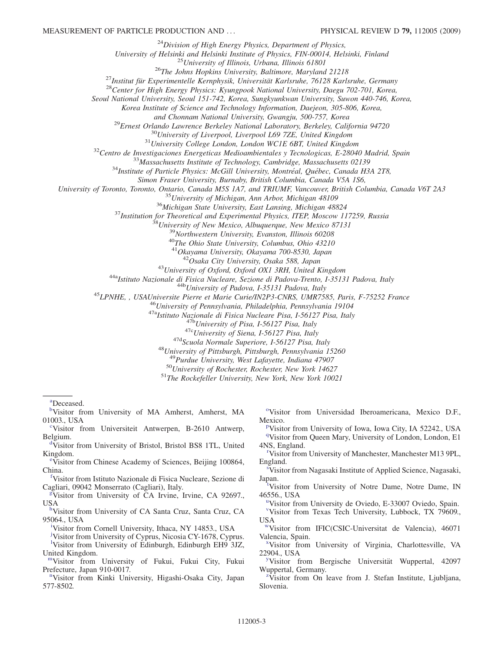$^{24}$ Division of High Energy Physics, Department of Physics,

University of Helsinki and Helsinki Institute of Physics, FIN-00014, Helsinki, Finland<sup>25</sup>University of Illinois, Urbana, Illinois 61801<br><sup>25</sup>The Johns Hopkins University, Baltimore, Maryland 21218<br><sup>27</sup>Institut für Experime

Seoul National University, Seoul 151-742, Korea, Sungkyunkwan University, Suwon 440-746, Korea,

Korea Institute of Science and Technology Information, Daejeon, 305-806, Korea,

<sup>29</sup>Ernest Orlando Lawrence Berkeley National Laboratory, Berkeley, California 94720<br><sup>30</sup>University of Liverpool, Liverpool L69 7ZE, United Kingdom<br><sup>31</sup>University College London, London WCIE 6BT, United Kingdom<br><sup>32</sup>Centro

Simon Fraser University, Burnaby, British Columbia, Canada V5A 1S6,<br>University of Toronto, Toronto, Ontario, Canada M5S 1A7, and TRIUMF, Vancouver, British Columbia, Canada V6T 2A3

<sup>35</sup> University of Michigan, Ann Arbor, Michigan 48109<br><sup>36</sup> Michigan State University, East Lansing, Michigan 48824<br><sup>37</sup> Institution for Theoretical and Experimental Physics, ITEP, Moscow 117259, Russia<br><sup>38</sup> University of

 $^{41}O$ kayama University, Okayama 700-8530, Japan<br> $^{42}O$ saka City University, Osaka 588, Japan

<sup>42</sup>Osaka City University, Osaka 588, Japan<br><sup>43</sup>University of Oxford, Oxford OX1 3RH, United Kingdom<br><sup>44</sup>Nalstituto Nazionale di Fisica Nucleare, Sezione di Padova-Trento, 1-35131 Padova, Italy<br><sup>44</sup>Nalstituto Nazionale di

<sup>48</sup>University of Pittsburgh, Pittsburgh, Pennsylvania 15260<br><sup>49</sup>Purdue University, West Lafayette, Indiana 47907<br><sup>50</sup>University of Rochester, Rochester, New York 14627<br><sup>51</sup>The Rockefeller University, New York, New York 1

<span id="page-5-15"></span>[a](#page-4-9) Deceased.

<span id="page-5-2"></span>[b](#page-3-4) Visitor from University of MA Amherst, Amherst, MA 01003., USA

<span id="page-5-20"></span><sup>[c](#page-4-8)</sup>Visitor from Universiteit Antwerpen, B-2610 Antwerp, Belgium.

<span id="page-5-7"></span>[d](#page-3-9) Visitor from University of Bristol, Bristol BS8 1TL, United Kingdom.

<span id="page-5-24"></span>[e](#page-4-6) Visitor from Chinese Academy of Sciences, Beijing 100864, China.

<span id="page-5-11"></span>[f](#page-3-5) Visitor from Istituto Nazionale di Fisica Nucleare, Sezione di Cagliari, 09042 Monserrato (Cagliari), Italy.

<span id="page-5-18"></span>[g](#page-4-5) Visitor from University of CA Irvine, Irvine, CA 92697., USA

<span id="page-5-14"></span>[h](#page-4-2)Visitor from University of CA Santa Cruz, Santa Cruz, CA 95064., USA

<span id="page-5-19"></span>[i](#page-4-0) Visitor from Cornell University, Ithaca, NY 14853., USA

<span id="page-5-16"></span><span id="page-5-12"></span><sup>1</sup>Visitor from University of Edinburgh, Edinburgh EH9<sup>5</sup>3JZ, United Kingdom. [j](#page-4-4) Visitor from University of Cyprus, Nicosia CY-1678, Cyprus.

<span id="page-5-23"></span>[mV](#page-4-3)isitor from University of Fukui, Fukui City, Fukui Prefecture, Japan 910-0017.

<span id="page-5-8"></span><sup>[n](#page-3-2)</sup>Visitor from Kinki University, Higashi-Osaka City, Japan 577-8502.

<span id="page-5-4"></span><sup>[o](#page-3-6)</sup>Visitor from Universidad Iberoamericana, Mexico D.F., Mexico.

<span id="page-5-6"></span><span id="page-5-5"></span><sup>[q](#page-3-10)</sup>Visitor from Queen Mary, University of London, London, E1 4NS, England. <su[p](#page-3-11)>p</sup>Visitor from University of Iowa, Iowa City, IA 52242., USA

<span id="page-5-22"></span>[r](#page-4-10) Visitor from University of Manchester, Manchester M13 9PL, England.

<span id="page-5-17"></span>[s](#page-4-7) Visitor from Nagasaki Institute of Applied Science, Nagasaki, Japan.

<span id="page-5-9"></span><sup>[t](#page-3-8)</sup>Visitor from University of Notre Dame, Notre Dame, IN 46556., USA

<span id="page-5-10"></span><span id="page-5-0"></span><s[u](#page-3-0)p>u</sup>Visitor from University de Oviedo, E-33007 Oviedo, Spain. [v](#page-3-7) Visitor from Texas Tech University, Lubbock, TX 79609., USA

<span id="page-5-3"></span>[wV](#page-3-0)isitor from IFIC(CSIC-Universitat de Valencia), 46071 Valencia, Spain.

<span id="page-5-13"></span>[x](#page-4-2) Visitor from University of Virginia, Charlottesville, VA 22904., USA

<span id="page-5-21"></span>visitor from Bergische Universität Wuppertal, 42097 Wuppertal, Germany.

<span id="page-5-1"></span><sup>[z](#page-3-1)</sup>Visitor from On leave from J. Stefan Institute, Ljubljana, Slovenia.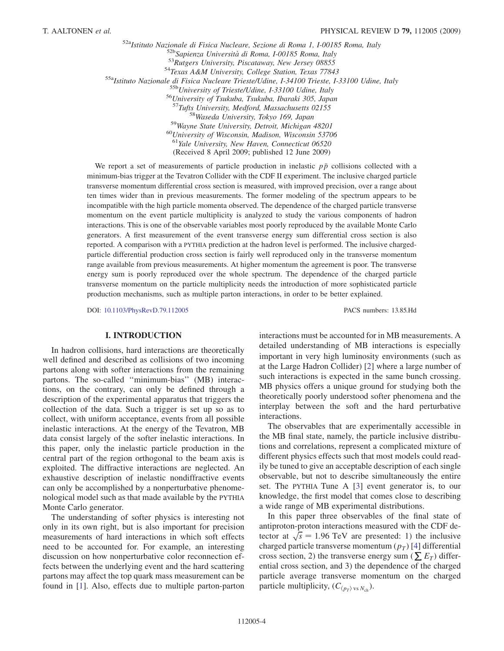$52a<sub>Isitituto</sub> Nazionale di Fisica Nucleare, Sezione di Roma 1, 1-00185 Roma, Italy  
\n52b<sub>52p</sub> Sapienza Università di Roma, 1-00185 Roma, Italy  
\n53Rutgers University, Piscataway, New Jersey 08855  
\n54 Texas A&M University, College Station, Texas 77843  
\n55a<sub>Isitituto</sub> Nazionale di Fisica Nucleare Trieste/Udine, 1-34100 Trieste, 1-33100 Udine, Italy  
\n55b University of Trieste/Udine, 1-33100 Udine, Italy  
\n56 University of Tsukuba, Tsukuba, Ibaraki 30$  $558$ Waseda University, Tokyo 169, Japan  $59$ Wayne State University, Detroit, Michigan 48201 60University of Wisconsin, Madison, Wisconsin 53706  $<sup>61</sup>$  Yale University, New Haven, Connecticut 06520</sup> (Received 8 April 2009; published 12 June 2009)

We report a set of measurements of particle production in inelastic  $p\bar{p}$  collisions collected with a minimum-bias trigger at the Tevatron Collider with the CDF II experiment. The inclusive charged particle transverse momentum differential cross section is measured, with improved precision, over a range about ten times wider than in previous measurements. The former modeling of the spectrum appears to be incompatible with the high particle momenta observed. The dependence of the charged particle transverse momentum on the event particle multiplicity is analyzed to study the various components of hadron interactions. This is one of the observable variables most poorly reproduced by the available Monte Carlo generators. A first measurement of the event transverse energy sum differential cross section is also reported. A comparison with a PYTHIA prediction at the hadron level is performed. The inclusive chargedparticle differential production cross section is fairly well reproduced only in the transverse momentum range available from previous measurements. At higher momentum the agreement is poor. The transverse energy sum is poorly reproduced over the whole spectrum. The dependence of the charged particle transverse momentum on the particle multiplicity needs the introduction of more sophisticated particle production mechanisms, such as multiple parton interactions, in order to be better explained.

DOI: [10.1103/PhysRevD.79.112005](http://dx.doi.org/10.1103/PhysRevD.79.112005) PACS numbers: 13.85.Hd

#### I. INTRODUCTION

In hadron collisions, hard interactions are theoretically well defined and described as collisions of two incoming partons along with softer interactions from the remaining partons. The so-called ''minimum-bias'' (MB) interactions, on the contrary, can only be defined through a description of the experimental apparatus that triggers the collection of the data. Such a trigger is set up so as to collect, with uniform acceptance, events from all possible inelastic interactions. At the energy of the Tevatron, MB data consist largely of the softer inelastic interactions. In this paper, only the inelastic particle production in the central part of the region orthogonal to the beam axis is exploited. The diffractive interactions are neglected. An exhaustive description of inelastic nondiffractive events can only be accomplished by a nonperturbative phenomenological model such as that made available by the PYTHIA Monte Carlo generator.

The understanding of softer physics is interesting not only in its own right, but is also important for precision measurements of hard interactions in which soft effects need to be accounted for. For example, an interesting discussion on how nonperturbative color reconnection effects between the underlying event and the hard scattering partons may affect the top quark mass measurement can be found in [\[1](#page-23-0)]. Also, effects due to multiple parton-parton interactions must be accounted for in MB measurements. A detailed understanding of MB interactions is especially important in very high luminosity environments (such as at the Large Hadron Collider) [[2](#page-23-1)] where a large number of such interactions is expected in the same bunch crossing. MB physics offers a unique ground for studying both the theoretically poorly understood softer phenomena and the interplay between the soft and the hard perturbative interactions.

The observables that are experimentally accessible in the MB final state, namely, the particle inclusive distributions and correlations, represent a complicated mixture of different physics effects such that most models could readily be tuned to give an acceptable description of each single observable, but not to describe simultaneously the entire set. The PYTHIA Tune A [\[3\]](#page-23-2) event generator is, to our knowledge, the first model that comes close to describing a wide range of MB experimental distributions.

In this paper three observables of the final state of antiproton-proton interactions measured with the CDF detector at  $\sqrt{s}$  = 1.96 TeV are presented: 1) the inclusive charged particle transverse momentum  $(p_T)$  [[4\]](#page-23-3) differential cross section, 2) the transverse energy sum ( $\sum E_T$ ) differential cross section, and 3) the dependence of the charged particle average transverse momentum on the charged particle multiplicity,  $(C_{\langle p_T \rangle \text{ vs } N_{ch}})$ .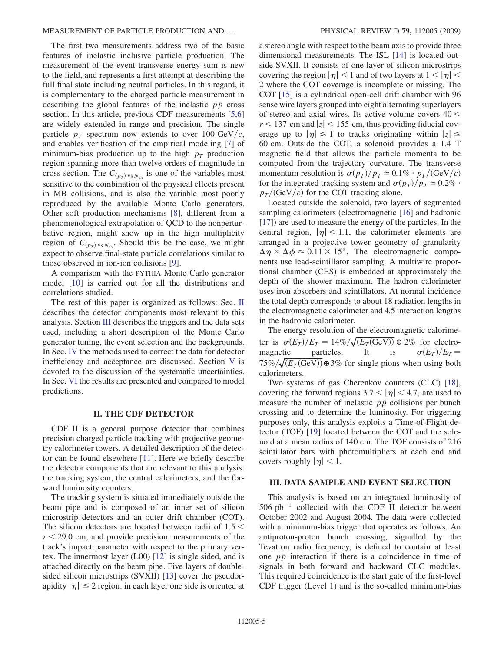The first two measurements address two of the basic features of inelastic inclusive particle production. The measurement of the event transverse energy sum is new to the field, and represents a first attempt at describing the full final state including neutral particles. In this regard, it is complementary to the charged particle measurement in describing the global features of the inelastic  $p\bar{p}$  cross section. In this article, previous CDF measurements [[5](#page-23-4)[,6\]](#page-23-5) are widely extended in range and precision. The single particle  $p_T$  spectrum now extends to over 100 GeV/c, and enables verification of the empirical modeling [\[7](#page-23-6)] of minimum-bias production up to the high  $p<sub>T</sub>$  production region spanning more than twelve orders of magnitude in cross section. The  $C_{\langle p_T \rangle \text{ vs } N_{\text{ch}}}$  is one of the variables most sensitive to the combination of the physical effects present in MB collisions, and is also the variable most poorly reproduced by the available Monte Carlo generators. Other soft production mechanisms [[8\]](#page-23-7), different from a phenomenological extrapolation of QCD to the nonperturbative region, might show up in the high multiplicity region of  $C_{\langle p_T \rangle \text{ vs } N_{\text{ch}} }$ . Should this be the case, we might expect to observe final-state particle correlations similar to those observed in ion-ion collisions [[9](#page-23-8)].

A comparison with the PYTHIA Monte Carlo generator model [\[10\]](#page-23-9) is carried out for all the distributions and correlations studied.

The rest of this paper is organized as follows: Sec. II describes the detector components most relevant to this analysis. Section III describes the triggers and the data sets used, including a short description of the Monte Carlo generator tuning, the event selection and the backgrounds. In Sec. IV the methods used to correct the data for detector inefficiency and acceptance are discussed. Section V is devoted to the discussion of the systematic uncertainties. In Sec. VI the results are presented and compared to model predictions.

#### II. THE CDF DETECTOR

CDF II is a general purpose detector that combines precision charged particle tracking with projective geometry calorimeter towers. A detailed description of the detector can be found elsewhere [\[11\]](#page-23-10). Here we briefly describe the detector components that are relevant to this analysis: the tracking system, the central calorimeters, and the forward luminosity counters.

The tracking system is situated immediately outside the beam pipe and is composed of an inner set of silicon microstrip detectors and an outer drift chamber (COT). The silicon detectors are located between radii of  $1.5 <$  $r < 29.0$  cm, and provide precision measurements of the track's impact parameter with respect to the primary vertex. The innermost layer (L00) [\[12\]](#page-23-11) is single sided, and is attached directly on the beam pipe. Five layers of doublesided silicon microstrips (SVXII) [[13](#page-23-12)] cover the pseudorapidity  $|\eta| \leq 2$  region: in each layer one side is oriented at a stereo angle with respect to the beam axis to provide three dimensional measurements. The ISL [\[14\]](#page-23-13) is located outside SVXII. It consists of one layer of silicon microstrips covering the region  $|\eta|$  < 1 and of two layers at  $1 < |\eta|$  < 2 where the COT coverage is incomplete or missing. The COT [\[15\]](#page-23-14) is a cylindrical open-cell drift chamber with 96 sense wire layers grouped into eight alternating superlayers of stereo and axial wires. Its active volume covers  $40 <$  $r$  < 137 cm and  $|z|$  < 155 cm, thus providing fiducial coverage up to  $|\eta| \leq 1$  to tracks originating within  $|z| \leq$ 60 cm. Outside the COT, a solenoid provides a 1.4 T magnetic field that allows the particle momenta to be computed from the trajectory curvature. The transverse momentum resolution is  $\sigma(p_T)/p_T \simeq 0.1\% \cdot p_T/(\text{GeV}/c)$ for the integrated tracking system and  $\sigma(p_T)/p_T \approx 0.2\%$ .  $p_T/(GeV/c)$  for the COT tracking alone.

Located outside the solenoid, two layers of segmented sampling calorimeters (electromagnetic [\[16\]](#page-23-15) and hadronic [\[17\]](#page-23-16)) are used to measure the energy of the particles. In the central region,  $|\eta|$  < 1.1, the calorimeter elements are arranged in a projective tower geometry of granularity  $\Delta \eta \times \Delta \phi \approx 0.11 \times 15^{\circ}$ . The electromagnetic components use lead-scintillator sampling. A multiwire proportional chamber (CES) is embedded at approximately the depth of the shower maximum. The hadron calorimeter uses iron absorbers and scintillators. At normal incidence the total depth corresponds to about 18 radiation lengths in the electromagnetic calorimeter and 4.5 interaction lengths in the hadronic calorimeter.

The energy resolution of the electromagnetic calorimeter is  $\sigma(E_T)/E_T = 14\% / \sqrt{(E_T(\text{GeV}))} \oplus 2\%$  for electromagnetic particles. It is  $\sigma(E_T)/E_T =$  $75\% / \sqrt{(E_T(\text{GeV}))} \oplus 3\%$  for single pions when using both calorimeters.

Two systems of gas Cherenkov counters (CLC) [[18\]](#page-23-17), covering the forward regions  $3.7 < |\eta| < 4.7$ , are used to measure the number of inelastic  $p\bar{p}$  collisions per bunch crossing and to determine the luminosity. For triggering purposes only, this analysis exploits a Time-of-Flight detector (TOF) [[19](#page-23-18)] located between the COT and the solenoid at a mean radius of 140 cm. The TOF consists of 216 scintillator bars with photomultipliers at each end and covers roughly  $|\eta|$  < 1.

#### III. DATA SAMPLE AND EVENT SELECTION

This analysis is based on an integrated luminosity of  $506$   $pb^{-1}$  collected with the CDF II detector between October 2002 and August 2004. The data were collected with a minimum-bias trigger that operates as follows. An antiproton-proton bunch crossing, signalled by the Tevatron radio frequency, is defined to contain at least one  $p\bar{p}$  interaction if there is a coincidence in time of signals in both forward and backward CLC modules. This required coincidence is the start gate of the first-level CDF trigger (Level 1) and is the so-called minimum-bias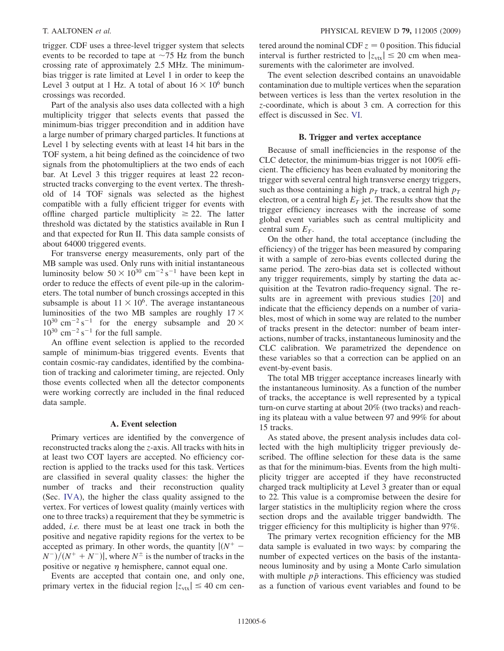trigger. CDF uses a three-level trigger system that selects events to be recorded to tape at  $\sim$ 75 Hz from the bunch crossing rate of approximately 2.5 MHz. The minimumbias trigger is rate limited at Level 1 in order to keep the Level 3 output at 1 Hz. A total of about  $16 \times 10^6$  bunch crossings was recorded.

Part of the analysis also uses data collected with a high multiplicity trigger that selects events that passed the minimum-bias trigger precondition and in addition have a large number of primary charged particles. It functions at Level 1 by selecting events with at least 14 hit bars in the TOF system, a hit being defined as the coincidence of two signals from the photomultipliers at the two ends of each bar. At Level 3 this trigger requires at least 22 reconstructed tracks converging to the event vertex. The threshold of 14 TOF signals was selected as the highest compatible with a fully efficient trigger for events with offline charged particle multiplicity  $\geq 22$ . The latter threshold was dictated by the statistics available in Run I and that expected for Run II. This data sample consists of about 64000 triggered events.

For transverse energy measurements, only part of the MB sample was used. Only runs with initial instantaneous luminosity below  $50 \times 10^{30}$  cm<sup>-2</sup> s<sup>-1</sup> have been kept in order to reduce the effects of event pile-up in the calorimeters. The total number of bunch crossings accepted in this subsample is about  $11 \times 10^6$ . The average instantaneous luminosities of the two MB samples are roughly  $17 \times$  $10^{30}$  cm<sup>-2</sup> s<sup>-1</sup> for the energy subsample and  $20 \times$  $10^{30}$  cm<sup>-2</sup> s<sup>-1</sup> for the full sample.

An offline event selection is applied to the recorded sample of minimum-bias triggered events. Events that contain cosmic-ray candidates, identified by the combination of tracking and calorimeter timing, are rejected. Only those events collected when all the detector components were working correctly are included in the final reduced data sample.

#### A. Event selection

Primary vertices are identified by the convergence of reconstructed tracks along the z-axis. All tracks with hits in at least two COT layers are accepted. No efficiency correction is applied to the tracks used for this task. Vertices are classified in several quality classes: the higher the number of tracks and their reconstruction quality (Sec. IVA), the higher the class quality assigned to the vertex. For vertices of lowest quality (mainly vertices with one to three tracks) a requirement that they be symmetric is added, i.e. there must be at least one track in both the positive and negative rapidity regions for the vertex to be accepted as primary. In other words, the quantity  $\int (N^+ (N^-)/(N^+ + N^-)$ , where  $N^{\pm}$  is the number of tracks in the positive or negative  $\eta$  hemisphere, cannot equal one.

Events are accepted that contain one, and only one, primary vertex in the fiducial region  $|z_{\text{vtx}}| \leq 40$  cm centered around the nominal CDF  $z = 0$  position. This fiducial interval is further restricted to  $|z_{\text{vtx}}| \le 20$  cm when measurements with the calorimeter are involved.

The event selection described contains an unavoidable contamination due to multiple vertices when the separation between vertices is less than the vertex resolution in the z-coordinate, which is about 3 cm. A correction for this effect is discussed in Sec. VI.

#### B. Trigger and vertex acceptance

Because of small inefficiencies in the response of the CLC detector, the minimum-bias trigger is not 100% efficient. The efficiency has been evaluated by monitoring the trigger with several central high transverse energy triggers, such as those containing a high  $p_T$  track, a central high  $p_T$ electron, or a central high  $E_T$  jet. The results show that the trigger efficiency increases with the increase of some global event variables such as central multiplicity and central sum  $E_T$ .

On the other hand, the total acceptance (including the efficiency) of the trigger has been measured by comparing it with a sample of zero-bias events collected during the same period. The zero-bias data set is collected without any trigger requirements, simply by starting the data acquisition at the Tevatron radio-frequency signal. The results are in agreement with previous studies [\[20\]](#page-23-19) and indicate that the efficiency depends on a number of variables, most of which in some way are related to the number of tracks present in the detector: number of beam interactions, number of tracks, instantaneous luminosity and the CLC calibration. We parametrized the dependence on these variables so that a correction can be applied on an event-by-event basis.

The total MB trigger acceptance increases linearly with the instantaneous luminosity. As a function of the number of tracks, the acceptance is well represented by a typical turn-on curve starting at about 20% (two tracks) and reaching its plateau with a value between 97 and 99% for about 15 tracks.

As stated above, the present analysis includes data collected with the high multiplicity trigger previously described. The offline selection for these data is the same as that for the minimum-bias. Events from the high multiplicity trigger are accepted if they have reconstructed charged track multiplicity at Level 3 greater than or equal to 22. This value is a compromise between the desire for larger statistics in the multiplicity region where the cross section drops and the available trigger bandwidth. The trigger efficiency for this multiplicity is higher than 97%.

The primary vertex recognition efficiency for the MB data sample is evaluated in two ways: by comparing the number of expected vertices on the basis of the instantaneous luminosity and by using a Monte Carlo simulation with multiple  $p\bar{p}$  interactions. This efficiency was studied as a function of various event variables and found to be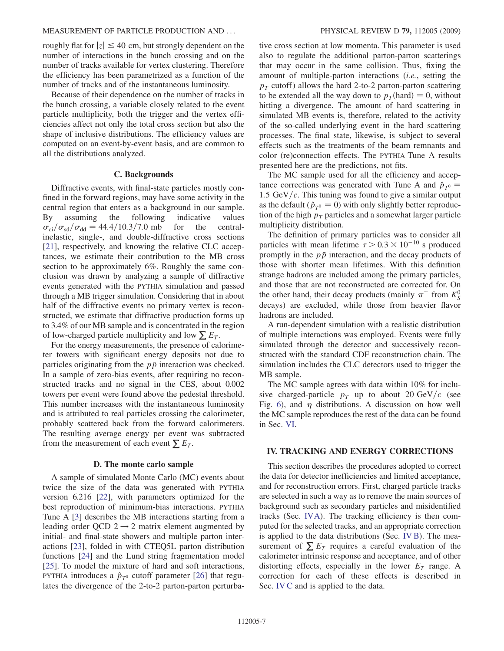roughly flat for  $|z| \leq 40$  cm, but strongly dependent on the number of interactions in the bunch crossing and on the number of tracks available for vertex clustering. Therefore the efficiency has been parametrized as a function of the number of tracks and of the instantaneous luminosity.

Because of their dependence on the number of tracks in the bunch crossing, a variable closely related to the event particle multiplicity, both the trigger and the vertex efficiencies affect not only the total cross section but also the shape of inclusive distributions. The efficiency values are computed on an event-by-event basis, and are common to all the distributions analyzed.

#### C. Backgrounds

Diffractive events, with final-state particles mostly confined in the forward regions, may have some activity in the central region that enters as a background in our sample. By assuming the following indicative values  $\sigma_{ci}/\sigma_{sd}/\sigma_{dd} = 44.4/10.3/7.0$  mb for the centralinelastic, single-, and double-diffractive cross sections [\[21\]](#page-23-20), respectively, and knowing the relative CLC acceptances, we estimate their contribution to the MB cross section to be approximately 6%. Roughly the same conclusion was drawn by analyzing a sample of diffractive events generated with the PYTHIA simulation and passed through a MB trigger simulation. Considering that in about half of the diffractive events no primary vertex is reconstructed, we estimate that diffractive production forms up to 3.4% of our MB sample and is concentrated in the region of low-charged particle multiplicity and low  $\sum E_T$ .

For the energy measurements, the presence of calorimeter towers with significant energy deposits not due to particles originating from the  $p\bar{p}$  interaction was checked. In a sample of zero-bias events, after requiring no reconstructed tracks and no signal in the CES, about 0.002 towers per event were found above the pedestal threshold. This number increases with the instantaneous luminosity and is attributed to real particles crossing the calorimeter, probably scattered back from the forward calorimeters. The resulting average energy per event was subtracted from the measurement of each event  $\sum E_T$ .

#### D. The monte carlo sample

A sample of simulated Monte Carlo (MC) events about twice the size of the data was generated with PYTHIA version 6.216 [\[22\]](#page-23-21), with parameters optimized for the best reproduction of minimum-bias interactions. PYTHIA Tune A [[3](#page-23-2)] describes the MB interactions starting from a leading order QCD  $2 \rightarrow 2$  matrix element augmented by initial- and final-state showers and multiple parton interactions [\[23\]](#page-23-22), folded in with CTEQ5L parton distribution functions [[24](#page-23-23)] and the Lund string fragmentation model [\[25\]](#page-23-24). To model the mixture of hard and soft interactions, PYTHIA introduces a  $\hat{p}_{T^0}$  cutoff parameter [[26](#page-23-25)] that regulates the divergence of the 2-to-2 parton-parton perturbative cross section at low momenta. This parameter is used also to regulate the additional parton-parton scatterings that may occur in the same collision. Thus, fixing the amount of multiple-parton interactions (i.e., setting the  $p_T$  cutoff) allows the hard 2-to-2 parton-parton scattering to be extended all the way down to  $p_T$ (hard) = 0, without hitting a divergence. The amount of hard scattering in simulated MB events is, therefore, related to the activity of the so-called underlying event in the hard scattering processes. The final state, likewise, is subject to several effects such as the treatments of the beam remnants and color (re)connection effects. The PYTHIA Tune A results presented here are the predictions, not fits.

The MC sample used for all the efficiency and acceptance corrections was generated with Tune A and  $\hat{p}_{T^0}$  = 1.5 GeV/ $c$ . This tuning was found to give a similar output as the default ( $\hat{p}_{T^0} = 0$ ) with only slightly better reproduction of the high  $p_T$  particles and a somewhat larger particle multiplicity distribution.

The definition of primary particles was to consider all particles with mean lifetime  $\tau > 0.3 \times 10^{-10}$  s produced promptly in the  $p\bar{p}$  interaction, and the decay products of those with shorter mean lifetimes. With this definition strange hadrons are included among the primary particles, and those that are not reconstructed are corrected for. On the other hand, their decay products (mainly  $\pi^{\pm}$  from  $K_S^0$ decays) are excluded, while those from heavier flavor hadrons are included.

A run-dependent simulation with a realistic distribution of multiple interactions was employed. Events were fully simulated through the detector and successively reconstructed with the standard CDF reconstruction chain. The simulation includes the CLC detectors used to trigger the MB sample.

The MC sample agrees with data within 10% for inclusive charged-particle  $p_T$  up to about 20 GeV/c (see Fig. [6](#page-16-0)), and  $\eta$  distributions. A discussion on how well the MC sample reproduces the rest of the data can be found in Sec. VI.

#### IV. TRACKING AND ENERGY CORRECTIONS

This section describes the procedures adopted to correct the data for detector inefficiencies and limited acceptance, and for reconstruction errors. First, charged particle tracks are selected in such a way as to remove the main sources of background such as secondary particles and misidentified tracks (Sec. IVA). The tracking efficiency is then computed for the selected tracks, and an appropriate correction is applied to the data distributions (Sec. IV B). The measurement of  $\sum E_T$  requires a careful evaluation of the calorimeter intrinsic response and acceptance, and of other distorting effects, especially in the lower  $E_T$  range. A correction for each of these effects is described in Sec. IV C and is applied to the data.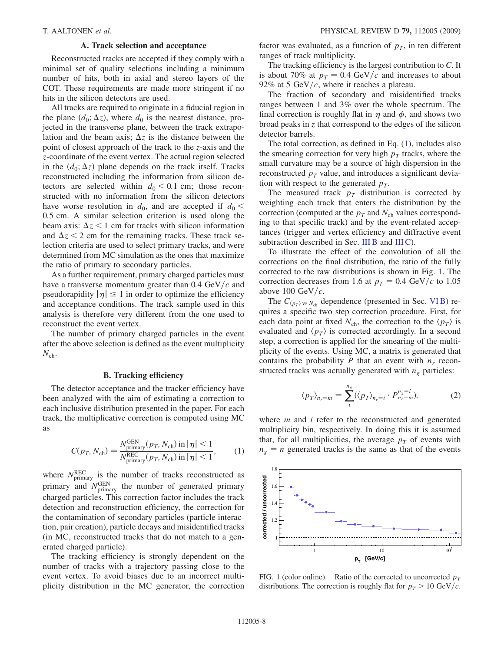#### A. Track selection and acceptance

Reconstructed tracks are accepted if they comply with a minimal set of quality selections including a minimum number of hits, both in axial and stereo layers of the COT. These requirements are made more stringent if no hits in the silicon detectors are used.

All tracks are required to originate in a fiducial region in the plane  $(d_0; \Delta z)$ , where  $d_0$  is the nearest distance, projected in the transverse plane, between the track extrapolation and the beam axis;  $\Delta z$  is the distance between the point of closest approach of the track to the z-axis and the z-coordinate of the event vertex. The actual region selected in the  $(d_0; \Delta z)$  plane depends on the track itself. Tracks reconstructed including the information from silicon detectors are selected within  $d_0 < 0.1$  cm; those reconstructed with no information from the silicon detectors have worse resolution in  $d_0$ , and are accepted if  $d_0$  < 0:5 cm. A similar selection criterion is used along the beam axis:  $\Delta z < 1$  cm for tracks with silicon information and  $\Delta z$  < 2 cm for the remaining tracks. These track selection criteria are used to select primary tracks, and were determined from MC simulation as the ones that maximize the ratio of primary to secondary particles.

As a further requirement, primary charged particles must have a transverse momentum greater than  $0.4 \text{ GeV}/c$  and pseudorapidity  $|\eta| \leq 1$  in order to optimize the efficiency and acceptance conditions. The track sample used in this analysis is therefore very different from the one used to reconstruct the event vertex.

The number of primary charged particles in the event after the above selection is defined as the event multiplicity  $N_{\text{ch}}$ .

#### B. Tracking efficiency

The detector acceptance and the tracker efficiency have been analyzed with the aim of estimating a correction to each inclusive distribution presented in the paper. For each track, the multiplicative correction is computed using MC as

<span id="page-10-0"></span>
$$
C(p_T, N_{\text{ch}}) = \frac{N_{\text{primary}}^{\text{GEN}}(p_T, N_{\text{ch}}) \text{ in } |\eta| < 1}{N_{\text{primary}}^{\text{REC}}(p_T, N_{\text{ch}}) \text{ in } |\eta| < 1},\tag{1}
$$

where  $N_{\text{primary}}^{\text{REC}}$  is the number of tracks reconstructed as primary and  $N_{\text{primary}}^{\text{GEN}}$  the number of generated primary charged particles. This correction factor includes the track detection and reconstruction efficiency, the correction for the contamination of secondary particles (particle interaction, pair creation), particle decays and misidentified tracks (in MC, reconstructed tracks that do not match to a generated charged particle).

The tracking efficiency is strongly dependent on the number of tracks with a trajectory passing close to the event vertex. To avoid biases due to an incorrect multiplicity distribution in the MC generator, the correction factor was evaluated, as a function of  $p<sub>T</sub>$ , in ten different ranges of track multiplicity.

The tracking efficiency is the largest contribution to C. It is about 70% at  $p_T = 0.4$  GeV/c and increases to about 92% at 5 GeV/c, where it reaches a plateau.

The fraction of secondary and misidentified tracks ranges between 1 and 3% over the whole spectrum. The final correction is roughly flat in  $\eta$  and  $\phi$ , and shows two broad peaks in z that correspond to the edges of the silicon detector barrels.

The total correction, as defined in Eq. [\(1](#page-10-0)), includes also the smearing correction for very high  $p_T$  tracks, where the small curvature may be a source of high dispersion in the reconstructed  $p_T$  value, and introduces a significant deviation with respect to the generated  $p_T$ .

The measured track  $p<sub>T</sub>$  distribution is corrected by weighting each track that enters the distribution by the correction (computed at the  $p_T$  and  $N_{ch}$  values corresponding to that specific track) and by the event-related acceptances (trigger and vertex efficiency and diffractive event subtraction described in Sec. III B and III C).

To illustrate the effect of the convolution of all the corrections on the final distribution, the ratio of the fully corrected to the raw distributions is shown in Fig. [1.](#page-10-1) The correction decreases from 1.6 at  $p_T = 0.4 \text{ GeV}/c$  to 1.05 above 100 GeV/ $c$ .

The  $C_{\langle p_T \rangle \text{ vs } N_{\text{ch}}}$  dependence (presented in Sec. VI B) requires a specific two step correction procedure. First, for each data point at fixed  $N_{ch}$ , the correction to the  $\langle p_T \rangle$  is evaluated and  $\langle p_T \rangle$  is corrected accordingly. In a second step, a correction is applied for the smearing of the multiplicity of the events. Using MC, a matrix is generated that contains the probability P that an event with  $n_r$  reconstructed tracks was actually generated with  $n_e$  particles:

$$
\langle p_T \rangle_{n_r=m} = \sum_{i}^{n_g} (\langle p_T \rangle_{n_r=i} \cdot P_{n_r=m}^{n_g=i}), \tag{2}
$$

where  $m$  and  $i$  refer to the reconstructed and generated multiplicity bin, respectively. In doing this it is assumed that, for all multiplicities, the average  $p<sub>T</sub>$  of events with  $n_e = n$  generated tracks is the same as that of the events

<span id="page-10-1"></span>

FIG. 1 (color online). Ratio of the corrected to uncorrected  $p_T$ distributions. The correction is roughly flat for  $p_T > 10 \text{ GeV}/c$ .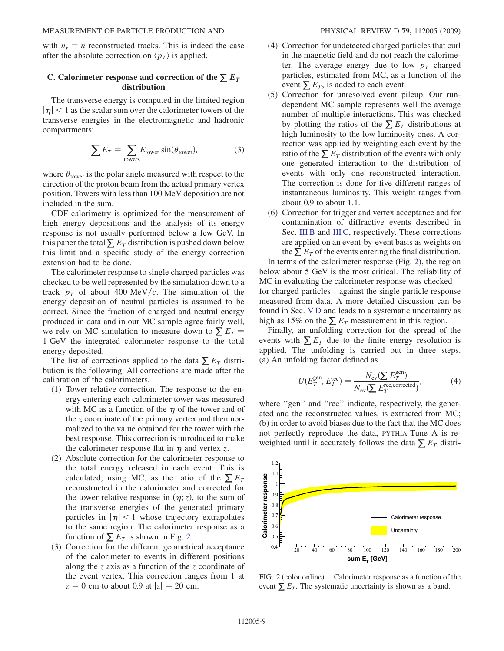with  $n_r = n$  reconstructed tracks. This is indeed the case after the absolute correction on  $\langle p_T \rangle$  is applied.

#### C. Calorimeter response and correction of the  $\sum E_T$ distribution

The transverse energy is computed in the limited region  $|\eta|$  < 1 as the scalar sum over the calorimeter towers of the transverse energies in the electromagnetic and hadronic compartments:

$$
\sum E_T = \sum_{\text{towers}} E_{\text{tower}} \sin(\theta_{\text{tower}}),\tag{3}
$$

where  $\theta_{\text{tower}}$  is the polar angle measured with respect to the direction of the proton beam from the actual primary vertex position. Towers with less than 100 MeV deposition are not included in the sum.

CDF calorimetry is optimized for the measurement of high energy depositions and the analysis of its energy response is not usually performed below a few GeV. In this paper the total  $\sum E_T$  distribution is pushed down below this limit and a specific study of the energy correction extension had to be done.

The calorimeter response to single charged particles was checked to be well represented by the simulation down to a track  $p<sub>T</sub>$  of about 400 MeV/c. The simulation of the energy deposition of neutral particles is assumed to be correct. Since the fraction of charged and neutral energy produced in data and in our MC sample agree fairly well, we rely on MC simulation to measure down to  $\sum E_T$  = 1 GeV the integrated calorimeter response to the total energy deposited.

The list of corrections applied to the data  $\sum E_T$  distribution is the following. All corrections are made after the calibration of the calorimeters.

- (1) Tower relative correction. The response to the energy entering each calorimeter tower was measured with MC as a function of the  $\eta$  of the tower and of the z coordinate of the primary vertex and then normalized to the value obtained for the tower with the best response. This correction is introduced to make the calorimeter response flat in  $\eta$  and vertex z.
- (2) Absolute correction for the calorimeter response to the total energy released in each event. This is calculated, using MC, as the ratio of the  $\sum E_T$ reconstructed in the calorimeter and corrected for the tower relative response in  $(\eta; z)$ , to the sum of the transverse energies of the generated primary particles in  $|\eta|$  < 1 whose trajectory extrapolates to the same region. The calorimeter response as a function of  $\sum E_T$  is shown in Fig. [2.](#page-11-0)
- (3) Correction for the different geometrical acceptance of the calorimeter to events in different positions along the z axis as a function of the z coordinate of the event vertex. This correction ranges from 1 at  $z = 0$  cm to about 0.9 at  $|z| = 20$  cm.
- (4) Correction for undetected charged particles that curl in the magnetic field and do not reach the calorimeter. The average energy due to low  $p_T$  charged particles, estimated from MC, as a function of the event  $\sum E_T$ , is added to each event.
- (5) Correction for unresolved event pileup. Our rundependent MC sample represents well the average number of multiple interactions. This was checked by plotting the ratios of the  $\sum E_T$  distributions at high luminosity to the low luminosity ones. A correction was applied by weighting each event by the ratio of the  $\sum E_T$  distribution of the events with only one generated interaction to the distribution of events with only one reconstructed interaction. The correction is done for five different ranges of instantaneous luminosity. This weight ranges from about 0.9 to about 1.1.
- (6) Correction for trigger and vertex acceptance and for contamination of diffractive events described in Sec. III B and III C, respectively. These corrections are applied on an event-by-event basis as weights on the  $\sum E_T$  of the events entering the final distribution.

In terms of the calorimeter response (Fig. [2\)](#page-11-0), the region below about 5 GeV is the most critical. The reliability of MC in evaluating the calorimeter response was checked for charged particles—against the single particle response measured from data. A more detailed discussion can be found in Sec. V D and leads to a systematic uncertainty as high as 15% on the  $\sum E_T$  measurement in this region.

Finally, an unfolding correction for the spread of the events with  $\sum E_T$  due to the finite energy resolution is applied. The unfolding is carried out in three steps. (a) An unfolding factor defined as

$$
U(E_T^{\text{gen}}, E_T^{\text{rec}}) = \frac{N_{\text{ev}}(\sum E_T^{\text{gen}})}{N_{\text{ev}}(\sum E_T^{\text{rec},\text{corrected}})},\tag{4}
$$

where "gen" and "rec" indicate, respectively, the generated and the reconstructed values, is extracted from MC; (b) in order to avoid biases due to the fact that the MC does not perfectly reproduce the data, PYTHIA Tune A is reweighted until it accurately follows the data  $\sum E_T$  distri-

<span id="page-11-0"></span>

FIG. 2 (color online). Calorimeter response as a function of the event  $\sum E_T$ . The systematic uncertainty is shown as a band.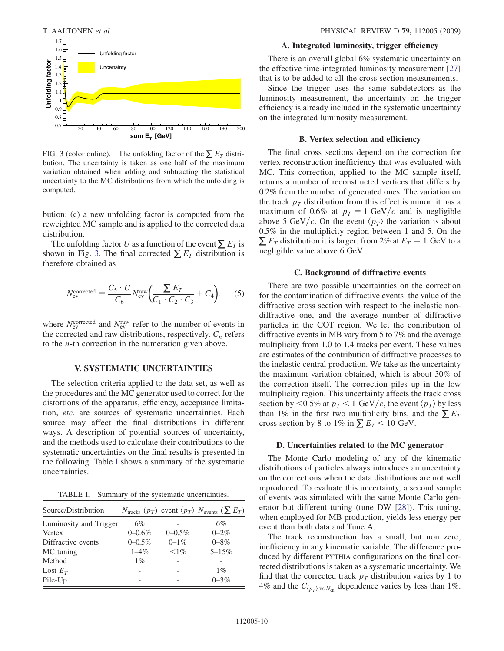<span id="page-12-0"></span>

FIG. 3 (color online). The unfolding factor of the  $\sum E_T$  distribution. The uncertainty is taken as one half of the maximum variation obtained when adding and subtracting the statistical uncertainty to the MC distributions from which the unfolding is computed.

bution; (c) a new unfolding factor is computed from the reweighted MC sample and is applied to the corrected data distribution.

The unfolding factor U as a function of the event  $\sum E_T$  is shown in Fig. [3.](#page-12-0) The final corrected  $\sum E_T$  distribution is therefore obtained as

$$
N_{\text{ev}}^{\text{corrected}} = \frac{C_5 \cdot U}{C_6} N_{\text{ev}}^{\text{raw}} \left( \frac{\sum E_T}{C_1 \cdot C_2 \cdot C_3} + C_4 \right), \quad (5)
$$

where  $N_{\rm ev}^{\rm corrected}$  and  $N_{\rm ev}^{\rm raw}$  refer to the number of events in the corrected and raw distributions, respectively.  $C_n$  refers to the n-th correction in the numeration given above.

#### V. SYSTEMATIC UNCERTAINTIES

The selection criteria applied to the data set, as well as the procedures and the MC generator used to correct for the distortions of the apparatus, efficiency, acceptance limitation, etc. are sources of systematic uncertainties. Each source may affect the final distributions in different ways. A description of potential sources of uncertainty, and the methods used to calculate their contributions to the systematic uncertainties on the final results is presented in the following. Table [I](#page-12-1) shows a summary of the systematic uncertainties.

TABLE I. Summary of the systematic uncertainties.

<span id="page-12-1"></span>

| Source/Distribution    |             |             | $N_{\text{tracks}}$ ( $p_T$ ) event $\langle p_T \rangle$ $N_{\text{events}}$ ( $\sum E_T$ ) |
|------------------------|-------------|-------------|----------------------------------------------------------------------------------------------|
| Luminosity and Trigger | 6%          |             | 6%                                                                                           |
| Vertex                 | $0 - 0.6\%$ | $0 - 0.5\%$ | $0 - 2\%$                                                                                    |
| Diffractive events     | $0 - 0.5\%$ | $0 - 1\%$   | $0 - 8\%$                                                                                    |
| MC tuning              | $1 - 4\%$   | $< 1\%$     | $5 - 15%$                                                                                    |
| Method                 | $1\%$       |             |                                                                                              |
| Lost $E_T$             |             |             | $1\%$                                                                                        |
| Pile-Up                |             |             | $0 - 3\%$                                                                                    |

#### A. Integrated luminosity, trigger efficiency

There is an overall global 6% systematic uncertainty on the effective time-integrated luminosity measurement [\[27\]](#page-24-0) that is to be added to all the cross section measurements.

Since the trigger uses the same subdetectors as the luminosity measurement, the uncertainty on the trigger efficiency is already included in the systematic uncertainty on the integrated luminosity measurement.

#### B. Vertex selection and efficiency

The final cross sections depend on the correction for vertex reconstruction inefficiency that was evaluated with MC. This correction, applied to the MC sample itself, returns a number of reconstructed vertices that differs by 0.2% from the number of generated ones. The variation on the track  $p_T$  distribution from this effect is minor: it has a maximum of 0.6% at  $p_T = 1$  GeV/c and is negligible above 5 GeV/c. On the event  $\langle p_T \rangle$  the variation is about 0.5% in the multiplicity region between 1 and 5. On the  $\sum E_T$  distribution it is larger: from 2% at  $E_T = 1$  GeV to a negligible value above 6 GeV.

#### C. Background of diffractive events

There are two possible uncertainties on the correction for the contamination of diffractive events: the value of the diffractive cross section with respect to the inelastic nondiffractive one, and the average number of diffractive particles in the COT region. We let the contribution of diffractive events in MB vary from 5 to 7% and the average multiplicity from 1.0 to 1.4 tracks per event. These values are estimates of the contribution of diffractive processes to the inelastic central production. We take as the uncertainty the maximum variation obtained, which is about 30% of the correction itself. The correction piles up in the low multiplicity region. This uncertainty affects the track cross section by <0.5% at  $p_T < 1$  GeV/c, the event  $\langle p_T \rangle$  by less than 1% in the first two multiplicity bins, and the  $\sum E_T$ cross section by 8 to 1% in  $\sum E_T < 10$  GeV.

#### D. Uncertainties related to the MC generator

The Monte Carlo modeling of any of the kinematic distributions of particles always introduces an uncertainty on the corrections when the data distributions are not well reproduced. To evaluate this uncertainty, a second sample of events was simulated with the same Monte Carlo generator but different tuning (tune DW [\[28\]](#page-24-1)). This tuning, when employed for MB production, yields less energy per event than both data and Tune A.

The track reconstruction has a small, but non zero, inefficiency in any kinematic variable. The difference produced by different PYTHIA configurations on the final corrected distributions is taken as a systematic uncertainty. We find that the corrected track  $p_T$  distribution varies by 1 to 4% and the  $C_{\langle p_T \rangle \text{ vs } N_{\text{ch}}}$  dependence varies by less than 1%.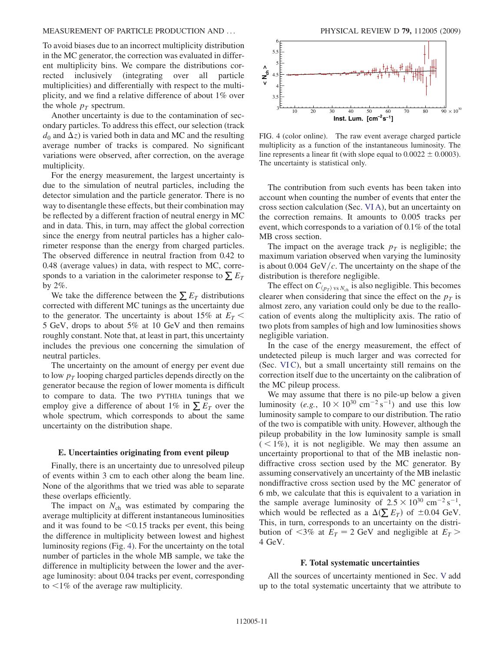To avoid biases due to an incorrect multiplicity distribution in the MC generator, the correction was evaluated in different multiplicity bins. We compare the distributions corrected inclusively (integrating over all particle multiplicities) and differentially with respect to the multiplicity, and we find a relative difference of about 1% over the whole  $p_T$  spectrum.

Another uncertainty is due to the contamination of secondary particles. To address this effect, our selection (track  $d_0$  and  $\Delta z$ ) is varied both in data and MC and the resulting average number of tracks is compared. No significant variations were observed, after correction, on the average multiplicity.

For the energy measurement, the largest uncertainty is due to the simulation of neutral particles, including the detector simulation and the particle generator. There is no way to disentangle these effects, but their combination may be reflected by a different fraction of neutral energy in MC and in data. This, in turn, may affect the global correction since the energy from neutral particles has a higher calorimeter response than the energy from charged particles. The observed difference in neutral fraction from 0.42 to 0.48 (average values) in data, with respect to MC, corresponds to a variation in the calorimeter response to  $\sum E_T$ by 2%.

We take the difference between the  $\sum E_T$  distributions corrected with different MC tunings as the uncertainty due to the generator. The uncertainty is about 15% at  $E_T$  < 5 GeV, drops to about 5% at 10 GeV and then remains roughly constant. Note that, at least in part, this uncertainty includes the previous one concerning the simulation of neutral particles.

The uncertainty on the amount of energy per event due to low  $p_T$  looping charged particles depends directly on the generator because the region of lower momenta is difficult to compare to data. The two PYTHIA tunings that we employ give a difference of about 1% in  $\sum E_T$  over the whole spectrum, which corresponds to about the same uncertainty on the distribution shape.

#### E. Uncertainties originating from event pileup

Finally, there is an uncertainty due to unresolved pileup of events within 3 cm to each other along the beam line. None of the algorithms that we tried was able to separate these overlaps efficiently.

The impact on  $N_{ch}$  was estimated by comparing the average multiplicity at different instantaneous luminosities and it was found to be  $\leq 0.15$  tracks per event, this being the difference in multiplicity between lowest and highest luminosity regions (Fig. [4\)](#page-13-0). For the uncertainty on the total number of particles in the whole MB sample, we take the difference in multiplicity between the lower and the average luminosity: about 0.04 tracks per event, corresponding to  $\leq$ 1% of the average raw multiplicity.

<span id="page-13-0"></span>

FIG. 4 (color online). The raw event average charged particle multiplicity as a function of the instantaneous luminosity. The line represents a linear fit (with slope equal to  $0.0022 \pm 0.0003$ ). The uncertainty is statistical only.

The contribution from such events has been taken into account when counting the number of events that enter the cross section calculation (Sec. VI A), but an uncertainty on the correction remains. It amounts to 0.005 tracks per event, which corresponds to a variation of 0.1% of the total MB cross section.

The impact on the average track  $p<sub>T</sub>$  is negligible; the maximum variation observed when varying the luminosity is about 0.004 GeV/ $c$ . The uncertainty on the shape of the distribution is therefore negligible.

The effect on  $C_{\langle p_T \rangle \text{ vs } N_{\text{ch}}}$  is also negligible. This becomes clearer when considering that since the effect on the  $p<sub>T</sub>$  is almost zero, any variation could only be due to the reallocation of events along the multiplicity axis. The ratio of two plots from samples of high and low luminosities shows negligible variation.

In the case of the energy measurement, the effect of undetected pileup is much larger and was corrected for (Sec. VI C), but a small uncertainty still remains on the correction itself due to the uncertainty on the calibration of the MC pileup process.

We may assume that there is no pile-up below a given luminosity (e.g.,  $10 \times 10^{30}$  cm<sup>-2</sup> s<sup>-1</sup>) and use this low luminosity sample to compare to our distribution. The ratio of the two is compatible with unity. However, although the pileup probability in the low luminosity sample is small  $(< 1\%)$ , it is not negligible. We may then assume an uncertainty proportional to that of the MB inelastic nondiffractive cross section used by the MC generator. By assuming conservatively an uncertainty of the MB inelastic nondiffractive cross section used by the MC generator of 6 mb, we calculate that this is equivalent to a variation in the sample average luminosity of  $2.5 \times 10^{30}$  cm<sup>-2</sup> s<sup>-1</sup>, which would be reflected as a  $\Delta(\sum E_T)$  of  $\pm 0.04$  GeV. This, in turn, corresponds to an uncertainty on the distribution of  $\langle 3\%$  at  $E_T = 2$  GeV and negligible at  $E_T >$ 4 GeV.

#### F. Total systematic uncertainties

All the sources of uncertainty mentioned in Sec. V add up to the total systematic uncertainty that we attribute to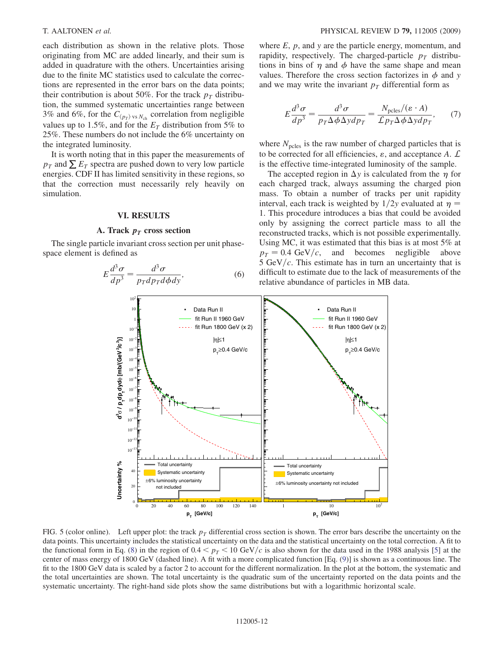each distribution as shown in the relative plots. Those originating from MC are added linearly, and their sum is added in quadrature with the others. Uncertainties arising due to the finite MC statistics used to calculate the corrections are represented in the error bars on the data points; their contribution is about 50%. For the track  $p<sub>T</sub>$  distribution, the summed systematic uncertainties range between 3% and 6%, for the  $C_{\langle p_T \rangle \text{ vs } N_{\text{ch}}}$  correlation from negligible values up to 1.5%, and for the  $E<sub>T</sub>$  distribution from 5% to 25%. These numbers do not include the 6% uncertainty on the integrated luminosity.

It is worth noting that in this paper the measurements of  $p_T$  and  $\Sigma E_T$  spectra are pushed down to very low particle energies. CDF II has limited sensitivity in these regions, so that the correction must necessarily rely heavily on simulation.

#### VI. RESULTS

#### A. Track  $p_T$  cross section

<span id="page-14-0"></span>The single particle invariant cross section per unit phasespace element is defined as

$$
E\frac{d^3\sigma}{dp^3} = \frac{d^3\sigma}{p_T dp_T d\phi dy},\tag{6}
$$

where  $E$ ,  $p$ , and  $y$  are the particle energy, momentum, and rapidity, respectively. The charged-particle  $p_T$  distributions in bins of  $\eta$  and  $\phi$  have the same shape and mean values. Therefore the cross section factorizes in  $\phi$  and y and we may write the invariant  $p<sub>T</sub>$  differential form as

$$
E\frac{d^3\sigma}{dp^3} = \frac{d^3\sigma}{p_T\Delta\phi\Delta ydp_T} = \frac{N_{\text{poles}}/(\varepsilon \cdot A)}{\mathcal{L}p_T\Delta\phi\Delta ydp_T},\qquad(7)
$$

where  $N_{\text{pcles}}$  is the raw number of charged particles that is to be corrected for all efficiencies,  $\varepsilon$ , and acceptance A.  $\mathcal L$ is the effective time-integrated luminosity of the sample.

The accepted region in  $\Delta y$  is calculated from the  $\eta$  for each charged track, always assuming the charged pion mass. To obtain a number of tracks per unit rapidity interval, each track is weighted by  $1/2y$  evaluated at  $\eta =$ 1. This procedure introduces a bias that could be avoided only by assigning the correct particle mass to all the reconstructed tracks, which is not possible experimentally. Using MC, it was estimated that this bias is at most 5% at  $p_T = 0.4 \text{ GeV}/c$ , and becomes negligible above 5 GeV/ $c$ . This estimate has in turn an uncertainty that is difficult to estimate due to the lack of measurements of the relative abundance of particles in MB data.



FIG. 5 (color online). Left upper plot: the track  $p<sub>T</sub>$  differential cross section is shown. The error bars describe the uncertainty on the data points. This uncertainty includes the statistical uncertainty on the data and the statistical uncertainty on the total correction. A fit to the functional form in Eq. ([8\)](#page-15-0) in the region of  $0.4 < p<sub>T</sub> < 10 \text{ GeV}/c$  is also shown for the data used in the 1988 analysis [[5](#page-23-4)] at the center of mass energy of 1800 GeV (dashed line). A fit with a more complicated function [Eq. ([9\)](#page-15-1)] is shown as a continuous line. The fit to the 1800 GeV data is scaled by a factor 2 to account for the different normalization. In the plot at the bottom, the systematic and the total uncertainties are shown. The total uncertainty is the quadratic sum of the uncertainty reported on the data points and the systematic uncertainty. The right-hand side plots show the same distributions but with a logarithmic horizontal scale.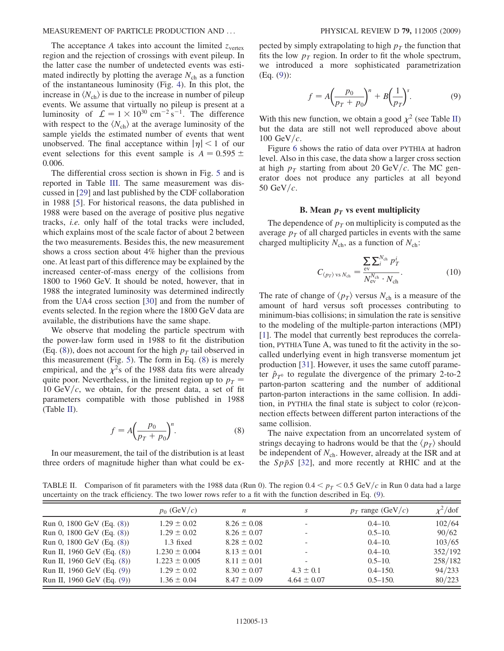The acceptance A takes into account the limited  $z_{vertex}$ region and the rejection of crossings with event pileup. In the latter case the number of undetected events was estimated indirectly by plotting the average  $N_{ch}$  as a function of the instantaneous luminosity (Fig. [4\)](#page-13-0). In this plot, the increase in  $\langle N_{ch} \rangle$  is due to the increase in number of pileup events. We assume that virtually no pileup is present at a luminosity of  $\mathcal{L} = 1 \times 10^{30}$  cm<sup>-2</sup> s<sup>-1</sup>. The difference with respect to the  $\langle N_{ch} \rangle$  at the average luminosity of the sample yields the estimated number of events that went unobserved. The final acceptance within  $|\eta| < 1$  of our event selections for this event sample is  $A = 0.595 \pm 0.595$ 0:006.

The differential cross section is shown in Fig. [5](#page-14-0) and is reported in Table [III.](#page-19-0) The same measurement was discussed in [\[29\]](#page-24-2) and last published by the CDF collaboration in 1988 [\[5](#page-23-4)]. For historical reasons, the data published in 1988 were based on the average of positive plus negative tracks, i.e. only half of the total tracks were included, which explains most of the scale factor of about 2 between the two measurements. Besides this, the new measurement shows a cross section about 4% higher than the previous one. At least part of this difference may be explained by the increased center-of-mass energy of the collisions from 1800 to 1960 GeV. It should be noted, however, that in 1988 the integrated luminosity was determined indirectly from the UA4 cross section [[30](#page-24-3)] and from the number of events selected. In the region where the 1800 GeV data are available, the distributions have the same shape.

We observe that modeling the particle spectrum with the power-law form used in 1988 to fit the distribution (Eq. ([8](#page-15-0))), does not account for the high  $p_T$  tail observed in this measurement (Fig. [5\)](#page-14-0). The form in Eq. [\(8](#page-15-0)) is merely empirical, and the  $\chi^2$ s of the 1988 data fits were already quite poor. Nevertheless, in the limited region up to  $p_T =$ 10 GeV/c, we obtain, for the present data, a set of fit parameters compatible with those published in 1988  $(Table II)$  $(Table II)$ .

$$
f = A \left(\frac{p_0}{p_T + p_0}\right)^n. \tag{8}
$$

<span id="page-15-0"></span>In our measurement, the tail of the distribution is at least three orders of magnitude higher than what could be ex<span id="page-15-1"></span>pected by simply extrapolating to high  $p<sub>T</sub>$  the function that fits the low  $p_T$  region. In order to fit the whole spectrum, we introduced a more sophisticated parametrization (Eq. [\(9](#page-15-1))):

$$
f = A \left(\frac{p_0}{p_T + p_0}\right)^n + B \left(\frac{1}{p_T}\right)^s. \tag{9}
$$

With this new function, we obtain a good  $\chi^2$  (see Table [II\)](#page-15-2) but the data are still not well reproduced above about 100 GeV/ $c$ .

Figure [6](#page-16-0) shows the ratio of data over PYTHIA at hadron level. Also in this case, the data show a larger cross section at high  $p_T$  starting from about 20 GeV/c. The MC generator does not produce any particles at all beyond 50 GeV/ $c$ .

#### B. Mean  $p_T$  vs event multiplicity

The dependence of  $p<sub>T</sub>$  on multiplicity is computed as the average  $p<sub>T</sub>$  of all charged particles in events with the same charged multiplicity  $N_{ch}$ , as a function of  $N_{ch}$ :

$$
C_{\langle p_T \rangle \text{ vs } N_{\text{ch}}} = \frac{\sum_{\text{ev}} \sum_{i}^{N_{\text{ch}}} p_T^i}{N_{\text{ev}}^{N_{\text{ch}}} \cdot N_{\text{ch}}}.
$$
 (10)

The rate of change of  $\langle p_T \rangle$  versus  $N_{ch}$  is a measure of the amount of hard versus soft processes contributing to minimum-bias collisions; in simulation the rate is sensitive to the modeling of the multiple-parton interactions (MPI) [\[1\]](#page-23-0). The model that currently best reproduces the correlation, PYTHIA Tune A, was tuned to fit the activity in the socalled underlying event in high transverse momentum jet production [[31](#page-24-4)]. However, it uses the same cutoff parameter  $\hat{p}_{T^0}$  to regulate the divergence of the primary 2-to-2 parton-parton scattering and the number of additional parton-parton interactions in the same collision. In addition, in PYTHIA the final state is subject to color (re)connection effects between different parton interactions of the same collision.

The naive expectation from an uncorrelated system of strings decaying to hadrons would be that the  $\langle p_T \rangle$  should be independent of  $N_{ch}$ . However, already at the ISR and at the  $Sp\bar{p}S$  [[32](#page-24-5)], and more recently at RHIC and at the

<span id="page-15-2"></span>TABLE II. Comparison of fit parameters with the 1988 data (Run 0). The region  $0.4 < p_T < 0.5$  GeV/c in Run 0 data had a large uncertainty on the track efficiency. The two lower rows refer to a fit with the function described in Eq. ([9](#page-15-1)).

|                              | $p_0$ (GeV/c)     | n               | S                        | $p_T$ range (GeV/c) | $\chi^2$ /dof |
|------------------------------|-------------------|-----------------|--------------------------|---------------------|---------------|
| Run 0, 1800 GeV (Eq. $(8)$ ) | $1.29 \pm 0.02$   | $8.26 \pm 0.08$ | $\overline{\phantom{0}}$ | $0.4 - 10.$         | 102/64        |
| Run 0, 1800 GeV (Eq. (8))    | $1.29 \pm 0.02$   | $8.26 \pm 0.07$ | -                        | $0.5 - 10.$         | 90/62         |
| Run 0, 1800 GeV (Eq. (8))    | $1.3$ fixed       | $8.28 \pm 0.02$ | $\overline{\phantom{0}}$ | $0.4 - 10.$         | 103/65        |
| Run II, 1960 GeV (Eq. (8))   | $1.230 \pm 0.004$ | $8.13 \pm 0.01$ | $\overline{\phantom{a}}$ | $0.4 - 10.$         | 352/192       |
| Run II, 1960 GeV (Eq. (8))   | $1.223 \pm 0.005$ | $8.11 \pm 0.01$ | -                        | $0.5 - 10.$         | 258/182       |
| Run II, 1960 GeV (Eq. (9))   | $1.29 \pm 0.02$   | $8.30 \pm 0.07$ | $4.3 \pm 0.1$            | $0.4 - 150.$        | 94/233        |
| Run II, 1960 GeV (Eq. (9))   | $1.36 \pm 0.04$   | $8.47 \pm 0.09$ | $4.64 \pm 0.07$          | $0.5 - 150.$        | 80/223        |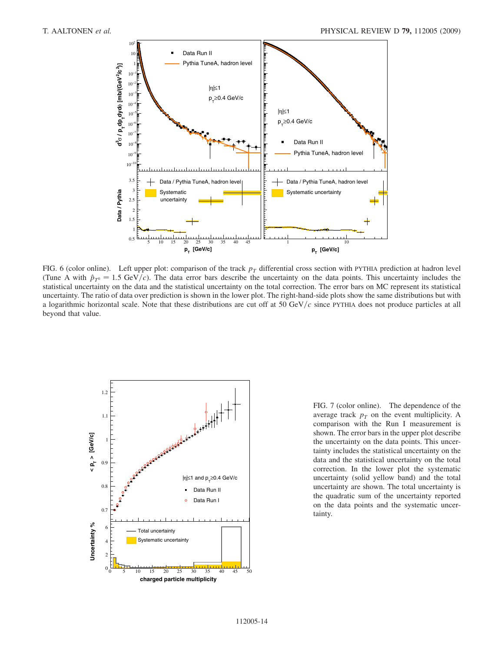<span id="page-16-0"></span>

FIG. 6 (color online). Left upper plot: comparison of the track  $p<sub>T</sub>$  differential cross section with PYTHIA prediction at hadron level (Tune A with  $\hat{p}_{T0} = 1.5 \text{ GeV}/c$ ). The data error bars describe the uncertainty on the data points. This uncertainty includes the statistical uncertainty on the data and the statistical uncertainty on the total correction. The error bars on MC represent its statistical uncertainty. The ratio of data over prediction is shown in the lower plot. The right-hand-side plots show the same distributions but with a logarithmic horizontal scale. Note that these distributions are cut off at 50 GeV/ $c$  since PYTHIA does not produce particles at all beyond that value.

<span id="page-16-1"></span>

FIG. 7 (color online). The dependence of the average track  $p<sub>T</sub>$  on the event multiplicity. A comparison with the Run I measurement is shown. The error bars in the upper plot describe the uncertainty on the data points. This uncertainty includes the statistical uncertainty on the data and the statistical uncertainty on the total correction. In the lower plot the systematic uncertainty (solid yellow band) and the total uncertainty are shown. The total uncertainty is the quadratic sum of the uncertainty reported on the data points and the systematic uncertainty.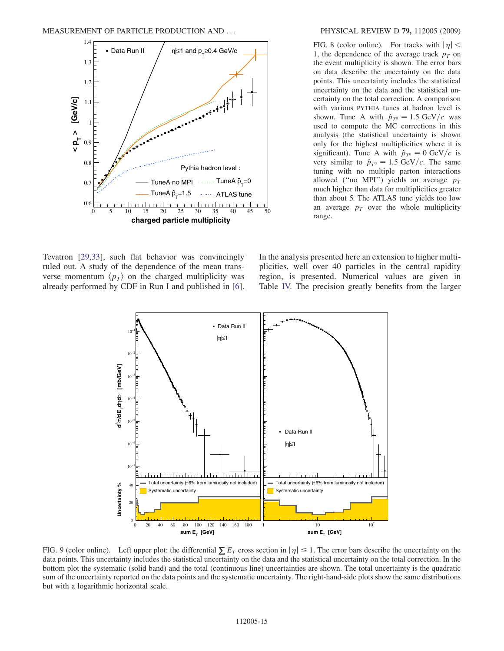<span id="page-17-0"></span>

FIG. 8 (color online). For tracks with  $|\eta|$  < 1, the dependence of the average track  $p<sub>T</sub>$  on the event multiplicity is shown. The error bars on data describe the uncertainty on the data points. This uncertainty includes the statistical uncertainty on the data and the statistical uncertainty on the total correction. A comparison with various PYTHIA tunes at hadron level is shown. Tune A with  $\hat{p}_{T^0} = 1.5 \text{ GeV}/c$  was used to compute the MC corrections in this analysis (the statistical uncertainty is shown only for the highest multiplicities where it is significant). Tune A with  $\hat{p}_{T^0} = 0$  GeV/c is very similar to  $\hat{p}_{T^0} = 1.5 \text{ GeV}/c$ . The same tuning with no multiple parton interactions allowed ("no MPI") yields an average  $p_T$ much higher than data for multiplicities greater than about 5. The ATLAS tune yields too low an average  $p_T$  over the whole multiplicity range.

<span id="page-17-1"></span>Tevatron [\[29,](#page-24-2)[33\]](#page-24-6), such flat behavior was convincingly ruled out. A study of the dependence of the mean transverse momentum  $\langle p_T \rangle$  on the charged multiplicity was already performed by CDF in Run I and published in [[6\]](#page-23-5).

In the analysis presented here an extension to higher multiplicities, well over 40 particles in the central rapidity region, is presented. Numerical values are given in Table [IV.](#page-22-0) The precision greatly benefits from the larger



FIG. 9 (color online). Left upper plot: the differential  $\sum E_T$  cross section in  $|\eta| \leq 1$ . The error bars describe the uncertainty on the data points. This uncertainty includes the statistical uncertainty on the data and the statistical uncertainty on the total correction. In the bottom plot the systematic (solid band) and the total (continuous line) uncertainties are shown. The total uncertainty is the quadratic sum of the uncertainty reported on the data points and the systematic uncertainty. The right-hand-side plots show the same distributions but with a logarithmic horizontal scale.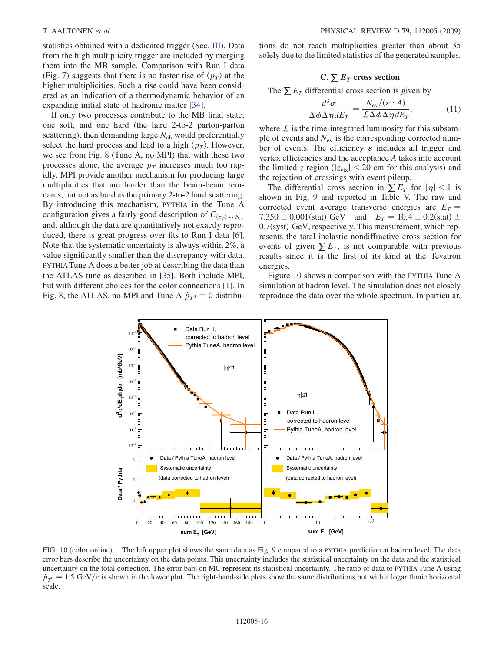statistics obtained with a dedicated trigger (Sec. III). Data from the high multiplicity trigger are included by merging them into the MB sample. Comparison with Run I data (Fig. [7\)](#page-16-1) suggests that there is no faster rise of  $\langle p_T \rangle$  at the higher multiplicities. Such a rise could have been considered as an indication of a thermodynamic behavior of an expanding initial state of hadronic matter [\[34\]](#page-24-7).

If only two processes contribute to the MB final state, one soft, and one hard (the hard 2-to-2 parton-parton scattering), then demanding large  $N_{ch}$  would preferentially select the hard process and lead to a high  $\langle p_T \rangle$ . However, we see from Fig. [8](#page-17-0) (Tune A, no MPI) that with these two processes alone, the average  $p<sub>T</sub>$  increases much too rapidly. MPI provide another mechanism for producing large multiplicities that are harder than the beam-beam remnants, but not as hard as the primary 2-to-2 hard scattering. By introducing this mechanism, PYTHIA in the Tune A configuration gives a fairly good description of  $C_{\langle p_T \rangle \text{ vs } N_{\text{ch}} }$ and, although the data are quantitatively not exactly reproduced, there is great progress over fits to Run I data [[6\]](#page-23-5). Note that the systematic uncertainty is always within 2%, a value significantly smaller than the discrepancy with data. PYTHIA Tune A does a better job at describing the data than the ATLAS tune as described in [\[35\]](#page-24-8). Both include MPI, but with different choices for the color connections [\[1](#page-23-0)]. In Fig. [8,](#page-17-0) the ATLAS, no MPI and Tune A  $\hat{p}_{T^0} = 0$  distributions do not reach multiplicities greater than about 35 solely due to the limited statistics of the generated samples.

### C.  $\sum E_T$  cross section

The  $\sum E_T$  differential cross section is given by

$$
\frac{d^3\sigma}{\Delta\phi\Delta\eta dE_T} = \frac{N_{\rm ev}/(\varepsilon \cdot A)}{\mathcal{L}\Delta\phi\Delta\eta dE_T},\tag{11}
$$

where  $\mathcal L$  is the time-integrated luminosity for this subsample of events and  $N_{\rm ev}$  is the corresponding corrected number of events. The efficiency  $\varepsilon$  includes all trigger and vertex efficiencies and the acceptance A takes into account the limited z region ( $|z_{\text{vtx}}|$  < 20 cm for this analysis) and the rejection of crossings with event pileup.

The differential cross section in  $\sum E_T$  for  $|\eta| < 1$  is shown in Fig. [9](#page-17-1) and reported in Table [V.](#page-22-1) The raw and corrected event average transverse energies are  $E_T$  = 7.350  $\pm$  0.001(stat) GeV and  $E_T = 10.4 \pm 0.2$ (stat)  $\pm$  $0.7$ (syst) GeV, respectively. This measurement, which represents the total inelastic nondiffractive cross section for events of given  $\sum E_T$ , is not comparable with previous results since it is the first of its kind at the Tevatron energies.

Figure [10](#page-18-0) shows a comparison with the PYTHIA Tune A simulation at hadron level. The simulation does not closely reproduce the data over the whole spectrum. In particular,

<span id="page-18-0"></span>

FIG. 10 (color online). The left upper plot shows the same data as Fig. [9](#page-17-1) compared to a PYTHIA prediction at hadron level. The data error bars describe the uncertainty on the data points. This uncertainty includes the statistical uncertainty on the data and the statistical uncertainty on the total correction. The error bars on MC represent its statistical uncertainty. The ratio of data to PYTHIA Tune A using  $\hat{p}_{T^0} = 1.5 \text{ GeV}/c$  is shown in the lower plot. The right-hand-side plots show the same distributions but with a logarithmic horizontal scale.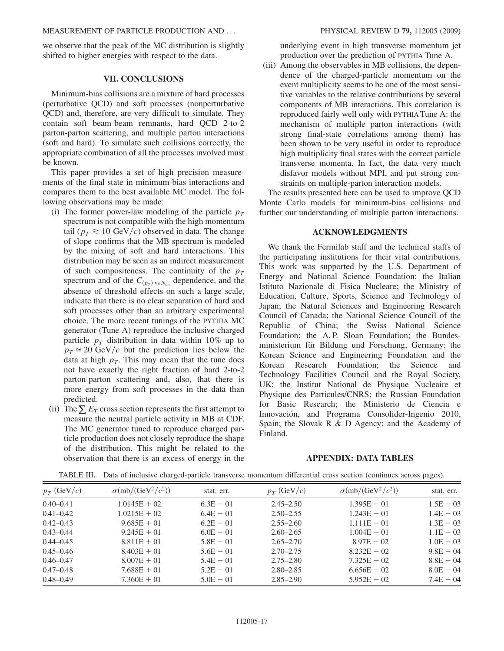we observe that the peak of the MC distribution is slightly shifted to higher energies with respect to the data.

#### VII. CONCLUSIONS

Minimum-bias collisions are a mixture of hard processes (perturbative QCD) and soft processes (nonperturbative QCD) and, therefore, are very difficult to simulate. They contain soft beam-beam remnants, hard QCD 2-to-2 parton-parton scattering, and multiple parton interactions (soft and hard). To simulate such collisions correctly, the appropriate combination of all the processes involved must be known.

This paper provides a set of high precision measurements of the final state in minimum-bias interactions and compares them to the best available MC model. The following observations may be made:

- (i) The former power-law modeling of the particle  $p_T$ spectrum is not compatible with the high momentum tail ( $p_T \ge 10$  GeV/c) observed in data. The change of slope confirms that the MB spectrum is modeled by the mixing of soft and hard interactions. This distribution may be seen as an indirect measurement of such compositeness. The continuity of the  $p_T$ spectrum and of the  $C_{\langle p_T \rangle \text{ vs } N_{\text{ch}}}$  dependence, and the absence of threshold effects on such a large scale, indicate that there is no clear separation of hard and soft processes other than an arbitrary experimental choice. The more recent tunings of the PYTHIA MC generator (Tune A) reproduce the inclusive charged particle  $p_T$  distribution in data within 10% up to  $p_T \approx 20 \text{ GeV}/c$  but the prediction lies below the data at high  $p<sub>T</sub>$ . This may mean that the tune does not have exactly the right fraction of hard 2-to-2 parton-parton scattering and, also, that there is more energy from soft processes in the data than predicted.
- (ii) The  $\sum E_T$  cross section represents the first attempt to measure the neutral particle activity in MB at CDF. The MC generator tuned to reproduce charged particle production does not closely reproduce the shape of the distribution. This might be related to the observation that there is an excess of energy in the

underlying event in high transverse momentum jet production over the prediction of PYTHIA Tune A.

(iii) Among the observables in MB collisions, the dependence of the charged-particle momentum on the event multiplicity seems to be one of the most sensitive variables to the relative contributions by several components of MB interactions. This correlation is reproduced fairly well only with PYTHIA Tune A: the mechanism of multiple parton interactions (with strong final-state correlations among them) has been shown to be very useful in order to reproduce high multiplicity final states with the correct particle transverse momenta. In fact, the data very much disfavor models without MPI, and put strong constraints on multiple-parton interaction models.

The results presented here can be used to improve QCD Monte Carlo models for minimum-bias collisions and further our understanding of multiple parton interactions.

#### ACKNOWLEDGMENTS

We thank the Fermilab staff and the technical staffs of the participating institutions for their vital contributions. This work was supported by the U.S. Department of Energy and National Science Foundation; the Italian Istituto Nazionale di Fisica Nucleare; the Ministry of Education, Culture, Sports, Science and Technology of Japan; the Natural Sciences and Engineering Research Council of Canada; the National Science Council of the Republic of China; the Swiss National Science Foundation; the A. P. Sloan Foundation; the Bundesministerium für Bildung und Forschung, Germany; the Korean Science and Engineering Foundation and the Korean Research Foundation; the Science and Technology Facilities Council and the Royal Society, UK; the Institut National de Physique Nucleaire et Physique des Particules/CNRS; the Russian Foundation for Basic Research; the Ministerio de Ciencia e Innovación, and Programa Consolider-Ingenio 2010, Spain; the Slovak R & D Agency; and the Academy of Finland.

#### APPENDIX: DATA TABLES

<span id="page-19-0"></span>

| $p_T$ (GeV/c) | $\sigma$ (mb/(GeV <sup>2</sup> / $c^2$ )) | stat. err.  | $p_T$ (GeV/c) | $\sigma$ (mb/(GeV <sup>2</sup> / $c$ <sup>2</sup> )) | stat. err.  |
|---------------|-------------------------------------------|-------------|---------------|------------------------------------------------------|-------------|
| $0.40 - 0.41$ | $1.0145E + 02$                            | $6.3E - 01$ | $2.45 - 2.50$ | $1.395E - 01$                                        | $1.5E - 03$ |
| $0.41 - 0.42$ | $1.0215E + 02$                            | $6.4E - 01$ | $2.50 - 2.55$ | $1.243E - 01$                                        | $1.4E - 03$ |
| $0.42 - 0.43$ | $9.685E + 01$                             | $6.2E - 01$ | $2.55 - 2.60$ | $1.111E - 01$                                        | $1.3E - 03$ |
| $0.43 - 0.44$ | $9.245E + 01$                             | $6.0E - 01$ | $2.60 - 2.65$ | $1.004E - 01$                                        | $1.1E - 03$ |
| $0.44 - 0.45$ | $8.811E + 01$                             | $5.8E - 01$ | $2.65 - 2.70$ | $8.97E - 02$                                         | $1.0E - 03$ |
| $0.45 - 0.46$ | $8.403E + 01$                             | $5.6E - 01$ | $2.70 - 2.75$ | $8.232E - 02$                                        | $9.8E - 04$ |
| $0.46 - 0.47$ | $8.007E + 01$                             | $5.4E - 01$ | $2.75 - 2.80$ | $7.325E - 02$                                        | $8.8E - 04$ |
| $0.47 - 0.48$ | $7.688E + 01$                             | $5.2E - 01$ | $2.80 - 2.85$ | $6.656E - 02$                                        | $8.0E - 04$ |
| $0.48 - 0.49$ | $7.360E + 01$                             | $5.0E - 01$ | $2.85 - 2.90$ | $5.952E - 02$                                        | $7.4E - 04$ |

TABLE III. Data of inclusive charged-particle transverse momentum differential cross section (continues across pages).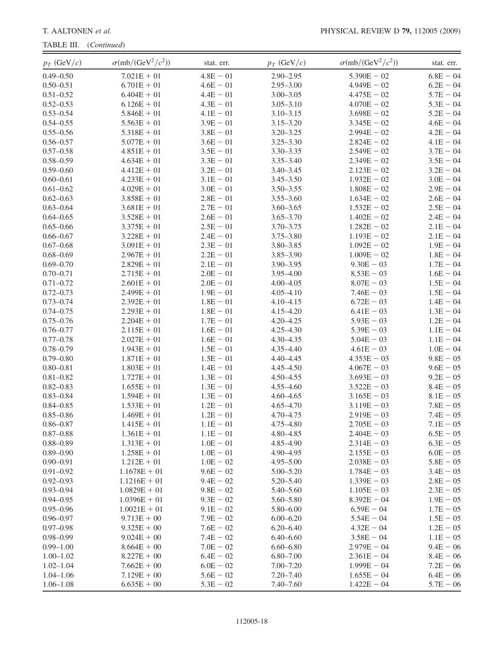TABLE III. (Continued)

| $0.49 - 0.50$<br>$7.021E + 01$<br>$4.8E - 01$<br>$2.90 - 2.95$<br>$5.390E - 02$<br>$6.8E - 04$<br>$0.50 - 0.51$<br>$6.701E + 01$<br>$4.6E - 01$<br>$2.95 - 3.00$<br>$4.949E - 02$<br>$6.2E - 04$<br>$5.7E - 04$<br>$0.51 - 0.52$<br>$4.4E - 01$<br>$3.00 - 3.05$<br>$4.475E - 02$<br>$6.404E + 01$<br>$0.52 - 0.53$<br>$6.126E + 01$<br>$4.3E - 01$<br>$3.05 - 3.10$<br>$4.070E - 02$<br>$5.3E - 04$<br>$0.53 - 0.54$<br>$5.846E + 01$<br>$4.1E - 01$<br>$3.10 - 3.15$<br>$5.2E - 04$<br>$3.698E - 02$<br>$5.563E + 01$<br>$3.9E - 01$<br>$3.15 - 3.20$<br>$4.6E - 04$<br>$0.54 - 0.55$<br>$3.345E - 02$<br>$3.8E - 01$<br>$4.2E - 04$<br>$0.55 - 0.56$<br>$5.318E + 01$<br>$3.20 - 3.25$<br>$2.994E - 02$<br>$3.6E - 01$<br>$3.25 - 3.30$<br>$4.1E - 04$<br>$0.56 - 0.57$<br>$5.077E + 01$<br>$2.824E - 02$<br>$4.851E + 01$<br>$3.5E - 01$<br>$3.30 - 3.35$<br>$2.549E - 02$<br>$3.7E - 04$<br>$0.57 - 0.58$<br>$0.58 - 0.59$<br>$4.634E + 01$<br>$3.3E - 01$<br>$3.35 - 3.40$<br>$3.5E - 04$<br>$2.349E - 02$<br>$0.59 - 0.60$<br>$4.412E + 01$<br>$3.2E - 01$<br>$3.40 - 3.45$<br>$2.123E - 02$<br>$3.2E - 04$<br>$3.1E - 01$<br>$1.932E - 02$<br>$3.0E - 04$<br>$0.60 - 0.61$<br>$4.233E + 01$<br>$3.45 - 3.50$<br>$0.61 - 0.62$<br>$3.0E - 01$<br>$3.50 - 3.55$<br>$1.808E - 02$<br>$2.9E - 04$<br>$4.029E + 01$<br>$0.62 - 0.63$<br>$2.8E - 01$<br>$3.55 - 3.60$<br>$1.634E - 02$<br>$2.6E - 04$<br>$3.858E + 01$<br>$0.63 - 0.64$<br>$3.681E + 01$<br>$2.7E - 01$<br>$3.60 - 3.65$<br>$2.5E - 04$<br>$1.532E - 02$<br>$0.64 - 0.65$<br>$2.6E - 01$<br>$3.65 - 3.70$<br>$2.4E - 04$<br>$3.528E + 01$<br>$1.402E - 02$<br>$0.65 - 0.66$<br>$2.5E - 01$<br>$2.1E - 04$<br>$3.375E + 01$<br>$3.70 - 3.75$<br>$1.282E - 02$<br>$0.66 - 0.67$<br>$3.228E + 01$<br>$2.4E - 01$<br>$3.75 - 3.80$<br>$1.193E - 02$<br>$2.1E - 04$<br>$2.3E - 01$<br>$3.80 - 3.85$<br>$1.9E - 04$<br>$0.67 - 0.68$<br>$3.091E + 01$<br>$1.092E - 02$<br>$0.68 - 0.69$<br>$2.967E + 01$<br>$2.2E - 01$<br>$3.85 - 3.90$<br>$1.009E - 02$<br>$1.8E - 04$<br>$0.69 - 0.70$<br>$2.829E + 01$<br>$2.1E - 01$<br>$3.90 - 3.95$<br>$9.30E - 03$<br>$1.7E - 04$<br>$2.0E - 01$<br>$0.70 - 0.71$<br>$2.715E + 01$<br>$3.95 - 4.00$<br>$8.53E - 03$<br>$1.6E - 04$<br>$2.0E - 01$<br>$0.71 - 0.72$<br>$2.601E + 01$<br>$4.00 - 4.05$<br>$8.07E - 03$<br>$1.5E - 04$<br>$1.9E - 01$<br>$1.5E - 04$<br>$0.72 - 0.73$<br>$2.499E + 01$<br>$4.05 - 4.10$<br>$7.46E - 03$<br>$0.73 - 0.74$<br>$2.392E + 01$<br>$1.8E - 01$<br>$6.72E - 03$<br>$1.4E - 04$<br>$4.10 - 4.15$<br>$0.74 - 0.75$<br>$2.293E + 01$<br>$1.8E - 01$<br>$6.41E - 03$<br>$1.3E - 04$<br>$4.15 - 4.20$<br>$1.7E - 01$<br>$1.2E - 04$<br>$0.75 - 0.76$<br>$2.204E + 01$<br>$4.20 - 4.25$<br>$5.93E - 03$<br>$1.6E - 01$<br>$1.1E - 04$<br>$0.76 - 0.77$<br>$2.115E + 01$<br>$4.25 - 4.30$<br>$5.39E - 03$<br>$4.30 - 4.35$<br>$0.77 - 0.78$<br>$2.027E + 01$<br>$1.6E - 01$<br>$5.04E - 03$<br>$1.1E - 04$<br>$0.78 - 0.79$<br>$1.943E + 01$<br>$1.5E - 01$<br>$4.35 - 4.40$<br>$4.61E - 03$<br>$1.0E - 04$<br>$0.79 - 0.80$<br>$1.871E + 01$<br>$1.5E - 01$<br>$4.40 - 4.45$<br>$4.353E - 03$<br>$9.8E - 05$<br>$0.80 - 0.81$<br>$1.803E + 01$<br>$1.4E - 01$<br>4.45-4.50<br>$4.067E - 03$<br>$9.6E - 05$<br>$0.81 - 0.82$<br>$1.727E + 01$<br>$1.3E - 01$<br>$4.50 - 4.55$<br>$3.693E - 03$<br>$9.2E - 05$<br>$0.82 - 0.83$<br>$1.3E - 01$<br>$3.522E - 03$<br>$8.4E - 05$<br>$1.655E + 01$<br>$4.55 - 4.60$<br>$0.83 - 0.84$<br>$1.594E + 01$<br>$1.3E - 01$<br>$3.165E - 03$<br>$8.1E - 05$<br>$4.60 - 4.65$<br>$1.2E - 01$<br>$0.84 - 0.85$<br>$1.533E + 01$<br>$4.65 - 4.70$<br>$3.119E - 03$<br>$7.8E - 05$<br>$0.85 - 0.86$<br>$1.469E + 01$<br>$1.2E - 01$<br>4.70-4.75<br>$2.919E - 03$<br>$7.4E - 05$<br>$0.86 - 0.87$<br>$1.415E + 01$<br>$1.1E - 01$<br>4.75-4.80<br>$2.705E - 03$<br>$7.1E - 05$<br>$0.87 - 0.88$<br>$1.361E + 01$<br>$1.1E - 01$<br>4.80-4.85<br>$2.404E - 03$<br>$6.5E - 05$<br>$0.88 - 0.89$<br>$1.313E + 01$<br>$1.0E - 01$<br>4.85-4.90<br>$2.314E - 03$<br>$6.3E - 05$<br>$0.89 - 0.90$<br>$1.0E - 01$<br>4.90-4.95<br>$2.155E - 03$<br>$6.0E - 05$<br>$1.258E + 01$<br>$5.8E - 05$<br>$0.90 - 0.91$<br>$1.212E + 01$<br>$1.0E - 02$<br>$4.95 - 5.00$<br>$2.038E - 03$<br>$0.91 - 0.92$<br>$1.1678E + 01$<br>$9.6E - 02$<br>$5.00 - 5.20$<br>$1.784E - 03$<br>$3.4E - 05$<br>$5.20 - 5.40$<br>$0.92 - 0.93$<br>$1.1216E + 01$<br>$9.4E - 02$<br>$1.339E - 03$<br>$2.8E - 05$<br>$0.93 - 0.94$<br>$1.0829E + 01$<br>$9.8E - 02$<br>5.40-5.60<br>$1.105E - 03$<br>$2.3E - 05$<br>$0.94 - 0.95$<br>$9.3E - 02$<br>$5.60 - 5.80$<br>$8.392E - 04$<br>$1.9E - 05$<br>$1.0396E + 01$<br>$0.95 - 0.96$<br>$9.1E - 02$<br>$1.7E - 05$<br>$1.0021E + 01$<br>$5.80 - 6.00$<br>$6.59E - 04$<br>$0.96 - 0.97$<br>$9.713E + 00$<br>$7.9E - 02$<br>$6.00 - 6.20$<br>$5.54E - 04$<br>$1.5E - 05$<br>$0.97 - 0.98$<br>$9.325E + 00$<br>$7.6E - 02$<br>$6.20 - 6.40$<br>$4.32E - 04$<br>$1.2E - 05$<br>$0.98 - 0.99$<br>$9.024E + 00$<br>$7.4E - 02$<br>$6.40 - 6.60$<br>$3.58E - 04$<br>$1.1E - 05$<br>$0.99 - 1.00$<br>$8.664E + 00$<br>$7.0E - 02$<br>$6.60 - 6.80$<br>$2.979E - 04$<br>$9.4E - 06$<br>$8.227E + 00$<br>$6.4E - 02$<br>$6.80 - 7.00$<br>$8.4E - 06$<br>$1.00 - 1.02$<br>$2.361E - 04$<br>$6.0E - 02$<br>$1.02 - 1.04$<br>$7.662E + 00$<br>$7.00 - 7.20$<br>$1.999E - 04$<br>$7.2E - 06$<br>$1.04 - 1.06$<br>$7.129E + 00$<br>$5.6E - 02$<br>$7.20 - 7.40$<br>$1.655E - 04$<br>$6.4E - 06$<br>$5.3E - 02$<br>$1.06 - 1.08$<br>$6.635E + 00$<br>$7.40 - 7.60$<br>$1.422E - 04$<br>$5.7E - 06$ | $p_T$ (GeV/c) | $\sigma$ (mb/(GeV <sup>2</sup> / $c^2$ )) | stat. err. | $p_T$ (GeV/c) | $\sigma$ (mb/(GeV <sup>2</sup> / $c^2$ )) | stat. err. |
|-----------------------------------------------------------------------------------------------------------------------------------------------------------------------------------------------------------------------------------------------------------------------------------------------------------------------------------------------------------------------------------------------------------------------------------------------------------------------------------------------------------------------------------------------------------------------------------------------------------------------------------------------------------------------------------------------------------------------------------------------------------------------------------------------------------------------------------------------------------------------------------------------------------------------------------------------------------------------------------------------------------------------------------------------------------------------------------------------------------------------------------------------------------------------------------------------------------------------------------------------------------------------------------------------------------------------------------------------------------------------------------------------------------------------------------------------------------------------------------------------------------------------------------------------------------------------------------------------------------------------------------------------------------------------------------------------------------------------------------------------------------------------------------------------------------------------------------------------------------------------------------------------------------------------------------------------------------------------------------------------------------------------------------------------------------------------------------------------------------------------------------------------------------------------------------------------------------------------------------------------------------------------------------------------------------------------------------------------------------------------------------------------------------------------------------------------------------------------------------------------------------------------------------------------------------------------------------------------------------------------------------------------------------------------------------------------------------------------------------------------------------------------------------------------------------------------------------------------------------------------------------------------------------------------------------------------------------------------------------------------------------------------------------------------------------------------------------------------------------------------------------------------------------------------------------------------------------------------------------------------------------------------------------------------------------------------------------------------------------------------------------------------------------------------------------------------------------------------------------------------------------------------------------------------------------------------------------------------------------------------------------------------------------------------------------------------------------------------------------------------------------------------------------------------------------------------------------------------------------------------------------------------------------------------------------------------------------------------------------------------------------------------------------------------------------------------------------------------------------------------------------------------------------------------------------------------------------------------------------------------------------------------------------------------------------------------------------------------------------------------------------------------------------------------------------------------------------------------------------------------------------------------------------------------------------------------------------------------------------------------------------------------------------------------------------------------------------------------------------------------------------------------------------------------------------------------------------------------------------------------------------------------------------------------------------------------------------------------------------------------------------------------------------------------------------------------------------------------------------------------------------------------------------------------------------------------------------------------------------------------------------------------------------------------------------------------------------------------------------------------------------------------------------------------------------------------------------------------------------------------------------------------------------------------------------------------|---------------|-------------------------------------------|------------|---------------|-------------------------------------------|------------|
|                                                                                                                                                                                                                                                                                                                                                                                                                                                                                                                                                                                                                                                                                                                                                                                                                                                                                                                                                                                                                                                                                                                                                                                                                                                                                                                                                                                                                                                                                                                                                                                                                                                                                                                                                                                                                                                                                                                                                                                                                                                                                                                                                                                                                                                                                                                                                                                                                                                                                                                                                                                                                                                                                                                                                                                                                                                                                                                                                                                                                                                                                                                                                                                                                                                                                                                                                                                                                                                                                                                                                                                                                                                                                                                                                                                                                                                                                                                                                                                                                                                                                                                                                                                                                                                                                                                                                                                                                                                                                                                                                                                                                                                                                                                                                                                                                                                                                                                                                                                                                                                                                                                                                                                                                                                                                                                                                                                                                                                                                                                                                                       |               |                                           |            |               |                                           |            |
|                                                                                                                                                                                                                                                                                                                                                                                                                                                                                                                                                                                                                                                                                                                                                                                                                                                                                                                                                                                                                                                                                                                                                                                                                                                                                                                                                                                                                                                                                                                                                                                                                                                                                                                                                                                                                                                                                                                                                                                                                                                                                                                                                                                                                                                                                                                                                                                                                                                                                                                                                                                                                                                                                                                                                                                                                                                                                                                                                                                                                                                                                                                                                                                                                                                                                                                                                                                                                                                                                                                                                                                                                                                                                                                                                                                                                                                                                                                                                                                                                                                                                                                                                                                                                                                                                                                                                                                                                                                                                                                                                                                                                                                                                                                                                                                                                                                                                                                                                                                                                                                                                                                                                                                                                                                                                                                                                                                                                                                                                                                                                                       |               |                                           |            |               |                                           |            |
|                                                                                                                                                                                                                                                                                                                                                                                                                                                                                                                                                                                                                                                                                                                                                                                                                                                                                                                                                                                                                                                                                                                                                                                                                                                                                                                                                                                                                                                                                                                                                                                                                                                                                                                                                                                                                                                                                                                                                                                                                                                                                                                                                                                                                                                                                                                                                                                                                                                                                                                                                                                                                                                                                                                                                                                                                                                                                                                                                                                                                                                                                                                                                                                                                                                                                                                                                                                                                                                                                                                                                                                                                                                                                                                                                                                                                                                                                                                                                                                                                                                                                                                                                                                                                                                                                                                                                                                                                                                                                                                                                                                                                                                                                                                                                                                                                                                                                                                                                                                                                                                                                                                                                                                                                                                                                                                                                                                                                                                                                                                                                                       |               |                                           |            |               |                                           |            |
|                                                                                                                                                                                                                                                                                                                                                                                                                                                                                                                                                                                                                                                                                                                                                                                                                                                                                                                                                                                                                                                                                                                                                                                                                                                                                                                                                                                                                                                                                                                                                                                                                                                                                                                                                                                                                                                                                                                                                                                                                                                                                                                                                                                                                                                                                                                                                                                                                                                                                                                                                                                                                                                                                                                                                                                                                                                                                                                                                                                                                                                                                                                                                                                                                                                                                                                                                                                                                                                                                                                                                                                                                                                                                                                                                                                                                                                                                                                                                                                                                                                                                                                                                                                                                                                                                                                                                                                                                                                                                                                                                                                                                                                                                                                                                                                                                                                                                                                                                                                                                                                                                                                                                                                                                                                                                                                                                                                                                                                                                                                                                                       |               |                                           |            |               |                                           |            |
|                                                                                                                                                                                                                                                                                                                                                                                                                                                                                                                                                                                                                                                                                                                                                                                                                                                                                                                                                                                                                                                                                                                                                                                                                                                                                                                                                                                                                                                                                                                                                                                                                                                                                                                                                                                                                                                                                                                                                                                                                                                                                                                                                                                                                                                                                                                                                                                                                                                                                                                                                                                                                                                                                                                                                                                                                                                                                                                                                                                                                                                                                                                                                                                                                                                                                                                                                                                                                                                                                                                                                                                                                                                                                                                                                                                                                                                                                                                                                                                                                                                                                                                                                                                                                                                                                                                                                                                                                                                                                                                                                                                                                                                                                                                                                                                                                                                                                                                                                                                                                                                                                                                                                                                                                                                                                                                                                                                                                                                                                                                                                                       |               |                                           |            |               |                                           |            |
|                                                                                                                                                                                                                                                                                                                                                                                                                                                                                                                                                                                                                                                                                                                                                                                                                                                                                                                                                                                                                                                                                                                                                                                                                                                                                                                                                                                                                                                                                                                                                                                                                                                                                                                                                                                                                                                                                                                                                                                                                                                                                                                                                                                                                                                                                                                                                                                                                                                                                                                                                                                                                                                                                                                                                                                                                                                                                                                                                                                                                                                                                                                                                                                                                                                                                                                                                                                                                                                                                                                                                                                                                                                                                                                                                                                                                                                                                                                                                                                                                                                                                                                                                                                                                                                                                                                                                                                                                                                                                                                                                                                                                                                                                                                                                                                                                                                                                                                                                                                                                                                                                                                                                                                                                                                                                                                                                                                                                                                                                                                                                                       |               |                                           |            |               |                                           |            |
|                                                                                                                                                                                                                                                                                                                                                                                                                                                                                                                                                                                                                                                                                                                                                                                                                                                                                                                                                                                                                                                                                                                                                                                                                                                                                                                                                                                                                                                                                                                                                                                                                                                                                                                                                                                                                                                                                                                                                                                                                                                                                                                                                                                                                                                                                                                                                                                                                                                                                                                                                                                                                                                                                                                                                                                                                                                                                                                                                                                                                                                                                                                                                                                                                                                                                                                                                                                                                                                                                                                                                                                                                                                                                                                                                                                                                                                                                                                                                                                                                                                                                                                                                                                                                                                                                                                                                                                                                                                                                                                                                                                                                                                                                                                                                                                                                                                                                                                                                                                                                                                                                                                                                                                                                                                                                                                                                                                                                                                                                                                                                                       |               |                                           |            |               |                                           |            |
|                                                                                                                                                                                                                                                                                                                                                                                                                                                                                                                                                                                                                                                                                                                                                                                                                                                                                                                                                                                                                                                                                                                                                                                                                                                                                                                                                                                                                                                                                                                                                                                                                                                                                                                                                                                                                                                                                                                                                                                                                                                                                                                                                                                                                                                                                                                                                                                                                                                                                                                                                                                                                                                                                                                                                                                                                                                                                                                                                                                                                                                                                                                                                                                                                                                                                                                                                                                                                                                                                                                                                                                                                                                                                                                                                                                                                                                                                                                                                                                                                                                                                                                                                                                                                                                                                                                                                                                                                                                                                                                                                                                                                                                                                                                                                                                                                                                                                                                                                                                                                                                                                                                                                                                                                                                                                                                                                                                                                                                                                                                                                                       |               |                                           |            |               |                                           |            |
|                                                                                                                                                                                                                                                                                                                                                                                                                                                                                                                                                                                                                                                                                                                                                                                                                                                                                                                                                                                                                                                                                                                                                                                                                                                                                                                                                                                                                                                                                                                                                                                                                                                                                                                                                                                                                                                                                                                                                                                                                                                                                                                                                                                                                                                                                                                                                                                                                                                                                                                                                                                                                                                                                                                                                                                                                                                                                                                                                                                                                                                                                                                                                                                                                                                                                                                                                                                                                                                                                                                                                                                                                                                                                                                                                                                                                                                                                                                                                                                                                                                                                                                                                                                                                                                                                                                                                                                                                                                                                                                                                                                                                                                                                                                                                                                                                                                                                                                                                                                                                                                                                                                                                                                                                                                                                                                                                                                                                                                                                                                                                                       |               |                                           |            |               |                                           |            |
|                                                                                                                                                                                                                                                                                                                                                                                                                                                                                                                                                                                                                                                                                                                                                                                                                                                                                                                                                                                                                                                                                                                                                                                                                                                                                                                                                                                                                                                                                                                                                                                                                                                                                                                                                                                                                                                                                                                                                                                                                                                                                                                                                                                                                                                                                                                                                                                                                                                                                                                                                                                                                                                                                                                                                                                                                                                                                                                                                                                                                                                                                                                                                                                                                                                                                                                                                                                                                                                                                                                                                                                                                                                                                                                                                                                                                                                                                                                                                                                                                                                                                                                                                                                                                                                                                                                                                                                                                                                                                                                                                                                                                                                                                                                                                                                                                                                                                                                                                                                                                                                                                                                                                                                                                                                                                                                                                                                                                                                                                                                                                                       |               |                                           |            |               |                                           |            |
|                                                                                                                                                                                                                                                                                                                                                                                                                                                                                                                                                                                                                                                                                                                                                                                                                                                                                                                                                                                                                                                                                                                                                                                                                                                                                                                                                                                                                                                                                                                                                                                                                                                                                                                                                                                                                                                                                                                                                                                                                                                                                                                                                                                                                                                                                                                                                                                                                                                                                                                                                                                                                                                                                                                                                                                                                                                                                                                                                                                                                                                                                                                                                                                                                                                                                                                                                                                                                                                                                                                                                                                                                                                                                                                                                                                                                                                                                                                                                                                                                                                                                                                                                                                                                                                                                                                                                                                                                                                                                                                                                                                                                                                                                                                                                                                                                                                                                                                                                                                                                                                                                                                                                                                                                                                                                                                                                                                                                                                                                                                                                                       |               |                                           |            |               |                                           |            |
|                                                                                                                                                                                                                                                                                                                                                                                                                                                                                                                                                                                                                                                                                                                                                                                                                                                                                                                                                                                                                                                                                                                                                                                                                                                                                                                                                                                                                                                                                                                                                                                                                                                                                                                                                                                                                                                                                                                                                                                                                                                                                                                                                                                                                                                                                                                                                                                                                                                                                                                                                                                                                                                                                                                                                                                                                                                                                                                                                                                                                                                                                                                                                                                                                                                                                                                                                                                                                                                                                                                                                                                                                                                                                                                                                                                                                                                                                                                                                                                                                                                                                                                                                                                                                                                                                                                                                                                                                                                                                                                                                                                                                                                                                                                                                                                                                                                                                                                                                                                                                                                                                                                                                                                                                                                                                                                                                                                                                                                                                                                                                                       |               |                                           |            |               |                                           |            |
|                                                                                                                                                                                                                                                                                                                                                                                                                                                                                                                                                                                                                                                                                                                                                                                                                                                                                                                                                                                                                                                                                                                                                                                                                                                                                                                                                                                                                                                                                                                                                                                                                                                                                                                                                                                                                                                                                                                                                                                                                                                                                                                                                                                                                                                                                                                                                                                                                                                                                                                                                                                                                                                                                                                                                                                                                                                                                                                                                                                                                                                                                                                                                                                                                                                                                                                                                                                                                                                                                                                                                                                                                                                                                                                                                                                                                                                                                                                                                                                                                                                                                                                                                                                                                                                                                                                                                                                                                                                                                                                                                                                                                                                                                                                                                                                                                                                                                                                                                                                                                                                                                                                                                                                                                                                                                                                                                                                                                                                                                                                                                                       |               |                                           |            |               |                                           |            |
|                                                                                                                                                                                                                                                                                                                                                                                                                                                                                                                                                                                                                                                                                                                                                                                                                                                                                                                                                                                                                                                                                                                                                                                                                                                                                                                                                                                                                                                                                                                                                                                                                                                                                                                                                                                                                                                                                                                                                                                                                                                                                                                                                                                                                                                                                                                                                                                                                                                                                                                                                                                                                                                                                                                                                                                                                                                                                                                                                                                                                                                                                                                                                                                                                                                                                                                                                                                                                                                                                                                                                                                                                                                                                                                                                                                                                                                                                                                                                                                                                                                                                                                                                                                                                                                                                                                                                                                                                                                                                                                                                                                                                                                                                                                                                                                                                                                                                                                                                                                                                                                                                                                                                                                                                                                                                                                                                                                                                                                                                                                                                                       |               |                                           |            |               |                                           |            |
|                                                                                                                                                                                                                                                                                                                                                                                                                                                                                                                                                                                                                                                                                                                                                                                                                                                                                                                                                                                                                                                                                                                                                                                                                                                                                                                                                                                                                                                                                                                                                                                                                                                                                                                                                                                                                                                                                                                                                                                                                                                                                                                                                                                                                                                                                                                                                                                                                                                                                                                                                                                                                                                                                                                                                                                                                                                                                                                                                                                                                                                                                                                                                                                                                                                                                                                                                                                                                                                                                                                                                                                                                                                                                                                                                                                                                                                                                                                                                                                                                                                                                                                                                                                                                                                                                                                                                                                                                                                                                                                                                                                                                                                                                                                                                                                                                                                                                                                                                                                                                                                                                                                                                                                                                                                                                                                                                                                                                                                                                                                                                                       |               |                                           |            |               |                                           |            |
|                                                                                                                                                                                                                                                                                                                                                                                                                                                                                                                                                                                                                                                                                                                                                                                                                                                                                                                                                                                                                                                                                                                                                                                                                                                                                                                                                                                                                                                                                                                                                                                                                                                                                                                                                                                                                                                                                                                                                                                                                                                                                                                                                                                                                                                                                                                                                                                                                                                                                                                                                                                                                                                                                                                                                                                                                                                                                                                                                                                                                                                                                                                                                                                                                                                                                                                                                                                                                                                                                                                                                                                                                                                                                                                                                                                                                                                                                                                                                                                                                                                                                                                                                                                                                                                                                                                                                                                                                                                                                                                                                                                                                                                                                                                                                                                                                                                                                                                                                                                                                                                                                                                                                                                                                                                                                                                                                                                                                                                                                                                                                                       |               |                                           |            |               |                                           |            |
|                                                                                                                                                                                                                                                                                                                                                                                                                                                                                                                                                                                                                                                                                                                                                                                                                                                                                                                                                                                                                                                                                                                                                                                                                                                                                                                                                                                                                                                                                                                                                                                                                                                                                                                                                                                                                                                                                                                                                                                                                                                                                                                                                                                                                                                                                                                                                                                                                                                                                                                                                                                                                                                                                                                                                                                                                                                                                                                                                                                                                                                                                                                                                                                                                                                                                                                                                                                                                                                                                                                                                                                                                                                                                                                                                                                                                                                                                                                                                                                                                                                                                                                                                                                                                                                                                                                                                                                                                                                                                                                                                                                                                                                                                                                                                                                                                                                                                                                                                                                                                                                                                                                                                                                                                                                                                                                                                                                                                                                                                                                                                                       |               |                                           |            |               |                                           |            |
|                                                                                                                                                                                                                                                                                                                                                                                                                                                                                                                                                                                                                                                                                                                                                                                                                                                                                                                                                                                                                                                                                                                                                                                                                                                                                                                                                                                                                                                                                                                                                                                                                                                                                                                                                                                                                                                                                                                                                                                                                                                                                                                                                                                                                                                                                                                                                                                                                                                                                                                                                                                                                                                                                                                                                                                                                                                                                                                                                                                                                                                                                                                                                                                                                                                                                                                                                                                                                                                                                                                                                                                                                                                                                                                                                                                                                                                                                                                                                                                                                                                                                                                                                                                                                                                                                                                                                                                                                                                                                                                                                                                                                                                                                                                                                                                                                                                                                                                                                                                                                                                                                                                                                                                                                                                                                                                                                                                                                                                                                                                                                                       |               |                                           |            |               |                                           |            |
|                                                                                                                                                                                                                                                                                                                                                                                                                                                                                                                                                                                                                                                                                                                                                                                                                                                                                                                                                                                                                                                                                                                                                                                                                                                                                                                                                                                                                                                                                                                                                                                                                                                                                                                                                                                                                                                                                                                                                                                                                                                                                                                                                                                                                                                                                                                                                                                                                                                                                                                                                                                                                                                                                                                                                                                                                                                                                                                                                                                                                                                                                                                                                                                                                                                                                                                                                                                                                                                                                                                                                                                                                                                                                                                                                                                                                                                                                                                                                                                                                                                                                                                                                                                                                                                                                                                                                                                                                                                                                                                                                                                                                                                                                                                                                                                                                                                                                                                                                                                                                                                                                                                                                                                                                                                                                                                                                                                                                                                                                                                                                                       |               |                                           |            |               |                                           |            |
|                                                                                                                                                                                                                                                                                                                                                                                                                                                                                                                                                                                                                                                                                                                                                                                                                                                                                                                                                                                                                                                                                                                                                                                                                                                                                                                                                                                                                                                                                                                                                                                                                                                                                                                                                                                                                                                                                                                                                                                                                                                                                                                                                                                                                                                                                                                                                                                                                                                                                                                                                                                                                                                                                                                                                                                                                                                                                                                                                                                                                                                                                                                                                                                                                                                                                                                                                                                                                                                                                                                                                                                                                                                                                                                                                                                                                                                                                                                                                                                                                                                                                                                                                                                                                                                                                                                                                                                                                                                                                                                                                                                                                                                                                                                                                                                                                                                                                                                                                                                                                                                                                                                                                                                                                                                                                                                                                                                                                                                                                                                                                                       |               |                                           |            |               |                                           |            |
|                                                                                                                                                                                                                                                                                                                                                                                                                                                                                                                                                                                                                                                                                                                                                                                                                                                                                                                                                                                                                                                                                                                                                                                                                                                                                                                                                                                                                                                                                                                                                                                                                                                                                                                                                                                                                                                                                                                                                                                                                                                                                                                                                                                                                                                                                                                                                                                                                                                                                                                                                                                                                                                                                                                                                                                                                                                                                                                                                                                                                                                                                                                                                                                                                                                                                                                                                                                                                                                                                                                                                                                                                                                                                                                                                                                                                                                                                                                                                                                                                                                                                                                                                                                                                                                                                                                                                                                                                                                                                                                                                                                                                                                                                                                                                                                                                                                                                                                                                                                                                                                                                                                                                                                                                                                                                                                                                                                                                                                                                                                                                                       |               |                                           |            |               |                                           |            |
|                                                                                                                                                                                                                                                                                                                                                                                                                                                                                                                                                                                                                                                                                                                                                                                                                                                                                                                                                                                                                                                                                                                                                                                                                                                                                                                                                                                                                                                                                                                                                                                                                                                                                                                                                                                                                                                                                                                                                                                                                                                                                                                                                                                                                                                                                                                                                                                                                                                                                                                                                                                                                                                                                                                                                                                                                                                                                                                                                                                                                                                                                                                                                                                                                                                                                                                                                                                                                                                                                                                                                                                                                                                                                                                                                                                                                                                                                                                                                                                                                                                                                                                                                                                                                                                                                                                                                                                                                                                                                                                                                                                                                                                                                                                                                                                                                                                                                                                                                                                                                                                                                                                                                                                                                                                                                                                                                                                                                                                                                                                                                                       |               |                                           |            |               |                                           |            |
|                                                                                                                                                                                                                                                                                                                                                                                                                                                                                                                                                                                                                                                                                                                                                                                                                                                                                                                                                                                                                                                                                                                                                                                                                                                                                                                                                                                                                                                                                                                                                                                                                                                                                                                                                                                                                                                                                                                                                                                                                                                                                                                                                                                                                                                                                                                                                                                                                                                                                                                                                                                                                                                                                                                                                                                                                                                                                                                                                                                                                                                                                                                                                                                                                                                                                                                                                                                                                                                                                                                                                                                                                                                                                                                                                                                                                                                                                                                                                                                                                                                                                                                                                                                                                                                                                                                                                                                                                                                                                                                                                                                                                                                                                                                                                                                                                                                                                                                                                                                                                                                                                                                                                                                                                                                                                                                                                                                                                                                                                                                                                                       |               |                                           |            |               |                                           |            |
|                                                                                                                                                                                                                                                                                                                                                                                                                                                                                                                                                                                                                                                                                                                                                                                                                                                                                                                                                                                                                                                                                                                                                                                                                                                                                                                                                                                                                                                                                                                                                                                                                                                                                                                                                                                                                                                                                                                                                                                                                                                                                                                                                                                                                                                                                                                                                                                                                                                                                                                                                                                                                                                                                                                                                                                                                                                                                                                                                                                                                                                                                                                                                                                                                                                                                                                                                                                                                                                                                                                                                                                                                                                                                                                                                                                                                                                                                                                                                                                                                                                                                                                                                                                                                                                                                                                                                                                                                                                                                                                                                                                                                                                                                                                                                                                                                                                                                                                                                                                                                                                                                                                                                                                                                                                                                                                                                                                                                                                                                                                                                                       |               |                                           |            |               |                                           |            |
|                                                                                                                                                                                                                                                                                                                                                                                                                                                                                                                                                                                                                                                                                                                                                                                                                                                                                                                                                                                                                                                                                                                                                                                                                                                                                                                                                                                                                                                                                                                                                                                                                                                                                                                                                                                                                                                                                                                                                                                                                                                                                                                                                                                                                                                                                                                                                                                                                                                                                                                                                                                                                                                                                                                                                                                                                                                                                                                                                                                                                                                                                                                                                                                                                                                                                                                                                                                                                                                                                                                                                                                                                                                                                                                                                                                                                                                                                                                                                                                                                                                                                                                                                                                                                                                                                                                                                                                                                                                                                                                                                                                                                                                                                                                                                                                                                                                                                                                                                                                                                                                                                                                                                                                                                                                                                                                                                                                                                                                                                                                                                                       |               |                                           |            |               |                                           |            |
|                                                                                                                                                                                                                                                                                                                                                                                                                                                                                                                                                                                                                                                                                                                                                                                                                                                                                                                                                                                                                                                                                                                                                                                                                                                                                                                                                                                                                                                                                                                                                                                                                                                                                                                                                                                                                                                                                                                                                                                                                                                                                                                                                                                                                                                                                                                                                                                                                                                                                                                                                                                                                                                                                                                                                                                                                                                                                                                                                                                                                                                                                                                                                                                                                                                                                                                                                                                                                                                                                                                                                                                                                                                                                                                                                                                                                                                                                                                                                                                                                                                                                                                                                                                                                                                                                                                                                                                                                                                                                                                                                                                                                                                                                                                                                                                                                                                                                                                                                                                                                                                                                                                                                                                                                                                                                                                                                                                                                                                                                                                                                                       |               |                                           |            |               |                                           |            |
|                                                                                                                                                                                                                                                                                                                                                                                                                                                                                                                                                                                                                                                                                                                                                                                                                                                                                                                                                                                                                                                                                                                                                                                                                                                                                                                                                                                                                                                                                                                                                                                                                                                                                                                                                                                                                                                                                                                                                                                                                                                                                                                                                                                                                                                                                                                                                                                                                                                                                                                                                                                                                                                                                                                                                                                                                                                                                                                                                                                                                                                                                                                                                                                                                                                                                                                                                                                                                                                                                                                                                                                                                                                                                                                                                                                                                                                                                                                                                                                                                                                                                                                                                                                                                                                                                                                                                                                                                                                                                                                                                                                                                                                                                                                                                                                                                                                                                                                                                                                                                                                                                                                                                                                                                                                                                                                                                                                                                                                                                                                                                                       |               |                                           |            |               |                                           |            |
|                                                                                                                                                                                                                                                                                                                                                                                                                                                                                                                                                                                                                                                                                                                                                                                                                                                                                                                                                                                                                                                                                                                                                                                                                                                                                                                                                                                                                                                                                                                                                                                                                                                                                                                                                                                                                                                                                                                                                                                                                                                                                                                                                                                                                                                                                                                                                                                                                                                                                                                                                                                                                                                                                                                                                                                                                                                                                                                                                                                                                                                                                                                                                                                                                                                                                                                                                                                                                                                                                                                                                                                                                                                                                                                                                                                                                                                                                                                                                                                                                                                                                                                                                                                                                                                                                                                                                                                                                                                                                                                                                                                                                                                                                                                                                                                                                                                                                                                                                                                                                                                                                                                                                                                                                                                                                                                                                                                                                                                                                                                                                                       |               |                                           |            |               |                                           |            |
|                                                                                                                                                                                                                                                                                                                                                                                                                                                                                                                                                                                                                                                                                                                                                                                                                                                                                                                                                                                                                                                                                                                                                                                                                                                                                                                                                                                                                                                                                                                                                                                                                                                                                                                                                                                                                                                                                                                                                                                                                                                                                                                                                                                                                                                                                                                                                                                                                                                                                                                                                                                                                                                                                                                                                                                                                                                                                                                                                                                                                                                                                                                                                                                                                                                                                                                                                                                                                                                                                                                                                                                                                                                                                                                                                                                                                                                                                                                                                                                                                                                                                                                                                                                                                                                                                                                                                                                                                                                                                                                                                                                                                                                                                                                                                                                                                                                                                                                                                                                                                                                                                                                                                                                                                                                                                                                                                                                                                                                                                                                                                                       |               |                                           |            |               |                                           |            |
|                                                                                                                                                                                                                                                                                                                                                                                                                                                                                                                                                                                                                                                                                                                                                                                                                                                                                                                                                                                                                                                                                                                                                                                                                                                                                                                                                                                                                                                                                                                                                                                                                                                                                                                                                                                                                                                                                                                                                                                                                                                                                                                                                                                                                                                                                                                                                                                                                                                                                                                                                                                                                                                                                                                                                                                                                                                                                                                                                                                                                                                                                                                                                                                                                                                                                                                                                                                                                                                                                                                                                                                                                                                                                                                                                                                                                                                                                                                                                                                                                                                                                                                                                                                                                                                                                                                                                                                                                                                                                                                                                                                                                                                                                                                                                                                                                                                                                                                                                                                                                                                                                                                                                                                                                                                                                                                                                                                                                                                                                                                                                                       |               |                                           |            |               |                                           |            |
|                                                                                                                                                                                                                                                                                                                                                                                                                                                                                                                                                                                                                                                                                                                                                                                                                                                                                                                                                                                                                                                                                                                                                                                                                                                                                                                                                                                                                                                                                                                                                                                                                                                                                                                                                                                                                                                                                                                                                                                                                                                                                                                                                                                                                                                                                                                                                                                                                                                                                                                                                                                                                                                                                                                                                                                                                                                                                                                                                                                                                                                                                                                                                                                                                                                                                                                                                                                                                                                                                                                                                                                                                                                                                                                                                                                                                                                                                                                                                                                                                                                                                                                                                                                                                                                                                                                                                                                                                                                                                                                                                                                                                                                                                                                                                                                                                                                                                                                                                                                                                                                                                                                                                                                                                                                                                                                                                                                                                                                                                                                                                                       |               |                                           |            |               |                                           |            |
|                                                                                                                                                                                                                                                                                                                                                                                                                                                                                                                                                                                                                                                                                                                                                                                                                                                                                                                                                                                                                                                                                                                                                                                                                                                                                                                                                                                                                                                                                                                                                                                                                                                                                                                                                                                                                                                                                                                                                                                                                                                                                                                                                                                                                                                                                                                                                                                                                                                                                                                                                                                                                                                                                                                                                                                                                                                                                                                                                                                                                                                                                                                                                                                                                                                                                                                                                                                                                                                                                                                                                                                                                                                                                                                                                                                                                                                                                                                                                                                                                                                                                                                                                                                                                                                                                                                                                                                                                                                                                                                                                                                                                                                                                                                                                                                                                                                                                                                                                                                                                                                                                                                                                                                                                                                                                                                                                                                                                                                                                                                                                                       |               |                                           |            |               |                                           |            |
|                                                                                                                                                                                                                                                                                                                                                                                                                                                                                                                                                                                                                                                                                                                                                                                                                                                                                                                                                                                                                                                                                                                                                                                                                                                                                                                                                                                                                                                                                                                                                                                                                                                                                                                                                                                                                                                                                                                                                                                                                                                                                                                                                                                                                                                                                                                                                                                                                                                                                                                                                                                                                                                                                                                                                                                                                                                                                                                                                                                                                                                                                                                                                                                                                                                                                                                                                                                                                                                                                                                                                                                                                                                                                                                                                                                                                                                                                                                                                                                                                                                                                                                                                                                                                                                                                                                                                                                                                                                                                                                                                                                                                                                                                                                                                                                                                                                                                                                                                                                                                                                                                                                                                                                                                                                                                                                                                                                                                                                                                                                                                                       |               |                                           |            |               |                                           |            |
|                                                                                                                                                                                                                                                                                                                                                                                                                                                                                                                                                                                                                                                                                                                                                                                                                                                                                                                                                                                                                                                                                                                                                                                                                                                                                                                                                                                                                                                                                                                                                                                                                                                                                                                                                                                                                                                                                                                                                                                                                                                                                                                                                                                                                                                                                                                                                                                                                                                                                                                                                                                                                                                                                                                                                                                                                                                                                                                                                                                                                                                                                                                                                                                                                                                                                                                                                                                                                                                                                                                                                                                                                                                                                                                                                                                                                                                                                                                                                                                                                                                                                                                                                                                                                                                                                                                                                                                                                                                                                                                                                                                                                                                                                                                                                                                                                                                                                                                                                                                                                                                                                                                                                                                                                                                                                                                                                                                                                                                                                                                                                                       |               |                                           |            |               |                                           |            |
|                                                                                                                                                                                                                                                                                                                                                                                                                                                                                                                                                                                                                                                                                                                                                                                                                                                                                                                                                                                                                                                                                                                                                                                                                                                                                                                                                                                                                                                                                                                                                                                                                                                                                                                                                                                                                                                                                                                                                                                                                                                                                                                                                                                                                                                                                                                                                                                                                                                                                                                                                                                                                                                                                                                                                                                                                                                                                                                                                                                                                                                                                                                                                                                                                                                                                                                                                                                                                                                                                                                                                                                                                                                                                                                                                                                                                                                                                                                                                                                                                                                                                                                                                                                                                                                                                                                                                                                                                                                                                                                                                                                                                                                                                                                                                                                                                                                                                                                                                                                                                                                                                                                                                                                                                                                                                                                                                                                                                                                                                                                                                                       |               |                                           |            |               |                                           |            |
|                                                                                                                                                                                                                                                                                                                                                                                                                                                                                                                                                                                                                                                                                                                                                                                                                                                                                                                                                                                                                                                                                                                                                                                                                                                                                                                                                                                                                                                                                                                                                                                                                                                                                                                                                                                                                                                                                                                                                                                                                                                                                                                                                                                                                                                                                                                                                                                                                                                                                                                                                                                                                                                                                                                                                                                                                                                                                                                                                                                                                                                                                                                                                                                                                                                                                                                                                                                                                                                                                                                                                                                                                                                                                                                                                                                                                                                                                                                                                                                                                                                                                                                                                                                                                                                                                                                                                                                                                                                                                                                                                                                                                                                                                                                                                                                                                                                                                                                                                                                                                                                                                                                                                                                                                                                                                                                                                                                                                                                                                                                                                                       |               |                                           |            |               |                                           |            |
|                                                                                                                                                                                                                                                                                                                                                                                                                                                                                                                                                                                                                                                                                                                                                                                                                                                                                                                                                                                                                                                                                                                                                                                                                                                                                                                                                                                                                                                                                                                                                                                                                                                                                                                                                                                                                                                                                                                                                                                                                                                                                                                                                                                                                                                                                                                                                                                                                                                                                                                                                                                                                                                                                                                                                                                                                                                                                                                                                                                                                                                                                                                                                                                                                                                                                                                                                                                                                                                                                                                                                                                                                                                                                                                                                                                                                                                                                                                                                                                                                                                                                                                                                                                                                                                                                                                                                                                                                                                                                                                                                                                                                                                                                                                                                                                                                                                                                                                                                                                                                                                                                                                                                                                                                                                                                                                                                                                                                                                                                                                                                                       |               |                                           |            |               |                                           |            |
|                                                                                                                                                                                                                                                                                                                                                                                                                                                                                                                                                                                                                                                                                                                                                                                                                                                                                                                                                                                                                                                                                                                                                                                                                                                                                                                                                                                                                                                                                                                                                                                                                                                                                                                                                                                                                                                                                                                                                                                                                                                                                                                                                                                                                                                                                                                                                                                                                                                                                                                                                                                                                                                                                                                                                                                                                                                                                                                                                                                                                                                                                                                                                                                                                                                                                                                                                                                                                                                                                                                                                                                                                                                                                                                                                                                                                                                                                                                                                                                                                                                                                                                                                                                                                                                                                                                                                                                                                                                                                                                                                                                                                                                                                                                                                                                                                                                                                                                                                                                                                                                                                                                                                                                                                                                                                                                                                                                                                                                                                                                                                                       |               |                                           |            |               |                                           |            |
|                                                                                                                                                                                                                                                                                                                                                                                                                                                                                                                                                                                                                                                                                                                                                                                                                                                                                                                                                                                                                                                                                                                                                                                                                                                                                                                                                                                                                                                                                                                                                                                                                                                                                                                                                                                                                                                                                                                                                                                                                                                                                                                                                                                                                                                                                                                                                                                                                                                                                                                                                                                                                                                                                                                                                                                                                                                                                                                                                                                                                                                                                                                                                                                                                                                                                                                                                                                                                                                                                                                                                                                                                                                                                                                                                                                                                                                                                                                                                                                                                                                                                                                                                                                                                                                                                                                                                                                                                                                                                                                                                                                                                                                                                                                                                                                                                                                                                                                                                                                                                                                                                                                                                                                                                                                                                                                                                                                                                                                                                                                                                                       |               |                                           |            |               |                                           |            |
|                                                                                                                                                                                                                                                                                                                                                                                                                                                                                                                                                                                                                                                                                                                                                                                                                                                                                                                                                                                                                                                                                                                                                                                                                                                                                                                                                                                                                                                                                                                                                                                                                                                                                                                                                                                                                                                                                                                                                                                                                                                                                                                                                                                                                                                                                                                                                                                                                                                                                                                                                                                                                                                                                                                                                                                                                                                                                                                                                                                                                                                                                                                                                                                                                                                                                                                                                                                                                                                                                                                                                                                                                                                                                                                                                                                                                                                                                                                                                                                                                                                                                                                                                                                                                                                                                                                                                                                                                                                                                                                                                                                                                                                                                                                                                                                                                                                                                                                                                                                                                                                                                                                                                                                                                                                                                                                                                                                                                                                                                                                                                                       |               |                                           |            |               |                                           |            |
|                                                                                                                                                                                                                                                                                                                                                                                                                                                                                                                                                                                                                                                                                                                                                                                                                                                                                                                                                                                                                                                                                                                                                                                                                                                                                                                                                                                                                                                                                                                                                                                                                                                                                                                                                                                                                                                                                                                                                                                                                                                                                                                                                                                                                                                                                                                                                                                                                                                                                                                                                                                                                                                                                                                                                                                                                                                                                                                                                                                                                                                                                                                                                                                                                                                                                                                                                                                                                                                                                                                                                                                                                                                                                                                                                                                                                                                                                                                                                                                                                                                                                                                                                                                                                                                                                                                                                                                                                                                                                                                                                                                                                                                                                                                                                                                                                                                                                                                                                                                                                                                                                                                                                                                                                                                                                                                                                                                                                                                                                                                                                                       |               |                                           |            |               |                                           |            |
|                                                                                                                                                                                                                                                                                                                                                                                                                                                                                                                                                                                                                                                                                                                                                                                                                                                                                                                                                                                                                                                                                                                                                                                                                                                                                                                                                                                                                                                                                                                                                                                                                                                                                                                                                                                                                                                                                                                                                                                                                                                                                                                                                                                                                                                                                                                                                                                                                                                                                                                                                                                                                                                                                                                                                                                                                                                                                                                                                                                                                                                                                                                                                                                                                                                                                                                                                                                                                                                                                                                                                                                                                                                                                                                                                                                                                                                                                                                                                                                                                                                                                                                                                                                                                                                                                                                                                                                                                                                                                                                                                                                                                                                                                                                                                                                                                                                                                                                                                                                                                                                                                                                                                                                                                                                                                                                                                                                                                                                                                                                                                                       |               |                                           |            |               |                                           |            |
|                                                                                                                                                                                                                                                                                                                                                                                                                                                                                                                                                                                                                                                                                                                                                                                                                                                                                                                                                                                                                                                                                                                                                                                                                                                                                                                                                                                                                                                                                                                                                                                                                                                                                                                                                                                                                                                                                                                                                                                                                                                                                                                                                                                                                                                                                                                                                                                                                                                                                                                                                                                                                                                                                                                                                                                                                                                                                                                                                                                                                                                                                                                                                                                                                                                                                                                                                                                                                                                                                                                                                                                                                                                                                                                                                                                                                                                                                                                                                                                                                                                                                                                                                                                                                                                                                                                                                                                                                                                                                                                                                                                                                                                                                                                                                                                                                                                                                                                                                                                                                                                                                                                                                                                                                                                                                                                                                                                                                                                                                                                                                                       |               |                                           |            |               |                                           |            |
|                                                                                                                                                                                                                                                                                                                                                                                                                                                                                                                                                                                                                                                                                                                                                                                                                                                                                                                                                                                                                                                                                                                                                                                                                                                                                                                                                                                                                                                                                                                                                                                                                                                                                                                                                                                                                                                                                                                                                                                                                                                                                                                                                                                                                                                                                                                                                                                                                                                                                                                                                                                                                                                                                                                                                                                                                                                                                                                                                                                                                                                                                                                                                                                                                                                                                                                                                                                                                                                                                                                                                                                                                                                                                                                                                                                                                                                                                                                                                                                                                                                                                                                                                                                                                                                                                                                                                                                                                                                                                                                                                                                                                                                                                                                                                                                                                                                                                                                                                                                                                                                                                                                                                                                                                                                                                                                                                                                                                                                                                                                                                                       |               |                                           |            |               |                                           |            |
|                                                                                                                                                                                                                                                                                                                                                                                                                                                                                                                                                                                                                                                                                                                                                                                                                                                                                                                                                                                                                                                                                                                                                                                                                                                                                                                                                                                                                                                                                                                                                                                                                                                                                                                                                                                                                                                                                                                                                                                                                                                                                                                                                                                                                                                                                                                                                                                                                                                                                                                                                                                                                                                                                                                                                                                                                                                                                                                                                                                                                                                                                                                                                                                                                                                                                                                                                                                                                                                                                                                                                                                                                                                                                                                                                                                                                                                                                                                                                                                                                                                                                                                                                                                                                                                                                                                                                                                                                                                                                                                                                                                                                                                                                                                                                                                                                                                                                                                                                                                                                                                                                                                                                                                                                                                                                                                                                                                                                                                                                                                                                                       |               |                                           |            |               |                                           |            |
|                                                                                                                                                                                                                                                                                                                                                                                                                                                                                                                                                                                                                                                                                                                                                                                                                                                                                                                                                                                                                                                                                                                                                                                                                                                                                                                                                                                                                                                                                                                                                                                                                                                                                                                                                                                                                                                                                                                                                                                                                                                                                                                                                                                                                                                                                                                                                                                                                                                                                                                                                                                                                                                                                                                                                                                                                                                                                                                                                                                                                                                                                                                                                                                                                                                                                                                                                                                                                                                                                                                                                                                                                                                                                                                                                                                                                                                                                                                                                                                                                                                                                                                                                                                                                                                                                                                                                                                                                                                                                                                                                                                                                                                                                                                                                                                                                                                                                                                                                                                                                                                                                                                                                                                                                                                                                                                                                                                                                                                                                                                                                                       |               |                                           |            |               |                                           |            |
|                                                                                                                                                                                                                                                                                                                                                                                                                                                                                                                                                                                                                                                                                                                                                                                                                                                                                                                                                                                                                                                                                                                                                                                                                                                                                                                                                                                                                                                                                                                                                                                                                                                                                                                                                                                                                                                                                                                                                                                                                                                                                                                                                                                                                                                                                                                                                                                                                                                                                                                                                                                                                                                                                                                                                                                                                                                                                                                                                                                                                                                                                                                                                                                                                                                                                                                                                                                                                                                                                                                                                                                                                                                                                                                                                                                                                                                                                                                                                                                                                                                                                                                                                                                                                                                                                                                                                                                                                                                                                                                                                                                                                                                                                                                                                                                                                                                                                                                                                                                                                                                                                                                                                                                                                                                                                                                                                                                                                                                                                                                                                                       |               |                                           |            |               |                                           |            |
|                                                                                                                                                                                                                                                                                                                                                                                                                                                                                                                                                                                                                                                                                                                                                                                                                                                                                                                                                                                                                                                                                                                                                                                                                                                                                                                                                                                                                                                                                                                                                                                                                                                                                                                                                                                                                                                                                                                                                                                                                                                                                                                                                                                                                                                                                                                                                                                                                                                                                                                                                                                                                                                                                                                                                                                                                                                                                                                                                                                                                                                                                                                                                                                                                                                                                                                                                                                                                                                                                                                                                                                                                                                                                                                                                                                                                                                                                                                                                                                                                                                                                                                                                                                                                                                                                                                                                                                                                                                                                                                                                                                                                                                                                                                                                                                                                                                                                                                                                                                                                                                                                                                                                                                                                                                                                                                                                                                                                                                                                                                                                                       |               |                                           |            |               |                                           |            |
|                                                                                                                                                                                                                                                                                                                                                                                                                                                                                                                                                                                                                                                                                                                                                                                                                                                                                                                                                                                                                                                                                                                                                                                                                                                                                                                                                                                                                                                                                                                                                                                                                                                                                                                                                                                                                                                                                                                                                                                                                                                                                                                                                                                                                                                                                                                                                                                                                                                                                                                                                                                                                                                                                                                                                                                                                                                                                                                                                                                                                                                                                                                                                                                                                                                                                                                                                                                                                                                                                                                                                                                                                                                                                                                                                                                                                                                                                                                                                                                                                                                                                                                                                                                                                                                                                                                                                                                                                                                                                                                                                                                                                                                                                                                                                                                                                                                                                                                                                                                                                                                                                                                                                                                                                                                                                                                                                                                                                                                                                                                                                                       |               |                                           |            |               |                                           |            |
|                                                                                                                                                                                                                                                                                                                                                                                                                                                                                                                                                                                                                                                                                                                                                                                                                                                                                                                                                                                                                                                                                                                                                                                                                                                                                                                                                                                                                                                                                                                                                                                                                                                                                                                                                                                                                                                                                                                                                                                                                                                                                                                                                                                                                                                                                                                                                                                                                                                                                                                                                                                                                                                                                                                                                                                                                                                                                                                                                                                                                                                                                                                                                                                                                                                                                                                                                                                                                                                                                                                                                                                                                                                                                                                                                                                                                                                                                                                                                                                                                                                                                                                                                                                                                                                                                                                                                                                                                                                                                                                                                                                                                                                                                                                                                                                                                                                                                                                                                                                                                                                                                                                                                                                                                                                                                                                                                                                                                                                                                                                                                                       |               |                                           |            |               |                                           |            |
|                                                                                                                                                                                                                                                                                                                                                                                                                                                                                                                                                                                                                                                                                                                                                                                                                                                                                                                                                                                                                                                                                                                                                                                                                                                                                                                                                                                                                                                                                                                                                                                                                                                                                                                                                                                                                                                                                                                                                                                                                                                                                                                                                                                                                                                                                                                                                                                                                                                                                                                                                                                                                                                                                                                                                                                                                                                                                                                                                                                                                                                                                                                                                                                                                                                                                                                                                                                                                                                                                                                                                                                                                                                                                                                                                                                                                                                                                                                                                                                                                                                                                                                                                                                                                                                                                                                                                                                                                                                                                                                                                                                                                                                                                                                                                                                                                                                                                                                                                                                                                                                                                                                                                                                                                                                                                                                                                                                                                                                                                                                                                                       |               |                                           |            |               |                                           |            |
|                                                                                                                                                                                                                                                                                                                                                                                                                                                                                                                                                                                                                                                                                                                                                                                                                                                                                                                                                                                                                                                                                                                                                                                                                                                                                                                                                                                                                                                                                                                                                                                                                                                                                                                                                                                                                                                                                                                                                                                                                                                                                                                                                                                                                                                                                                                                                                                                                                                                                                                                                                                                                                                                                                                                                                                                                                                                                                                                                                                                                                                                                                                                                                                                                                                                                                                                                                                                                                                                                                                                                                                                                                                                                                                                                                                                                                                                                                                                                                                                                                                                                                                                                                                                                                                                                                                                                                                                                                                                                                                                                                                                                                                                                                                                                                                                                                                                                                                                                                                                                                                                                                                                                                                                                                                                                                                                                                                                                                                                                                                                                                       |               |                                           |            |               |                                           |            |
|                                                                                                                                                                                                                                                                                                                                                                                                                                                                                                                                                                                                                                                                                                                                                                                                                                                                                                                                                                                                                                                                                                                                                                                                                                                                                                                                                                                                                                                                                                                                                                                                                                                                                                                                                                                                                                                                                                                                                                                                                                                                                                                                                                                                                                                                                                                                                                                                                                                                                                                                                                                                                                                                                                                                                                                                                                                                                                                                                                                                                                                                                                                                                                                                                                                                                                                                                                                                                                                                                                                                                                                                                                                                                                                                                                                                                                                                                                                                                                                                                                                                                                                                                                                                                                                                                                                                                                                                                                                                                                                                                                                                                                                                                                                                                                                                                                                                                                                                                                                                                                                                                                                                                                                                                                                                                                                                                                                                                                                                                                                                                                       |               |                                           |            |               |                                           |            |
|                                                                                                                                                                                                                                                                                                                                                                                                                                                                                                                                                                                                                                                                                                                                                                                                                                                                                                                                                                                                                                                                                                                                                                                                                                                                                                                                                                                                                                                                                                                                                                                                                                                                                                                                                                                                                                                                                                                                                                                                                                                                                                                                                                                                                                                                                                                                                                                                                                                                                                                                                                                                                                                                                                                                                                                                                                                                                                                                                                                                                                                                                                                                                                                                                                                                                                                                                                                                                                                                                                                                                                                                                                                                                                                                                                                                                                                                                                                                                                                                                                                                                                                                                                                                                                                                                                                                                                                                                                                                                                                                                                                                                                                                                                                                                                                                                                                                                                                                                                                                                                                                                                                                                                                                                                                                                                                                                                                                                                                                                                                                                                       |               |                                           |            |               |                                           |            |
|                                                                                                                                                                                                                                                                                                                                                                                                                                                                                                                                                                                                                                                                                                                                                                                                                                                                                                                                                                                                                                                                                                                                                                                                                                                                                                                                                                                                                                                                                                                                                                                                                                                                                                                                                                                                                                                                                                                                                                                                                                                                                                                                                                                                                                                                                                                                                                                                                                                                                                                                                                                                                                                                                                                                                                                                                                                                                                                                                                                                                                                                                                                                                                                                                                                                                                                                                                                                                                                                                                                                                                                                                                                                                                                                                                                                                                                                                                                                                                                                                                                                                                                                                                                                                                                                                                                                                                                                                                                                                                                                                                                                                                                                                                                                                                                                                                                                                                                                                                                                                                                                                                                                                                                                                                                                                                                                                                                                                                                                                                                                                                       |               |                                           |            |               |                                           |            |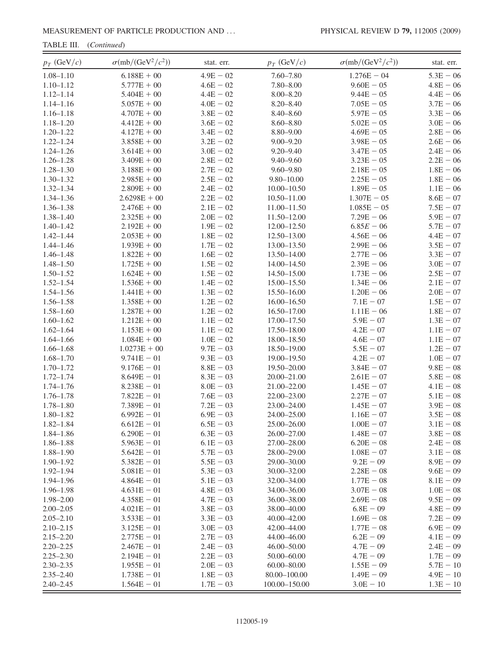TABLE III. (Continued)

| $p_T$ (GeV/c) | $\sigma$ (mb/(GeV <sup>2</sup> / $c$ <sup>2</sup> )) | stat. err.  | $p_T$ (GeV/c)     | $\sigma$ (mb/(GeV <sup>2</sup> / $c$ <sup>2</sup> )) | stat. err.  |
|---------------|------------------------------------------------------|-------------|-------------------|------------------------------------------------------|-------------|
| $1.08 - 1.10$ | $6.188E + 00$                                        | $4.9E - 02$ | $7.60 - 7.80$     | $1.276E - 04$                                        | $5.3E - 06$ |
| $1.10 - 1.12$ | $5.777E + 00$                                        | $4.6E - 02$ | $7.80 - 8.00$     | $9.60E - 05$                                         | $4.8E - 06$ |
| $1.12 - 1.14$ | $5.404E + 00$                                        | $4.4E - 02$ | $8.00 - 8.20$     | $9.44E - 05$                                         | $4.4E - 06$ |
| $1.14 - 1.16$ | $5.057E + 00$                                        | $4.0E - 02$ | $8.20 - 8.40$     | $7.05E - 05$                                         | $3.7E - 06$ |
| $1.16 - 1.18$ | $4.707E + 00$                                        | $3.8E - 02$ | $8.40 - 8.60$     | $5.97E - 05$                                         | $3.3E - 06$ |
| $1.18 - 1.20$ | $4.412E + 00$                                        | $3.6E - 02$ | $8.60 - 8.80$     | $5.02E - 05$                                         | $3.0E - 06$ |
| $1.20 - 1.22$ | $4.127E + 00$                                        | $3.4E - 02$ | $8.80 - 9.00$     | $4.69E - 05$                                         | $2.8E - 06$ |
| $1.22 - 1.24$ | $3.858E + 00$                                        | $3.2E - 02$ | $9.00 - 9.20$     | $3.98E - 05$                                         | $2.6E - 06$ |
| $1.24 - 1.26$ | $3.614E + 00$                                        | $3.0E - 02$ | $9.20 - 9.40$     | $3.47E - 05$                                         | $2.4E - 06$ |
| $1.26 - 1.28$ | $3.409E + 00$                                        | $2.8E - 02$ | $9.40 - 9.60$     | $3.23E - 05$                                         | $2.2E - 06$ |
| $1.28 - 1.30$ | $3.188E + 00$                                        | $2.7E - 02$ | $9.60 - 9.80$     | $2.18E - 05$                                         | $1.8E - 06$ |
| $1.30 - 1.32$ | $2.985E + 00$                                        | $2.5E - 02$ | $9.80 - 10.00$    | $2.25E - 05$                                         | $1.8E - 06$ |
| $1.32 - 1.34$ | $2.809E + 00$                                        | $2.4E - 02$ | $10.00 - 10.50$   | $1.89E - 05$                                         | $1.1E - 06$ |
| $1.34 - 1.36$ | $2.6298E + 00$                                       | $2.2E - 02$ | $10.50 - 11.00$   | $1.307E - 05$                                        | $8.6E - 07$ |
| $1.36 - 1.38$ | $2.476E + 00$                                        | $2.1E - 02$ | $11.00 - 11.50$   | $1.085E - 05$                                        | $7.5E - 07$ |
| $1.38 - 1.40$ | $2.325E + 00$                                        | $2.0E - 02$ | 11.50-12.00       | $7.29E - 06$                                         | $5.9E - 07$ |
| $1.40 - 1.42$ | $2.192E + 00$                                        | $1.9E - 02$ | $12.00 - 12.50$   | $6.85E - 06$                                         | $5.7E - 07$ |
| $1.42 - 1.44$ | $2.053E + 00$                                        | $1.8E - 02$ | 12.50-13.00       | $4.56E - 06$                                         | $4.4E - 07$ |
| $1.44 - 1.46$ | $1.939E + 00$                                        | $1.7E - 02$ | 13.00-13.50       | $2.99E - 06$                                         | $3.5E - 07$ |
| $1.46 - 1.48$ | $1.822E + 00$                                        | $1.6E - 02$ | 13.50-14.00       | $2.77E - 06$                                         | $3.3E - 07$ |
| $1.48 - 1.50$ | $1.725E + 00$                                        | $1.5E - 02$ | 14.00-14.50       | $2.39E - 06$                                         | $3.0E - 07$ |
| $1.50 - 1.52$ | $1.624E + 00$                                        | $1.5E - 02$ | 14.50-15.00       | $1.73E - 06$                                         | $2.5E - 07$ |
| $1.52 - 1.54$ | $1.536E + 00$                                        | $1.4E - 02$ | 15.00 - 15.50     | $1.34E - 06$                                         | $2.1E - 07$ |
| $1.54 - 1.56$ | $1.441E + 00$                                        | $1.3E - 02$ | 15.50-16.00       | $1.20E - 06$                                         | $2.0E - 07$ |
| $1.56 - 1.58$ | $1.358E + 00$                                        | $1.2E - 02$ | $16.00 - 16.50$   | $7.1E - 07$                                          | $1.5E - 07$ |
| $1.58 - 1.60$ | $1.287E + 00$                                        | $1.2E - 02$ | $16.50 - 17.00$   | $1.11E - 06$                                         | $1.8E - 07$ |
| $1.60 - 1.62$ | $1.212E + 00$                                        | $1.1E - 02$ | 17.00-17.50       | $5.9E - 07$                                          | $1.3E - 07$ |
| $1.62 - 1.64$ | $1.153E + 00$                                        | $1.1E - 02$ | 17.50-18.00       | $4.2E - 07$                                          | $1.1E - 07$ |
| $1.64 - 1.66$ | $1.084E + 00$                                        | $1.0E - 02$ | 18.00-18.50       | $4.6E - 07$                                          | $1.1E - 07$ |
| $1.66 - 1.68$ | $1.0273E + 00$                                       | $9.7E - 03$ | 18.50-19.00       | $5.5E - 07$                                          | $1.2E - 07$ |
| $1.68 - 1.70$ | $9.741E - 01$                                        | $9.3E - 03$ | 19.00-19.50       | $4.2E - 07$                                          | $1.0E - 07$ |
| $1.70 - 1.72$ | $9.176E - 01$                                        | $8.8E - 03$ | 19.50-20.00       | $3.84E - 07$                                         | $9.8E - 08$ |
| $1.72 - 1.74$ | $8.649E - 01$                                        | $8.3E - 03$ | 20.00-21.00       | $2.61E - 07$                                         | $5.8E - 08$ |
| $1.74 - 1.76$ | $8.238E - 01$                                        | $8.0E - 03$ | 21.00-22.00       | $1.45E - 07$                                         | $4.1E - 08$ |
| $1.76 - 1.78$ | $7.822E - 01$                                        | $7.6E - 03$ | 22.00-23.00       | $2.27E - 07$                                         | $5.1E - 08$ |
| $1.78 - 1.80$ | $7.389E - 01$                                        | $7.2E - 03$ | 23.00-24.00       | $1.45E - 07$                                         | $3.9E - 08$ |
| $1.80 - 1.82$ | $6.992E - 01$                                        | $6.9E - 03$ | 24.00-25.00       | $1.16E - 07$                                         | $3.5E - 08$ |
| $1.82 - 1.84$ | $6.612E - 01$                                        | $6.5E - 03$ | 25.00-26.00       | $1.00E - 07$                                         | $3.1E - 08$ |
| $1.84 - 1.86$ | $6.290E - 01$                                        | $6.3E - 03$ | 26.00-27.00       | $1.48E - 07$                                         | $3.8E - 08$ |
| $1.86 - 1.88$ | $5.963E - 01$                                        | $6.1E - 03$ | 27.00-28.00       | $6.20E - 08$                                         | $2.4E - 08$ |
| $1.88 - 1.90$ | $5.642E - 01$                                        | $5.7E - 03$ | 28.00-29.00       | $1.08E - 07$                                         | $3.1E - 08$ |
| $1.90 - 1.92$ | $5.382E - 01$                                        | $5.5E - 03$ | 29.00-30.00       | $9.2E - 09$                                          | $8.9E - 09$ |
| $1.92 - 1.94$ | $5.081E - 01$                                        | $5.3E - 03$ | 30.00 - 32.00     | $2.28E - 08$                                         | $9.6E - 09$ |
| $1.94 - 1.96$ | $4.864E - 01$                                        | $5.1E - 03$ | 32.00-34.00       | $1.77E - 08$                                         | $8.1E - 09$ |
| $1.96 - 1.98$ | $4.631E - 01$                                        | $4.8E - 03$ | 34.00-36.00       | $3.07E - 08$                                         | $1.0E - 08$ |
| $1.98 - 2.00$ | $4.358E - 01$                                        | $4.7E - 03$ | 36.00 - 38.00     | $2.69E - 08$                                         | $9.5E - 09$ |
| $2.00 - 2.05$ | $4.021E - 01$                                        | $3.8E - 03$ | 38.00 - 40.00     | $6.8E - 09$                                          | $4.8E - 09$ |
| $2.05 - 2.10$ | $3.533E - 01$                                        | $3.3E - 03$ | 40.00 - 42.00     | $1.69E - 08$                                         | $7.2E - 09$ |
| $2.10 - 2.15$ | $3.125E - 01$                                        | $3.0E - 03$ | 42.00-44.00       | $1.77E - 08$                                         | $6.9E - 09$ |
| $2.15 - 2.20$ | $2.775E - 01$                                        | $2.7E - 03$ | 44.00-46.00       | $6.2E - 09$                                          | $4.1E - 09$ |
| $2.20 - 2.25$ | $2.467E - 01$                                        | $2.4E - 03$ | 46.00 - 50.00     | $4.7E - 09$                                          | $2.4E - 09$ |
| $2.25 - 2.30$ | $2.194E - 01$                                        | $2.2E - 03$ | 50.00-60.00       | $4.7E - 09$                                          | $1.7E - 09$ |
| $2.30 - 2.35$ | $1.955E - 01$                                        | $2.0E - 03$ | $60.00 - 80.00$   | $1.55E - 09$                                         | $5.7E - 10$ |
| $2.35 - 2.40$ | $1.738E - 01$                                        | $1.8E - 03$ | 80.00-100.00      | $1.49E - 09$                                         | $4.9E - 10$ |
| $2.40 - 2.45$ | $1.564E - 01$                                        | $1.7E - 03$ | $100.00 - 150.00$ | $3.0E - 10$                                          | $1.3E - 10$ |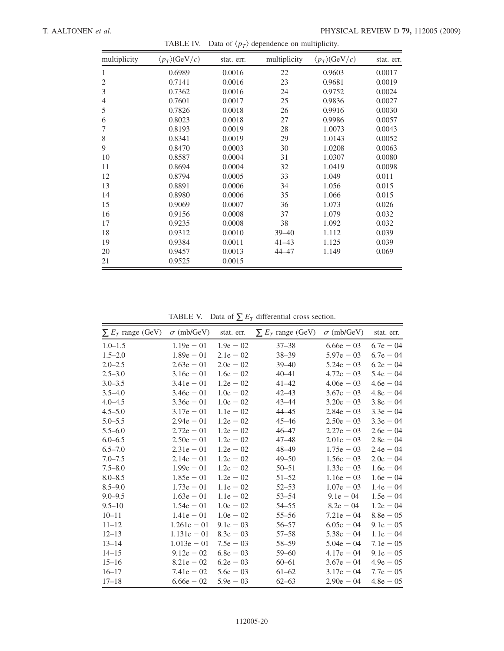<span id="page-22-0"></span>

| multiplicity   | $\langle p_T \rangle$ (GeV/c) | stat. err. | multiplicity | $\langle p_T \rangle$ (GeV/c) | stat. err. |
|----------------|-------------------------------|------------|--------------|-------------------------------|------------|
| 1              | 0.6989                        | 0.0016     | 22           | 0.9603                        | 0.0017     |
| $\mathfrak{2}$ | 0.7141                        | 0.0016     | 23           | 0.9681                        | 0.0019     |
| 3              | 0.7362                        | 0.0016     | 24           | 0.9752                        | 0.0024     |
| $\overline{4}$ | 0.7601                        | 0.0017     | 25           | 0.9836                        | 0.0027     |
| 5              | 0.7826                        | 0.0018     | 26           | 0.9916                        | 0.0030     |
| 6              | 0.8023                        | 0.0018     | 27           | 0.9986                        | 0.0057     |
| 7              | 0.8193                        | 0.0019     | 28           | 1.0073                        | 0.0043     |
| 8              | 0.8341                        | 0.0019     | 29           | 1.0143                        | 0.0052     |
| 9              | 0.8470                        | 0.0003     | 30           | 1.0208                        | 0.0063     |
| 10             | 0.8587                        | 0.0004     | 31           | 1.0307                        | 0.0080     |
| 11             | 0.8694                        | 0.0004     | 32           | 1.0419                        | 0.0098     |
| 12             | 0.8794                        | 0.0005     | 33           | 1.049                         | 0.011      |
| 13             | 0.8891                        | 0.0006     | 34           | 1.056                         | 0.015      |
| 14             | 0.8980                        | 0.0006     | 35           | 1.066                         | 0.015      |
| 15             | 0.9069                        | 0.0007     | 36           | 1.073                         | 0.026      |
| 16             | 0.9156                        | 0.0008     | 37           | 1.079                         | 0.032      |
| 17             | 0.9235                        | 0.0008     | 38           | 1.092                         | 0.032      |
| 18             | 0.9312                        | 0.0010     | $39 - 40$    | 1.112                         | 0.039      |
| 19             | 0.9384                        | 0.0011     | $41 - 43$    | 1.125                         | 0.039      |
| 20             | 0.9457                        | 0.0013     | 44-47        | 1.149                         | 0.069      |
| 21             | 0.9525                        | 0.0015     |              |                               |            |

TABLE IV. Data of  $\langle p_T \rangle$  dependence on multiplicity.

TABLE V. Data of  $\sum E_T$  differential cross section.

<span id="page-22-1"></span>

| $\sum E_T$ range (GeV) $\sigma$ (mb/GeV) |               | stat. err.  | $\sum E_T$ range (GeV) | $\sigma$ (mb/GeV) | stat. err.  |
|------------------------------------------|---------------|-------------|------------------------|-------------------|-------------|
| $1.0 - 1.5$                              | $1.19e - 01$  | $1.9e - 02$ | $37 - 38$              | $6.66e - 03$      | $6.7e - 04$ |
| $1.5 - 2.0$                              | $1.89e - 01$  | $2.1e - 02$ | $38 - 39$              | $5.97e - 03$      | $6.7e - 04$ |
| $2.0 - 2.5$                              | $2.63e - 01$  | $2.0e - 02$ | $39 - 40$              | $5.24e - 03$      | $6.2e - 04$ |
| $2.5 - 3.0$                              | $3.16e - 01$  | $1.6e - 02$ | $40 - 41$              | $4.72e - 03$      | $5.4e - 04$ |
| $3.0 - 3.5$                              | $3.41e - 01$  | $1.2e - 02$ | $41 - 42$              | $4.06e - 03$      | $4.6e - 04$ |
| $3.5 - 4.0$                              | $3.46e - 01$  | $1.0e - 02$ | $42 - 43$              | $3.67e - 03$      | $4.8e - 04$ |
| $4.0 - 4.5$                              | $3.36e - 01$  | $1.0e - 02$ | $43 - 44$              | $3.20e - 03$      | $3.8e - 04$ |
| $4.5 - 5.0$                              | $3.17e - 01$  | $1.1e - 02$ | $44 - 45$              | $2.84e - 03$      | $3.3e - 04$ |
| $5.0 - 5.5$                              | $2.94e - 01$  | $1.2e - 02$ | $45 - 46$              | $2.50e - 03$      | $3.3e - 04$ |
| $5.5 - 6.0$                              | $2.72e - 01$  | $1.2e - 02$ | $46 - 47$              | $2.27e - 03$      | $2.6e - 04$ |
| $6.0 - 6.5$                              | $2.50e - 01$  | $1.2e - 02$ | $47 - 48$              | $2.01e - 03$      | $2.8e - 04$ |
| $6.5 - 7.0$                              | $2.31e - 01$  | $1.2e - 02$ | $48 - 49$              | $1.75e - 03$      | $2.4e - 04$ |
| $7.0 - 7.5$                              | $2.14e - 01$  | $1.2e - 02$ | $49 - 50$              | $1.56e - 03$      | $2.0e - 04$ |
| $7.5 - 8.0$                              | $1.99e - 01$  | $1.2e - 02$ | $50 - 51$              | $1.33e - 03$      | $1.6e - 04$ |
| $8.0 - 8.5$                              | $1.85e - 01$  | $1.2e - 02$ | $51 - 52$              | $1.16e - 03$      | $1.6e - 04$ |
| $8.5 - 9.0$                              | $1.73e - 01$  | $1.1e - 02$ | $52 - 53$              | $1.07e - 03$      | $1.4e - 04$ |
| $9.0 - 9.5$                              | $1.63e - 01$  | $1.1e - 02$ | $53 - 54$              | $9.1e - 04$       | $1.5e - 04$ |
| $9.5 - 10$                               | $1.54e - 01$  | $1.0e - 02$ | $54 - 55$              | $8.2e - 04$       | $1.2e - 04$ |
| $10 - 11$                                | $1.41e - 01$  | $1.0e - 02$ | $55 - 56$              | $7.21e - 04$      | $8.8e - 05$ |
| $11 - 12$                                | $1.261e - 01$ | $9.1e - 03$ | $56 - 57$              | $6.05e - 04$      | $9.1e - 05$ |
| $12 - 13$                                | $1.131e - 01$ | $8.3e - 03$ | $57 - 58$              | $5.38e - 04$      | $1.1e - 04$ |
| $13 - 14$                                | $1.013e - 01$ | $7.5e - 03$ | $58 - 59$              | $5.04e - 04$      | $7.1e - 05$ |
| $14 - 15$                                | $9.12e - 02$  | $6.8e - 03$ | $59 - 60$              | $4.17e - 04$      | $9.1e - 05$ |
| $15 - 16$                                | $8.21e - 02$  | $6.2e - 03$ | $60 - 61$              | $3.67e - 04$      | $4.9e - 05$ |
| $16 - 17$                                | $7.41e - 02$  | $5.6e - 03$ | $61 - 62$              | $3.17e - 04$      | $7.7e - 05$ |
| $17 - 18$                                | $6.66e - 02$  | $5.9e - 03$ | $62 - 63$              | $2.90e - 04$      | $4.8e - 05$ |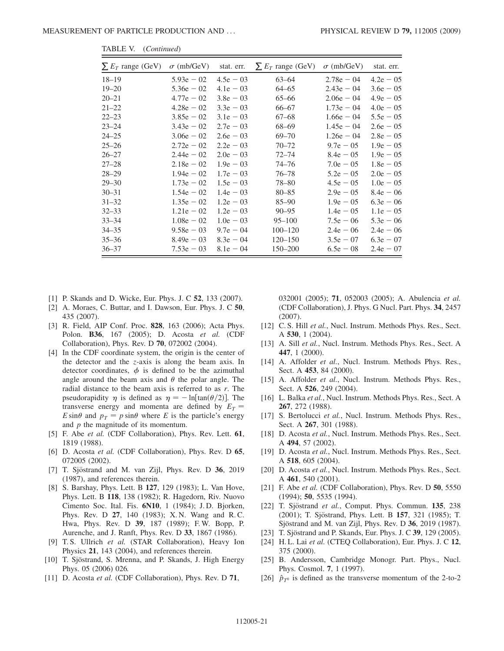| $\sum E_T$ range (GeV) | $\sigma$ (mb/GeV) | stat. err.  | $\sum E_T$ range (GeV) | $\sigma$ (mb/GeV) | stat. err.  |
|------------------------|-------------------|-------------|------------------------|-------------------|-------------|
| $18 - 19$              | $5.93e - 02$      | $4.5e - 03$ | $63 - 64$              | $2.78e - 04$      | $4.2e - 05$ |
| $19 - 20$              | $5.36e - 02$      | $4.1e - 03$ | $64 - 65$              | $2.43e - 04$      | $3.6e - 05$ |
| 20–21                  | $4.77e - 02$      | $3.8e - 03$ | $65 - 66$              | $2.06e - 04$      | $4.9e - 05$ |
| 21–22                  | $4.28e - 02$      | $3.3e - 03$ | 66–67                  | $1.73e - 04$      | $4.0e - 05$ |
| 22–23                  | $3.85e - 02$      | $3.1e - 03$ | $67 - 68$              | $1.66e - 04$      | $5.5e - 05$ |
| 23–24                  | $3.43e - 02$      | $2.7e - 03$ | 68-69                  | $1.45e - 04$      | $2.6e - 05$ |
| 24–25                  | $3.06e - 02$      | $2.6e - 03$ | $69 - 70$              | $1.26e - 04$      | $2.8e - 05$ |
| 25–26                  | $2.72e - 02$      | $2.2e - 03$ | $70 - 72$              | $9.7e - 05$       | $1.9e - 05$ |
| 26–27                  | $2.44e - 02$      | $2.0e - 03$ | $72 - 74$              | $8.4e - 05$       | $1.9e - 05$ |
| 27–28                  | $2.18e - 02$      | $1.9e - 03$ | $74 - 76$              | $7.0e - 05$       | $1.8e - 05$ |
| 28–29                  | $1.94e - 02$      | $1.7e - 03$ | $76 - 78$              | $5.2e - 05$       | $2.0e - 05$ |
| 29–30                  | $1.73e - 02$      | $1.5e - 03$ | 78-80                  | $4.5e - 05$       | $1.0e - 05$ |
| 30–31                  | $1.54e - 02$      | $1.4e - 03$ | $80 - 85$              | $2.9e - 05$       | $8.4e - 06$ |
| $31 - 32$              | $1.35e - 02$      | $1.2e - 03$ | $85 - 90$              | $1.9e - 05$       | $6.3e - 06$ |
| 32–33                  | $1.21e - 02$      | $1.2e - 03$ | $90 - 95$              | $1.4e - 05$       | $1.1e - 05$ |
| 33–34                  | $1.08e - 02$      | $1.0e - 03$ | $95 - 100$             | $7.5e - 06$       | $5.3e - 06$ |
| 34–35                  | $9.58e - 03$      | $9.7e - 04$ | $100 - 120$            | $2.4e - 06$       | $2.4e - 06$ |
| 35–36                  | $8.49e - 03$      | $8.3e - 04$ | $120 - 150$            | $3.5e - 07$       | $6.3e - 07$ |
| 36–37                  | $7.53e - 03$      | $8.1e - 04$ | $150 - 200$            | $6.5e - 08$       | $2.4e - 07$ |

TABLE V. (Continued)

- <span id="page-23-1"></span><span id="page-23-0"></span>[1] P. Skands and D. Wicke, Eur. Phys. J. C 52, 133 (2007).
- [2] A. Moraes, C. Buttar, and I. Dawson, Eur. Phys. J. C 50, 435 (2007).
- <span id="page-23-2"></span>[3] R. Field, AIP Conf. Proc. 828, 163 (2006); Acta Phys. Polon. B36, 167 (2005); D. Acosta et al. (CDF Collaboration), Phys. Rev. D 70, 072002 (2004).
- <span id="page-23-3"></span>[4] In the CDF coordinate system, the origin is the center of the detector and the z-axis is along the beam axis. In detector coordinates,  $\phi$  is defined to be the azimuthal angle around the beam axis and  $\theta$  the polar angle. The radial distance to the beam axis is referred to as r. The pseudorapidity  $\eta$  is defined as  $\eta = -\ln[\tan(\theta/2)]$ . The transverse energy and momenta are defined by  $E_T =$  $E \sin\theta$  and  $p_T = p \sin\theta$  where E is the particle's energy and  $p$  the magnitude of its momentum.
- <span id="page-23-4"></span>[5] F. Abe et al. (CDF Collaboration), Phys. Rev. Lett. 61, 1819 (1988).
- <span id="page-23-5"></span>[6] D. Acosta et al. (CDF Collaboration), Phys. Rev. D 65, 072005 (2002).
- <span id="page-23-6"></span>[7] T. Sjöstrand and M. van Zijl, Phys. Rev. D 36, 2019 (1987), and references therein.
- <span id="page-23-7"></span>[8] S. Barshay, Phys. Lett. B 127, 129 (1983); L. Van Hove, Phys. Lett. B 118, 138 (1982); R. Hagedorn, Riv. Nuovo Cimento Soc. Ital. Fis. 6N10, 1 (1984); J. D. Bjorken, Phys. Rev. D 27, 140 (1983); X. N. Wang and R. C. Hwa, Phys. Rev. D 39, 187 (1989); F. W. Bopp, P. Aurenche, and J. Ranft, Phys. Rev. D 33, 1867 (1986).
- <span id="page-23-8"></span>[9] T. S. Ullrich et al. (STAR Collaboration), Heavy Ion Physics 21, 143 (2004), and references therein.
- <span id="page-23-9"></span>[10] T. Sjöstrand, S. Mrenna, and P. Skands, J. High Energy Phys. 05 (2006) 026.
- <span id="page-23-10"></span>[11] D. Acosta et al. (CDF Collaboration), Phys. Rev. D 71,

032001 (2005); 71, 052003 (2005); A. Abulencia et al. (CDF Collaboration), J. Phys. G Nucl. Part. Phys. 34, 2457 (2007).

- <span id="page-23-11"></span>[12] C. S. Hill et al., Nucl. Instrum. Methods Phys. Res., Sect. A 530, 1 (2004).
- <span id="page-23-12"></span>[13] A. Sill et al., Nucl. Instrum. Methods Phys. Res., Sect. A 447, 1 (2000).
- <span id="page-23-13"></span>[14] A. Affolder et al., Nucl. Instrum. Methods Phys. Res., Sect. A 453, 84 (2000).
- <span id="page-23-14"></span>[15] A. Affolder et al., Nucl. Instrum. Methods Phys. Res., Sect. A 526, 249 (2004).
- <span id="page-23-15"></span>[16] L. Balka et al., Nucl. Instrum. Methods Phys. Res., Sect. A 267, 272 (1988).
- <span id="page-23-16"></span>[17] S. Bertolucci et al., Nucl. Instrum. Methods Phys. Res., Sect. A 267, 301 (1988).
- <span id="page-23-17"></span>[18] D. Acosta et al., Nucl. Instrum. Methods Phys. Res., Sect. A 494, 57 (2002).
- <span id="page-23-18"></span>[19] D. Acosta et al., Nucl. Instrum. Methods Phys. Res., Sect. A 518, 605 (2004).
- <span id="page-23-19"></span>[20] D. Acosta et al., Nucl. Instrum. Methods Phys. Res., Sect. A 461, 540 (2001).
- <span id="page-23-20"></span>[21] F. Abe et al. (CDF Collaboration), Phys. Rev. D 50, 5550 (1994); 50, 5535 (1994).
- <span id="page-23-21"></span>[22] T. Sjöstrand et al., Comput. Phys. Commun. 135, 238 (2001); T. Sjöstrand, Phys. Lett. B 157, 321 (1985); T. Sjöstrand and M. van Zijl, Phys. Rev. D 36, 2019 (1987).
- <span id="page-23-22"></span>[23] T. Sjöstrand and P. Skands, Eur. Phys. J. C 39, 129 (2005).
- <span id="page-23-23"></span>[24] H.L. Lai et al. (CTEQ Collaboration), Eur. Phys. J. C 12, 375 (2000).
- <span id="page-23-24"></span>[25] B. Andersson, Cambridge Monogr. Part. Phys., Nucl. Phys. Cosmol. 7, 1 (1997).
- <span id="page-23-25"></span>[26]  $\hat{p}_{T^0}$  is defined as the transverse momentum of the 2-to-2